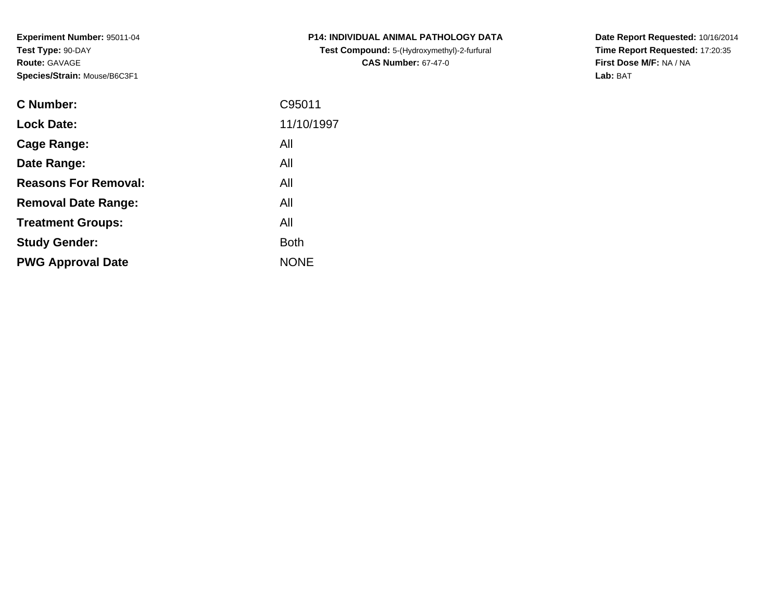**Experiment Number:** 95011-04**Test Type:** 90-DAY**Route:** GAVAGE**Species/Strain:** Mouse/B6C3F1

| <b>C</b> Number:            | C95011      |
|-----------------------------|-------------|
| <b>Lock Date:</b>           | 11/10/1997  |
| <b>Cage Range:</b>          | All         |
| Date Range:                 | All         |
| <b>Reasons For Removal:</b> | All         |
| <b>Removal Date Range:</b>  | All         |
| <b>Treatment Groups:</b>    | All         |
| <b>Study Gender:</b>        | <b>Both</b> |
| <b>PWG Approval Date</b>    | <b>NONE</b> |
|                             |             |

**P14: INDIVIDUAL ANIMAL PATHOLOGY DATATest Compound:** 5-(Hydroxymethyl)-2-furfural **CAS Number:** 67-47-0

**Date Report Requested:** 10/16/2014 **Time Report Requested:** 17:20:35**First Dose M/F:** NA / NA**Lab:** BAT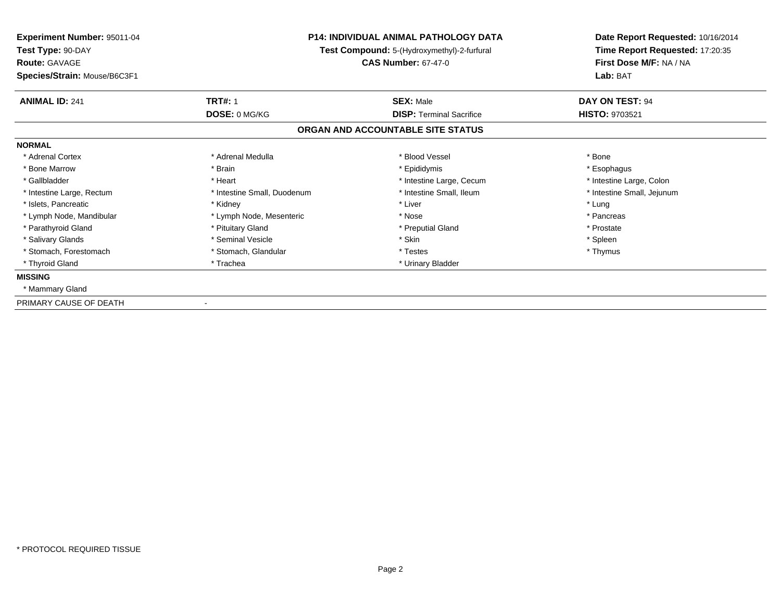| Experiment Number: 95011-04<br>Test Type: 90-DAY<br><b>Route: GAVAGE</b><br>Species/Strain: Mouse/B6C3F1 |                             | <b>P14: INDIVIDUAL ANIMAL PATHOLOGY DATA</b><br>Test Compound: 5-(Hydroxymethyl)-2-furfural<br><b>CAS Number: 67-47-0</b> | Date Report Requested: 10/16/2014<br>Time Report Requested: 17:20:35<br>First Dose M/F: NA / NA<br>Lab: BAT |
|----------------------------------------------------------------------------------------------------------|-----------------------------|---------------------------------------------------------------------------------------------------------------------------|-------------------------------------------------------------------------------------------------------------|
| <b>ANIMAL ID: 241</b>                                                                                    | <b>TRT#: 1</b>              | <b>SEX: Male</b>                                                                                                          | DAY ON TEST: 94                                                                                             |
|                                                                                                          | DOSE: 0 MG/KG               | <b>DISP: Terminal Sacrifice</b>                                                                                           | <b>HISTO: 9703521</b>                                                                                       |
|                                                                                                          |                             | ORGAN AND ACCOUNTABLE SITE STATUS                                                                                         |                                                                                                             |
| <b>NORMAL</b>                                                                                            |                             |                                                                                                                           |                                                                                                             |
| * Adrenal Cortex                                                                                         | * Adrenal Medulla           | * Blood Vessel                                                                                                            | * Bone                                                                                                      |
| * Bone Marrow                                                                                            | * Brain                     | * Epididymis                                                                                                              | * Esophagus                                                                                                 |
| * Gallbladder                                                                                            | * Heart                     | * Intestine Large, Cecum                                                                                                  | * Intestine Large, Colon                                                                                    |
| * Intestine Large, Rectum                                                                                | * Intestine Small, Duodenum | * Intestine Small, Ileum                                                                                                  | * Intestine Small, Jejunum                                                                                  |
| * Islets, Pancreatic                                                                                     | * Kidney                    | * Liver                                                                                                                   | * Lung                                                                                                      |
| * Lymph Node, Mandibular                                                                                 | * Lymph Node, Mesenteric    | * Nose                                                                                                                    | * Pancreas                                                                                                  |
| * Parathyroid Gland                                                                                      | * Pituitary Gland           | * Preputial Gland                                                                                                         | * Prostate                                                                                                  |
| * Salivary Glands                                                                                        | * Seminal Vesicle           | * Skin                                                                                                                    | * Spleen                                                                                                    |
| * Stomach, Forestomach                                                                                   | * Stomach, Glandular        | * Testes                                                                                                                  | * Thymus                                                                                                    |
| * Thyroid Gland                                                                                          | * Trachea                   | * Urinary Bladder                                                                                                         |                                                                                                             |
| <b>MISSING</b>                                                                                           |                             |                                                                                                                           |                                                                                                             |
| * Mammary Gland                                                                                          |                             |                                                                                                                           |                                                                                                             |
| PRIMARY CAUSE OF DEATH                                                                                   |                             |                                                                                                                           |                                                                                                             |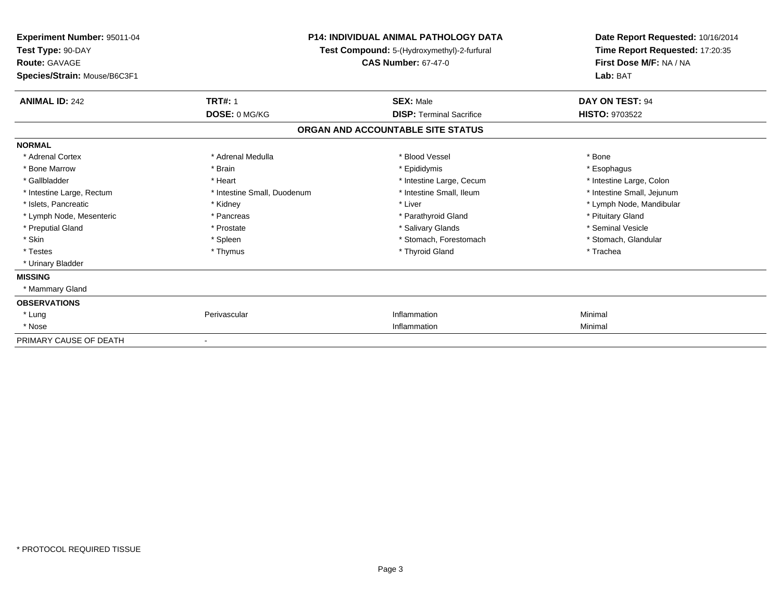| Experiment Number: 95011-04<br>Test Type: 90-DAY<br><b>Route: GAVAGE</b><br>Species/Strain: Mouse/B6C3F1 |                             | <b>P14: INDIVIDUAL ANIMAL PATHOLOGY DATA</b><br>Test Compound: 5-(Hydroxymethyl)-2-furfural<br><b>CAS Number: 67-47-0</b> | Date Report Requested: 10/16/2014<br>Time Report Requested: 17:20:35<br>First Dose M/F: NA / NA<br>Lab: BAT |
|----------------------------------------------------------------------------------------------------------|-----------------------------|---------------------------------------------------------------------------------------------------------------------------|-------------------------------------------------------------------------------------------------------------|
| <b>ANIMAL ID: 242</b>                                                                                    | <b>TRT#: 1</b>              | <b>SEX: Male</b>                                                                                                          | DAY ON TEST: 94                                                                                             |
|                                                                                                          | DOSE: 0 MG/KG               | <b>DISP: Terminal Sacrifice</b>                                                                                           | <b>HISTO: 9703522</b>                                                                                       |
|                                                                                                          |                             | ORGAN AND ACCOUNTABLE SITE STATUS                                                                                         |                                                                                                             |
| <b>NORMAL</b>                                                                                            |                             |                                                                                                                           |                                                                                                             |
| * Adrenal Cortex                                                                                         | * Adrenal Medulla           | * Blood Vessel                                                                                                            | * Bone                                                                                                      |
| * Bone Marrow                                                                                            | * Brain                     | * Epididymis                                                                                                              | * Esophagus                                                                                                 |
| * Gallbladder                                                                                            | * Heart                     | * Intestine Large, Cecum                                                                                                  | * Intestine Large, Colon                                                                                    |
| * Intestine Large, Rectum                                                                                | * Intestine Small, Duodenum | * Intestine Small, Ileum                                                                                                  | * Intestine Small, Jejunum                                                                                  |
| * Islets, Pancreatic                                                                                     | * Kidney                    | * Liver                                                                                                                   | * Lymph Node, Mandibular                                                                                    |
| * Lymph Node, Mesenteric                                                                                 | * Pancreas                  | * Parathyroid Gland                                                                                                       | * Pituitary Gland                                                                                           |
| * Preputial Gland                                                                                        | * Prostate                  | * Salivary Glands                                                                                                         | * Seminal Vesicle                                                                                           |
| * Skin                                                                                                   | * Spleen                    | * Stomach, Forestomach                                                                                                    | * Stomach, Glandular                                                                                        |
| * Testes                                                                                                 | * Thymus                    | * Thyroid Gland                                                                                                           | * Trachea                                                                                                   |
| * Urinary Bladder                                                                                        |                             |                                                                                                                           |                                                                                                             |
| <b>MISSING</b>                                                                                           |                             |                                                                                                                           |                                                                                                             |
| * Mammary Gland                                                                                          |                             |                                                                                                                           |                                                                                                             |
| <b>OBSERVATIONS</b>                                                                                      |                             |                                                                                                                           |                                                                                                             |
| * Lung                                                                                                   | Perivascular                | Inflammation                                                                                                              | Minimal                                                                                                     |
| * Nose                                                                                                   |                             | Inflammation                                                                                                              | Minimal                                                                                                     |
| PRIMARY CAUSE OF DEATH                                                                                   |                             |                                                                                                                           |                                                                                                             |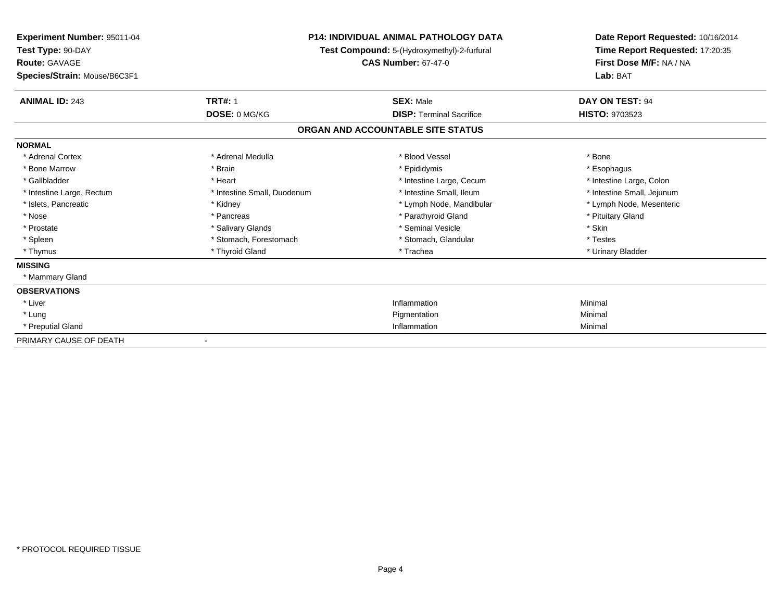| Experiment Number: 95011-04<br>Test Type: 90-DAY<br><b>Route: GAVAGE</b><br>Species/Strain: Mouse/B6C3F1 |                             | P14: INDIVIDUAL ANIMAL PATHOLOGY DATA<br>Test Compound: 5-(Hydroxymethyl)-2-furfural<br><b>CAS Number: 67-47-0</b> | Date Report Requested: 10/16/2014<br>Time Report Requested: 17:20:35<br>First Dose M/F: NA / NA<br>Lab: BAT |
|----------------------------------------------------------------------------------------------------------|-----------------------------|--------------------------------------------------------------------------------------------------------------------|-------------------------------------------------------------------------------------------------------------|
| <b>ANIMAL ID: 243</b>                                                                                    | <b>TRT#: 1</b>              | <b>SEX: Male</b>                                                                                                   | DAY ON TEST: 94                                                                                             |
|                                                                                                          | DOSE: 0 MG/KG               | <b>DISP: Terminal Sacrifice</b>                                                                                    | <b>HISTO: 9703523</b>                                                                                       |
|                                                                                                          |                             | ORGAN AND ACCOUNTABLE SITE STATUS                                                                                  |                                                                                                             |
| <b>NORMAL</b>                                                                                            |                             |                                                                                                                    |                                                                                                             |
| * Adrenal Cortex                                                                                         | * Adrenal Medulla           | * Blood Vessel                                                                                                     | * Bone                                                                                                      |
| * Bone Marrow                                                                                            | * Brain                     | * Epididymis                                                                                                       | * Esophagus                                                                                                 |
| * Gallbladder                                                                                            | * Heart                     | * Intestine Large, Cecum                                                                                           | * Intestine Large, Colon                                                                                    |
| * Intestine Large, Rectum                                                                                | * Intestine Small, Duodenum | * Intestine Small, Ileum                                                                                           | * Intestine Small, Jejunum                                                                                  |
| * Islets, Pancreatic                                                                                     | * Kidney                    | * Lymph Node, Mandibular                                                                                           | * Lymph Node, Mesenteric                                                                                    |
| * Nose                                                                                                   | * Pancreas                  | * Parathyroid Gland                                                                                                | * Pituitary Gland                                                                                           |
| * Prostate                                                                                               | * Salivary Glands           | * Seminal Vesicle                                                                                                  | * Skin                                                                                                      |
| * Spleen                                                                                                 | * Stomach, Forestomach      | * Stomach, Glandular                                                                                               | * Testes                                                                                                    |
| * Thymus                                                                                                 | * Thyroid Gland             | * Trachea                                                                                                          | * Urinary Bladder                                                                                           |
| <b>MISSING</b>                                                                                           |                             |                                                                                                                    |                                                                                                             |
| * Mammary Gland                                                                                          |                             |                                                                                                                    |                                                                                                             |
| <b>OBSERVATIONS</b>                                                                                      |                             |                                                                                                                    |                                                                                                             |
| * Liver                                                                                                  |                             | Inflammation                                                                                                       | Minimal                                                                                                     |
| * Lung                                                                                                   |                             | Pigmentation                                                                                                       | Minimal                                                                                                     |
| * Preputial Gland                                                                                        |                             | Inflammation                                                                                                       | Minimal                                                                                                     |
| PRIMARY CAUSE OF DEATH                                                                                   |                             |                                                                                                                    |                                                                                                             |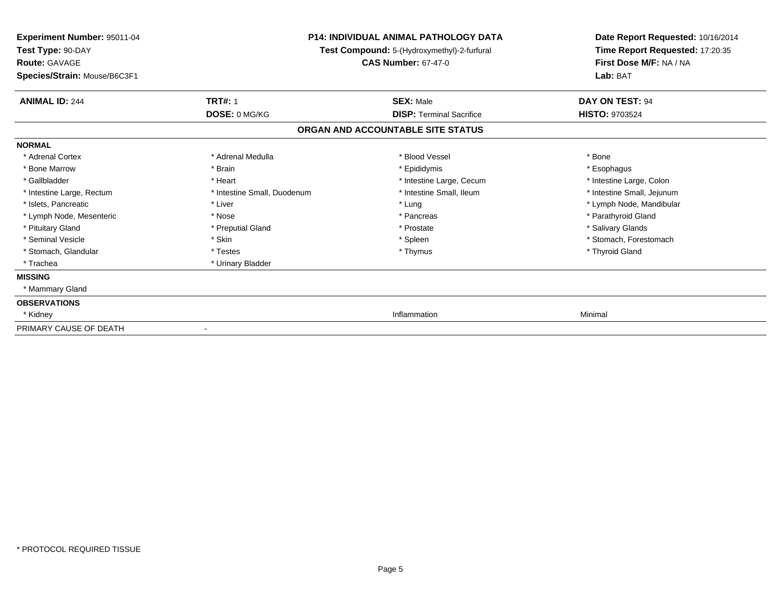| Experiment Number: 95011-04<br>Test Type: 90-DAY |                             | <b>P14: INDIVIDUAL ANIMAL PATHOLOGY DATA</b><br>Test Compound: 5-(Hydroxymethyl)-2-furfural | Date Report Requested: 10/16/2014<br>Time Report Requested: 17:20:35 |
|--------------------------------------------------|-----------------------------|---------------------------------------------------------------------------------------------|----------------------------------------------------------------------|
| <b>Route: GAVAGE</b>                             |                             | <b>CAS Number: 67-47-0</b>                                                                  | First Dose M/F: NA / NA                                              |
| Species/Strain: Mouse/B6C3F1                     |                             |                                                                                             | Lab: BAT                                                             |
| <b>ANIMAL ID: 244</b>                            | <b>TRT#: 1</b>              | <b>SEX: Male</b>                                                                            | DAY ON TEST: 94                                                      |
|                                                  | DOSE: 0 MG/KG               | <b>DISP: Terminal Sacrifice</b>                                                             | <b>HISTO: 9703524</b>                                                |
|                                                  |                             | ORGAN AND ACCOUNTABLE SITE STATUS                                                           |                                                                      |
| <b>NORMAL</b>                                    |                             |                                                                                             |                                                                      |
| * Adrenal Cortex                                 | * Adrenal Medulla           | * Blood Vessel                                                                              | * Bone                                                               |
| * Bone Marrow                                    | * Brain                     | * Epididymis                                                                                | * Esophagus                                                          |
| * Gallbladder                                    | * Heart                     | * Intestine Large, Cecum                                                                    | * Intestine Large, Colon                                             |
| * Intestine Large, Rectum                        | * Intestine Small, Duodenum | * Intestine Small, Ileum                                                                    | * Intestine Small, Jejunum                                           |
| * Islets, Pancreatic                             | * Liver                     | * Lung                                                                                      | * Lymph Node, Mandibular                                             |
| * Lymph Node, Mesenteric                         | * Nose                      | * Pancreas                                                                                  | * Parathyroid Gland                                                  |
| * Pituitary Gland                                | * Preputial Gland           | * Prostate                                                                                  | * Salivary Glands                                                    |
| * Seminal Vesicle                                | * Skin                      | * Spleen                                                                                    | * Stomach, Forestomach                                               |
| * Stomach, Glandular                             | * Testes                    | * Thymus                                                                                    | * Thyroid Gland                                                      |
| * Trachea                                        | * Urinary Bladder           |                                                                                             |                                                                      |
| <b>MISSING</b>                                   |                             |                                                                                             |                                                                      |
| * Mammary Gland                                  |                             |                                                                                             |                                                                      |
| <b>OBSERVATIONS</b>                              |                             |                                                                                             |                                                                      |
| * Kidney                                         |                             | Inflammation                                                                                | Minimal                                                              |
| PRIMARY CAUSE OF DEATH                           |                             |                                                                                             |                                                                      |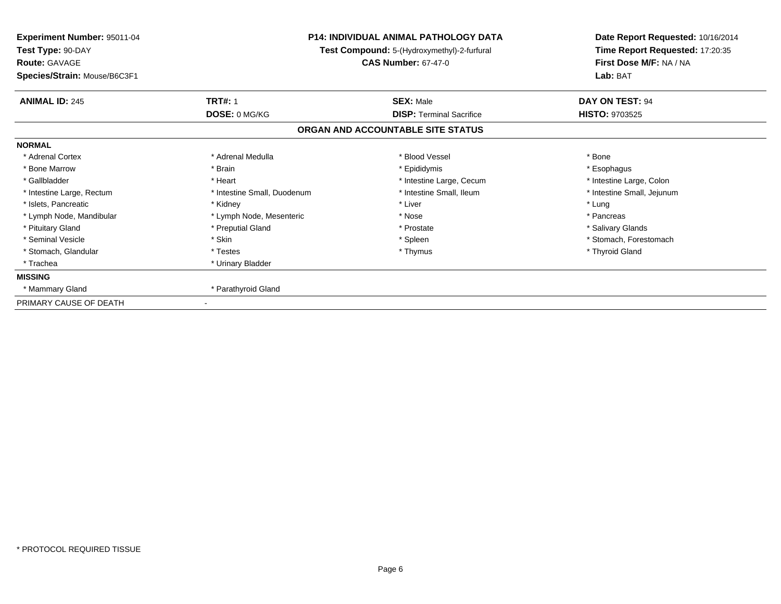| <b>Experiment Number: 95011-04</b><br>Test Type: 90-DAY<br><b>Route: GAVAGE</b> |                             | <b>P14: INDIVIDUAL ANIMAL PATHOLOGY DATA</b><br>Test Compound: 5-(Hydroxymethyl)-2-furfural<br><b>CAS Number: 67-47-0</b> | Date Report Requested: 10/16/2014<br>Time Report Requested: 17:20:35<br>First Dose M/F: NA / NA<br>Lab: BAT |
|---------------------------------------------------------------------------------|-----------------------------|---------------------------------------------------------------------------------------------------------------------------|-------------------------------------------------------------------------------------------------------------|
| Species/Strain: Mouse/B6C3F1                                                    |                             |                                                                                                                           |                                                                                                             |
| <b>ANIMAL ID: 245</b>                                                           | <b>TRT#: 1</b>              | <b>SEX: Male</b>                                                                                                          | DAY ON TEST: 94                                                                                             |
|                                                                                 | DOSE: 0 MG/KG               | <b>DISP: Terminal Sacrifice</b>                                                                                           | <b>HISTO: 9703525</b>                                                                                       |
|                                                                                 |                             | ORGAN AND ACCOUNTABLE SITE STATUS                                                                                         |                                                                                                             |
| <b>NORMAL</b>                                                                   |                             |                                                                                                                           |                                                                                                             |
| * Adrenal Cortex                                                                | * Adrenal Medulla           | * Blood Vessel                                                                                                            | * Bone                                                                                                      |
| * Bone Marrow                                                                   | * Brain                     | * Epididymis                                                                                                              | * Esophagus                                                                                                 |
| * Gallbladder                                                                   | * Heart                     | * Intestine Large, Cecum                                                                                                  | * Intestine Large, Colon                                                                                    |
| * Intestine Large, Rectum                                                       | * Intestine Small, Duodenum | * Intestine Small, Ileum                                                                                                  | * Intestine Small, Jejunum                                                                                  |
| * Islets, Pancreatic                                                            | * Kidney                    | * Liver                                                                                                                   | * Lung                                                                                                      |
| * Lymph Node, Mandibular                                                        | * Lymph Node, Mesenteric    | * Nose                                                                                                                    | * Pancreas                                                                                                  |
| * Pituitary Gland                                                               | * Preputial Gland           | * Prostate                                                                                                                | * Salivary Glands                                                                                           |
| * Seminal Vesicle                                                               | * Skin                      | * Spleen                                                                                                                  | * Stomach. Forestomach                                                                                      |
| * Stomach, Glandular                                                            | * Testes                    | * Thymus                                                                                                                  | * Thyroid Gland                                                                                             |
| * Trachea                                                                       | * Urinary Bladder           |                                                                                                                           |                                                                                                             |
| <b>MISSING</b>                                                                  |                             |                                                                                                                           |                                                                                                             |
| * Mammary Gland                                                                 | * Parathyroid Gland         |                                                                                                                           |                                                                                                             |
| PRIMARY CAUSE OF DEATH                                                          |                             |                                                                                                                           |                                                                                                             |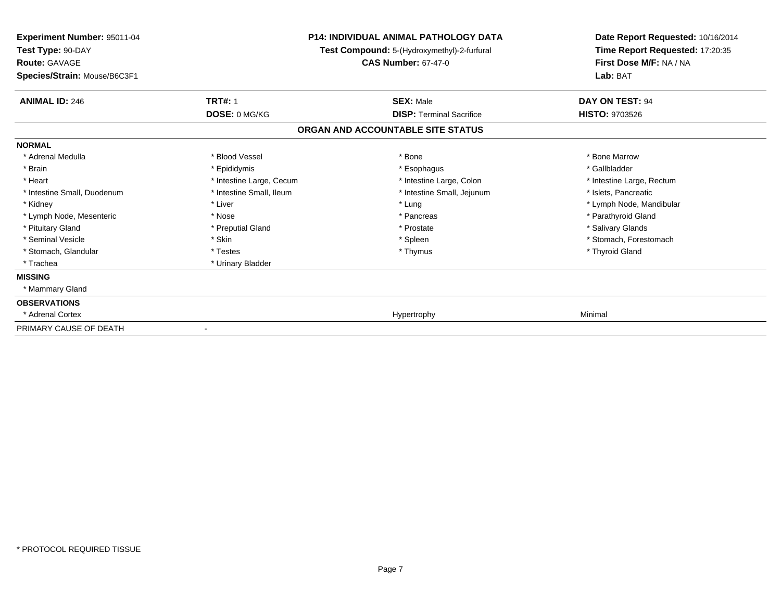| Experiment Number: 95011-04<br>Test Type: 90-DAY<br><b>Route: GAVAGE</b> |                          | <b>P14: INDIVIDUAL ANIMAL PATHOLOGY DATA</b><br>Test Compound: 5-(Hydroxymethyl)-2-furfural<br><b>CAS Number: 67-47-0</b> | Date Report Requested: 10/16/2014<br>Time Report Requested: 17:20:35<br>First Dose M/F: NA / NA |
|--------------------------------------------------------------------------|--------------------------|---------------------------------------------------------------------------------------------------------------------------|-------------------------------------------------------------------------------------------------|
| Species/Strain: Mouse/B6C3F1                                             |                          |                                                                                                                           | Lab: BAT                                                                                        |
| <b>ANIMAL ID: 246</b>                                                    | <b>TRT#: 1</b>           | <b>SEX: Male</b>                                                                                                          | DAY ON TEST: 94                                                                                 |
|                                                                          | DOSE: 0 MG/KG            | <b>DISP: Terminal Sacrifice</b>                                                                                           | <b>HISTO: 9703526</b>                                                                           |
|                                                                          |                          | ORGAN AND ACCOUNTABLE SITE STATUS                                                                                         |                                                                                                 |
| <b>NORMAL</b>                                                            |                          |                                                                                                                           |                                                                                                 |
| * Adrenal Medulla                                                        | * Blood Vessel           | * Bone                                                                                                                    | * Bone Marrow                                                                                   |
| * Brain                                                                  | * Epididymis             | * Esophagus                                                                                                               | * Gallbladder                                                                                   |
| * Heart                                                                  | * Intestine Large, Cecum | * Intestine Large, Colon                                                                                                  | * Intestine Large, Rectum                                                                       |
| * Intestine Small, Duodenum                                              | * Intestine Small, Ileum | * Intestine Small, Jejunum                                                                                                | * Islets, Pancreatic                                                                            |
| * Kidney                                                                 | * Liver                  | * Lung                                                                                                                    | * Lymph Node, Mandibular                                                                        |
| * Lymph Node, Mesenteric                                                 | * Nose                   | * Pancreas                                                                                                                | * Parathyroid Gland                                                                             |
| * Pituitary Gland                                                        | * Preputial Gland        | * Prostate                                                                                                                | * Salivary Glands                                                                               |
| * Seminal Vesicle                                                        | * Skin                   | * Spleen                                                                                                                  | * Stomach, Forestomach                                                                          |
| * Stomach, Glandular                                                     | * Testes                 | * Thymus                                                                                                                  | * Thyroid Gland                                                                                 |
| * Trachea                                                                | * Urinary Bladder        |                                                                                                                           |                                                                                                 |
| <b>MISSING</b>                                                           |                          |                                                                                                                           |                                                                                                 |
| * Mammary Gland                                                          |                          |                                                                                                                           |                                                                                                 |
| <b>OBSERVATIONS</b>                                                      |                          |                                                                                                                           |                                                                                                 |
| * Adrenal Cortex                                                         |                          | Hypertrophy                                                                                                               | Minimal                                                                                         |
| PRIMARY CAUSE OF DEATH                                                   |                          |                                                                                                                           |                                                                                                 |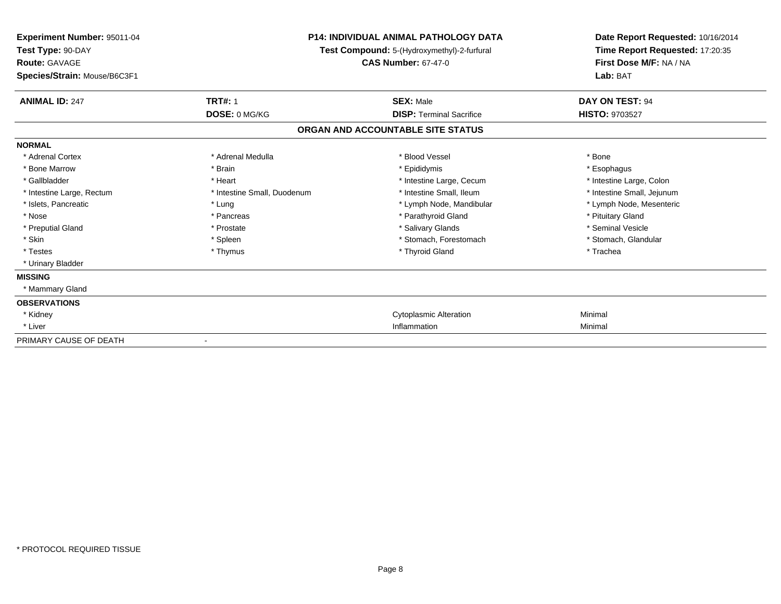| <b>Experiment Number: 95011-04</b><br>Test Type: 90-DAY<br><b>Route: GAVAGE</b><br>Species/Strain: Mouse/B6C3F1 |                             | P14: INDIVIDUAL ANIMAL PATHOLOGY DATA<br>Test Compound: 5-(Hydroxymethyl)-2-furfural<br><b>CAS Number: 67-47-0</b> | Date Report Requested: 10/16/2014<br>Time Report Requested: 17:20:35<br>First Dose M/F: NA / NA<br>Lab: BAT |
|-----------------------------------------------------------------------------------------------------------------|-----------------------------|--------------------------------------------------------------------------------------------------------------------|-------------------------------------------------------------------------------------------------------------|
| <b>ANIMAL ID: 247</b>                                                                                           | <b>TRT#: 1</b>              | <b>SEX: Male</b>                                                                                                   | DAY ON TEST: 94                                                                                             |
|                                                                                                                 | DOSE: 0 MG/KG               | <b>DISP: Terminal Sacrifice</b>                                                                                    | HISTO: 9703527                                                                                              |
|                                                                                                                 |                             | ORGAN AND ACCOUNTABLE SITE STATUS                                                                                  |                                                                                                             |
| <b>NORMAL</b>                                                                                                   |                             |                                                                                                                    |                                                                                                             |
| * Adrenal Cortex                                                                                                | * Adrenal Medulla           | * Blood Vessel                                                                                                     | * Bone                                                                                                      |
| * Bone Marrow                                                                                                   | * Brain                     | * Epididymis                                                                                                       | * Esophagus                                                                                                 |
| * Gallbladder                                                                                                   | * Heart                     | * Intestine Large, Cecum                                                                                           | * Intestine Large, Colon                                                                                    |
| * Intestine Large, Rectum                                                                                       | * Intestine Small, Duodenum | * Intestine Small. Ileum                                                                                           | * Intestine Small, Jejunum                                                                                  |
| * Islets, Pancreatic                                                                                            | * Lung                      | * Lymph Node, Mandibular                                                                                           | * Lymph Node, Mesenteric                                                                                    |
| * Nose                                                                                                          | * Pancreas                  | * Parathyroid Gland                                                                                                | * Pituitary Gland                                                                                           |
| * Preputial Gland                                                                                               | * Prostate                  | * Salivary Glands                                                                                                  | * Seminal Vesicle                                                                                           |
| * Skin                                                                                                          | * Spleen                    | * Stomach, Forestomach                                                                                             | * Stomach, Glandular                                                                                        |
| * Testes                                                                                                        | * Thymus                    | * Thyroid Gland                                                                                                    | * Trachea                                                                                                   |
| * Urinary Bladder                                                                                               |                             |                                                                                                                    |                                                                                                             |
| <b>MISSING</b>                                                                                                  |                             |                                                                                                                    |                                                                                                             |
| * Mammary Gland                                                                                                 |                             |                                                                                                                    |                                                                                                             |
| <b>OBSERVATIONS</b>                                                                                             |                             |                                                                                                                    |                                                                                                             |
| * Kidney                                                                                                        |                             | <b>Cytoplasmic Alteration</b>                                                                                      | Minimal                                                                                                     |
| * Liver                                                                                                         |                             | Inflammation                                                                                                       | Minimal                                                                                                     |
| PRIMARY CAUSE OF DEATH                                                                                          |                             |                                                                                                                    |                                                                                                             |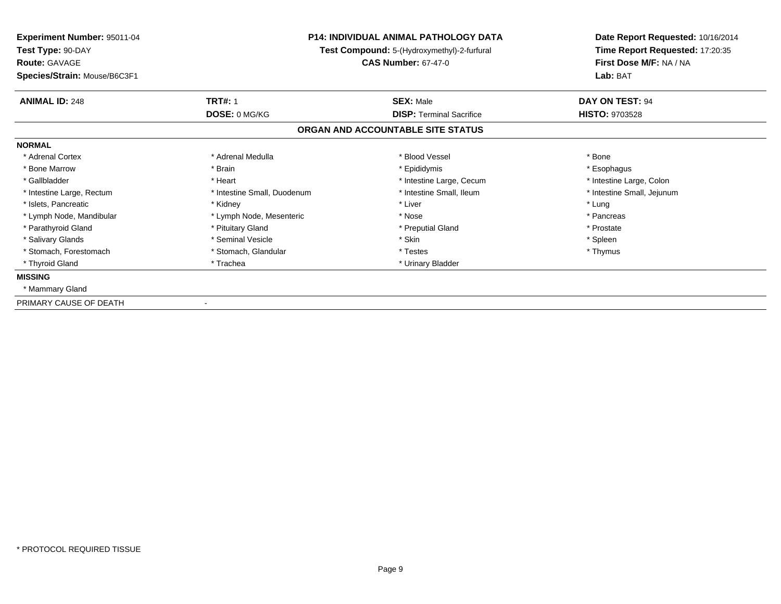| Experiment Number: 95011-04<br>Test Type: 90-DAY<br><b>Route: GAVAGE</b><br>Species/Strain: Mouse/B6C3F1 |                             | <b>P14: INDIVIDUAL ANIMAL PATHOLOGY DATA</b><br>Test Compound: 5-(Hydroxymethyl)-2-furfural<br><b>CAS Number: 67-47-0</b> | Date Report Requested: 10/16/2014<br>Time Report Requested: 17:20:35<br>First Dose M/F: NA / NA<br>Lab: BAT |
|----------------------------------------------------------------------------------------------------------|-----------------------------|---------------------------------------------------------------------------------------------------------------------------|-------------------------------------------------------------------------------------------------------------|
| <b>ANIMAL ID: 248</b>                                                                                    | <b>TRT#: 1</b>              | <b>SEX: Male</b>                                                                                                          | DAY ON TEST: 94                                                                                             |
|                                                                                                          | DOSE: 0 MG/KG               | <b>DISP: Terminal Sacrifice</b>                                                                                           | <b>HISTO: 9703528</b>                                                                                       |
|                                                                                                          |                             | ORGAN AND ACCOUNTABLE SITE STATUS                                                                                         |                                                                                                             |
| <b>NORMAL</b>                                                                                            |                             |                                                                                                                           |                                                                                                             |
| * Adrenal Cortex                                                                                         | * Adrenal Medulla           | * Blood Vessel                                                                                                            | * Bone                                                                                                      |
| * Bone Marrow                                                                                            | * Brain                     | * Epididymis                                                                                                              | * Esophagus                                                                                                 |
| * Gallbladder                                                                                            | * Heart                     | * Intestine Large, Cecum                                                                                                  | * Intestine Large, Colon                                                                                    |
| * Intestine Large, Rectum                                                                                | * Intestine Small, Duodenum | * Intestine Small, Ileum                                                                                                  | * Intestine Small, Jejunum                                                                                  |
| * Islets, Pancreatic                                                                                     | * Kidney                    | * Liver                                                                                                                   | * Lung                                                                                                      |
| * Lymph Node, Mandibular                                                                                 | * Lymph Node, Mesenteric    | * Nose                                                                                                                    | * Pancreas                                                                                                  |
| * Parathyroid Gland                                                                                      | * Pituitary Gland           | * Preputial Gland                                                                                                         | * Prostate                                                                                                  |
| * Salivary Glands                                                                                        | * Seminal Vesicle           | * Skin                                                                                                                    | * Spleen                                                                                                    |
| * Stomach, Forestomach                                                                                   | * Stomach, Glandular        | * Testes                                                                                                                  | * Thymus                                                                                                    |
| * Thyroid Gland                                                                                          | * Trachea                   | * Urinary Bladder                                                                                                         |                                                                                                             |
| <b>MISSING</b>                                                                                           |                             |                                                                                                                           |                                                                                                             |
| * Mammary Gland                                                                                          |                             |                                                                                                                           |                                                                                                             |
| PRIMARY CAUSE OF DEATH                                                                                   |                             |                                                                                                                           |                                                                                                             |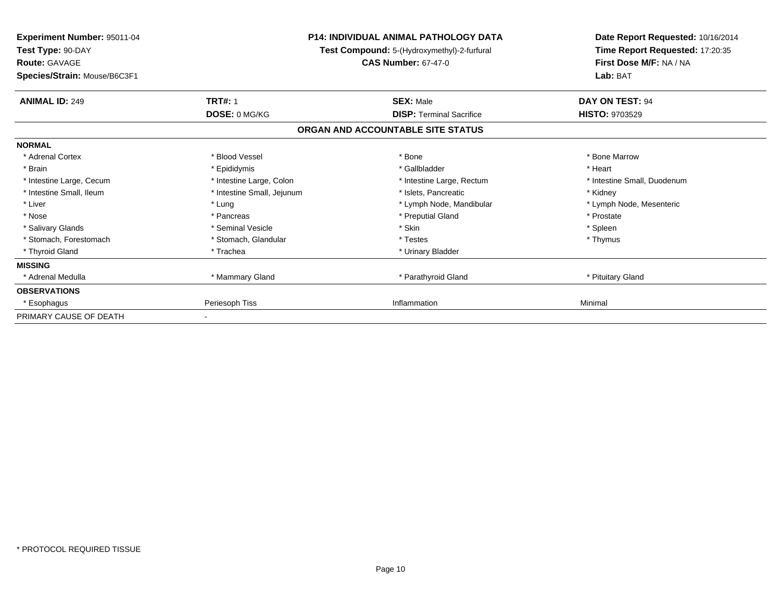| <b>Experiment Number: 95011-04</b><br>Test Type: 90-DAY<br><b>Route: GAVAGE</b><br>Species/Strain: Mouse/B6C3F1 |                            | <b>P14: INDIVIDUAL ANIMAL PATHOLOGY DATA</b><br>Test Compound: 5-(Hydroxymethyl)-2-furfural<br><b>CAS Number: 67-47-0</b> | Date Report Requested: 10/16/2014<br>Time Report Requested: 17:20:35<br>First Dose M/F: NA / NA<br>Lab: BAT |
|-----------------------------------------------------------------------------------------------------------------|----------------------------|---------------------------------------------------------------------------------------------------------------------------|-------------------------------------------------------------------------------------------------------------|
| <b>ANIMAL ID: 249</b>                                                                                           | <b>TRT#: 1</b>             | <b>SEX: Male</b>                                                                                                          | DAY ON TEST: 94                                                                                             |
|                                                                                                                 | DOSE: 0 MG/KG              | <b>DISP:</b> Terminal Sacrifice                                                                                           | <b>HISTO: 9703529</b>                                                                                       |
|                                                                                                                 |                            | ORGAN AND ACCOUNTABLE SITE STATUS                                                                                         |                                                                                                             |
| <b>NORMAL</b>                                                                                                   |                            |                                                                                                                           |                                                                                                             |
| * Adrenal Cortex                                                                                                | * Blood Vessel             | * Bone                                                                                                                    | * Bone Marrow                                                                                               |
| * Brain                                                                                                         | * Epididymis               | * Gallbladder                                                                                                             | * Heart                                                                                                     |
| * Intestine Large, Cecum                                                                                        | * Intestine Large, Colon   | * Intestine Large, Rectum                                                                                                 | * Intestine Small, Duodenum                                                                                 |
| * Intestine Small, Ileum                                                                                        | * Intestine Small, Jejunum | * Islets, Pancreatic                                                                                                      | * Kidney                                                                                                    |
| * Liver                                                                                                         | * Lung                     | * Lymph Node, Mandibular                                                                                                  | * Lymph Node, Mesenteric                                                                                    |
| * Nose                                                                                                          | * Pancreas                 | * Preputial Gland                                                                                                         | * Prostate                                                                                                  |
| * Salivary Glands                                                                                               | * Seminal Vesicle          | * Skin                                                                                                                    | * Spleen                                                                                                    |
| * Stomach, Forestomach                                                                                          | * Stomach, Glandular       | * Testes                                                                                                                  | * Thymus                                                                                                    |
| * Thyroid Gland                                                                                                 | * Trachea                  | * Urinary Bladder                                                                                                         |                                                                                                             |
| <b>MISSING</b>                                                                                                  |                            |                                                                                                                           |                                                                                                             |
| * Adrenal Medulla                                                                                               | * Mammary Gland            | * Parathyroid Gland                                                                                                       | * Pituitary Gland                                                                                           |
| <b>OBSERVATIONS</b>                                                                                             |                            |                                                                                                                           |                                                                                                             |
| * Esophagus                                                                                                     | Periesoph Tiss             | Inflammation                                                                                                              | Minimal                                                                                                     |
| PRIMARY CAUSE OF DEATH                                                                                          |                            |                                                                                                                           |                                                                                                             |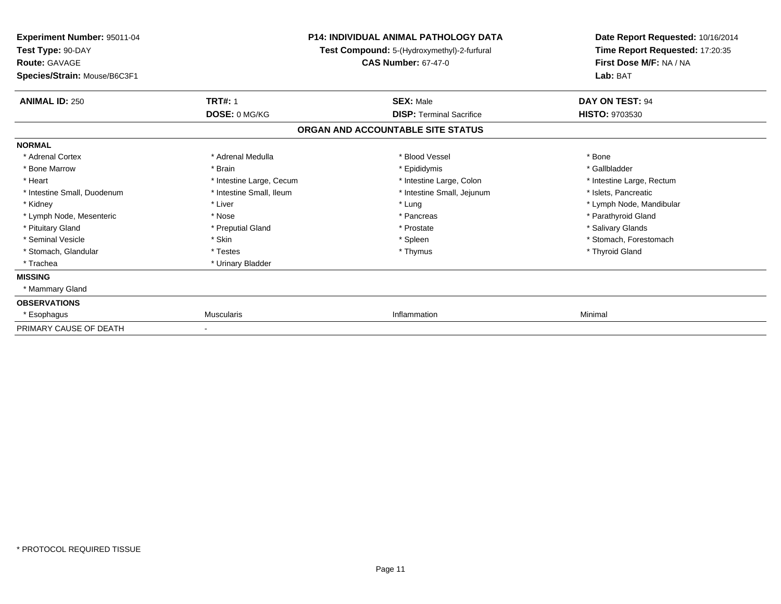| <b>Experiment Number: 95011-04</b><br>Test Type: 90-DAY |                          | <b>P14: INDIVIDUAL ANIMAL PATHOLOGY DATA</b><br>Test Compound: 5-(Hydroxymethyl)-2-furfural | Date Report Requested: 10/16/2014<br>Time Report Requested: 17:20:35 |
|---------------------------------------------------------|--------------------------|---------------------------------------------------------------------------------------------|----------------------------------------------------------------------|
| <b>Route: GAVAGE</b><br>Species/Strain: Mouse/B6C3F1    |                          | <b>CAS Number: 67-47-0</b>                                                                  | First Dose M/F: NA / NA<br>Lab: BAT                                  |
| <b>ANIMAL ID: 250</b>                                   | <b>TRT#: 1</b>           | <b>SEX: Male</b>                                                                            | DAY ON TEST: 94                                                      |
|                                                         | DOSE: 0 MG/KG            | <b>DISP: Terminal Sacrifice</b>                                                             | <b>HISTO: 9703530</b>                                                |
|                                                         |                          | ORGAN AND ACCOUNTABLE SITE STATUS                                                           |                                                                      |
| <b>NORMAL</b>                                           |                          |                                                                                             |                                                                      |
| * Adrenal Cortex                                        | * Adrenal Medulla        | * Blood Vessel                                                                              | * Bone                                                               |
| * Bone Marrow                                           | * Brain                  | * Epididymis                                                                                | * Gallbladder                                                        |
| * Heart                                                 | * Intestine Large, Cecum | * Intestine Large, Colon                                                                    | * Intestine Large, Rectum                                            |
| * Intestine Small, Duodenum                             | * Intestine Small, Ileum | * Intestine Small, Jejunum                                                                  | * Islets, Pancreatic                                                 |
| * Kidney                                                | * Liver                  | * Lung                                                                                      | * Lymph Node, Mandibular                                             |
| * Lymph Node, Mesenteric                                | * Nose                   | * Pancreas                                                                                  | * Parathyroid Gland                                                  |
| * Pituitary Gland                                       | * Preputial Gland        | * Prostate                                                                                  | * Salivary Glands                                                    |
| * Seminal Vesicle                                       | * Skin                   | * Spleen                                                                                    | * Stomach, Forestomach                                               |
| * Stomach, Glandular                                    | * Testes                 | * Thymus                                                                                    | * Thyroid Gland                                                      |
| * Trachea                                               | * Urinary Bladder        |                                                                                             |                                                                      |
| <b>MISSING</b>                                          |                          |                                                                                             |                                                                      |
| * Mammary Gland                                         |                          |                                                                                             |                                                                      |
| <b>OBSERVATIONS</b>                                     |                          |                                                                                             |                                                                      |
| * Esophagus                                             | <b>Muscularis</b>        | Inflammation                                                                                | Minimal                                                              |
| PRIMARY CAUSE OF DEATH                                  |                          |                                                                                             |                                                                      |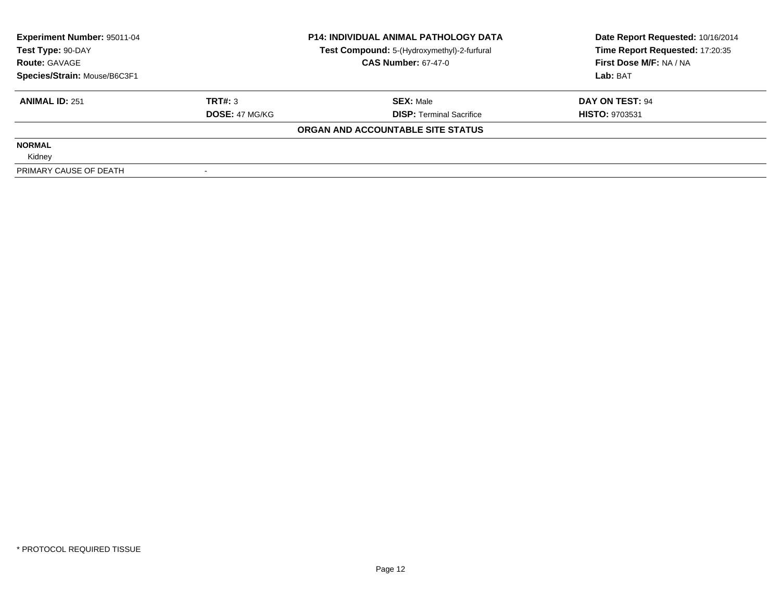| Experiment Number: 95011-04<br>Test Type: 90-DAY |                       | <b>P14: INDIVIDUAL ANIMAL PATHOLOGY DATA</b> | Date Report Requested: 10/16/2014 |  |
|--------------------------------------------------|-----------------------|----------------------------------------------|-----------------------------------|--|
|                                                  |                       | Test Compound: 5-(Hydroxymethyl)-2-furfural  | Time Report Requested: 17:20:35   |  |
| <b>Route: GAVAGE</b>                             |                       | <b>CAS Number: 67-47-0</b>                   | First Dose M/F: NA / NA           |  |
| Species/Strain: Mouse/B6C3F1                     |                       |                                              | Lab: BAT                          |  |
| <b>ANIMAL ID: 251</b>                            | TRT#: 3               | <b>SEX: Male</b>                             | DAY ON TEST: 94                   |  |
|                                                  | <b>DOSE: 47 MG/KG</b> | <b>DISP:</b> Terminal Sacrifice              | <b>HISTO: 9703531</b>             |  |
|                                                  |                       | ORGAN AND ACCOUNTABLE SITE STATUS            |                                   |  |
| <b>NORMAL</b>                                    |                       |                                              |                                   |  |
| Kidney                                           |                       |                                              |                                   |  |
| PRIMARY CAUSE OF DEATH                           |                       |                                              |                                   |  |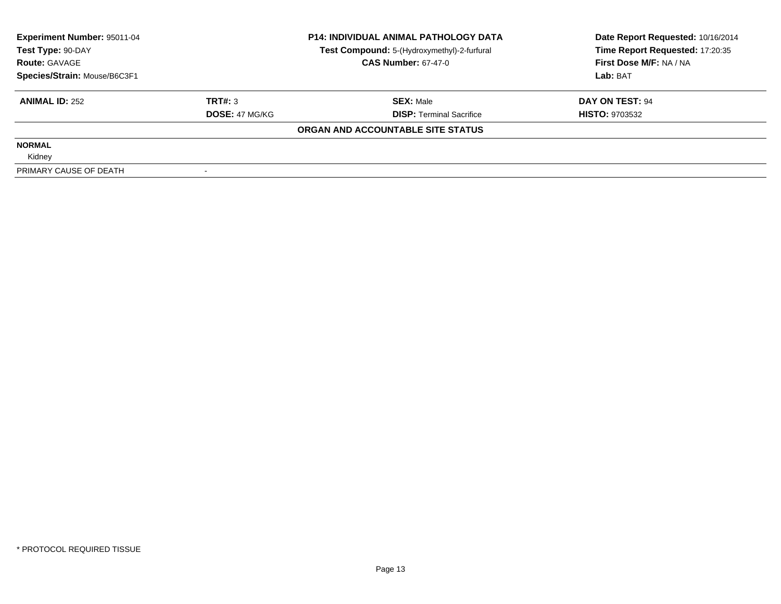| <b>Experiment Number: 95011-04</b> |                       | <b>P14: INDIVIDUAL ANIMAL PATHOLOGY DATA</b> | Date Report Requested: 10/16/2014 |
|------------------------------------|-----------------------|----------------------------------------------|-----------------------------------|
| Test Type: 90-DAY                  |                       | Test Compound: 5-(Hydroxymethyl)-2-furfural  | Time Report Requested: 17:20:35   |
| <b>Route: GAVAGE</b>               |                       | <b>CAS Number: 67-47-0</b>                   | First Dose M/F: NA / NA           |
| Species/Strain: Mouse/B6C3F1       |                       |                                              | Lab: BAT                          |
| <b>ANIMAL ID: 252</b>              | TRT#: 3               | <b>SEX: Male</b>                             | DAY ON TEST: 94                   |
|                                    | <b>DOSE: 47 MG/KG</b> | <b>DISP:</b> Terminal Sacrifice              | <b>HISTO: 9703532</b>             |
|                                    |                       | ORGAN AND ACCOUNTABLE SITE STATUS            |                                   |
| <b>NORMAL</b>                      |                       |                                              |                                   |
| Kidney                             |                       |                                              |                                   |
| PRIMARY CAUSE OF DEATH             |                       |                                              |                                   |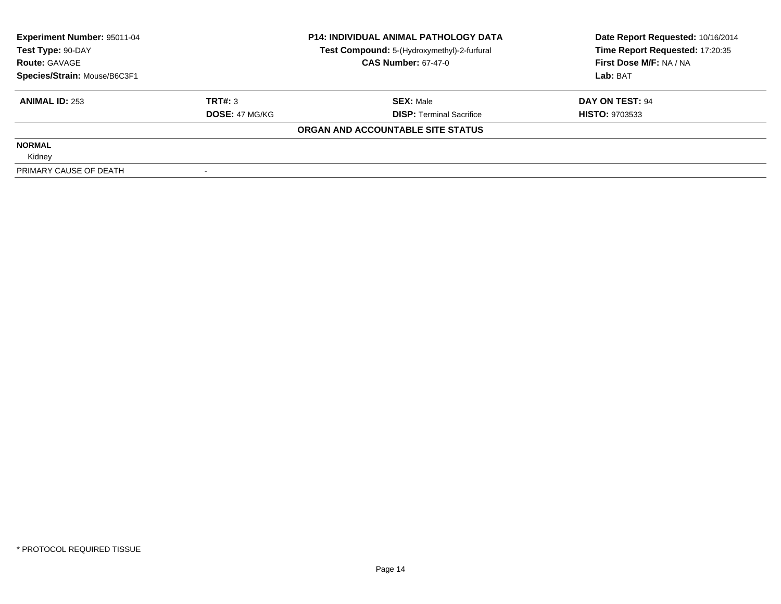| <b>Experiment Number: 95011-04</b> |                       | <b>P14: INDIVIDUAL ANIMAL PATHOLOGY DATA</b> | Date Report Requested: 10/16/2014 |
|------------------------------------|-----------------------|----------------------------------------------|-----------------------------------|
| Test Type: 90-DAY                  |                       | Test Compound: 5-(Hydroxymethyl)-2-furfural  | Time Report Requested: 17:20:35   |
| <b>Route: GAVAGE</b>               |                       | <b>CAS Number: 67-47-0</b>                   | First Dose M/F: NA / NA           |
| Species/Strain: Mouse/B6C3F1       |                       |                                              | Lab: BAT                          |
| <b>ANIMAL ID: 253</b>              | TRT#: 3               | <b>SEX: Male</b>                             | DAY ON TEST: 94                   |
|                                    | <b>DOSE: 47 MG/KG</b> | <b>DISP:</b> Terminal Sacrifice              | <b>HISTO: 9703533</b>             |
|                                    |                       | ORGAN AND ACCOUNTABLE SITE STATUS            |                                   |
| <b>NORMAL</b>                      |                       |                                              |                                   |
| Kidney                             |                       |                                              |                                   |
| PRIMARY CAUSE OF DEATH             |                       |                                              |                                   |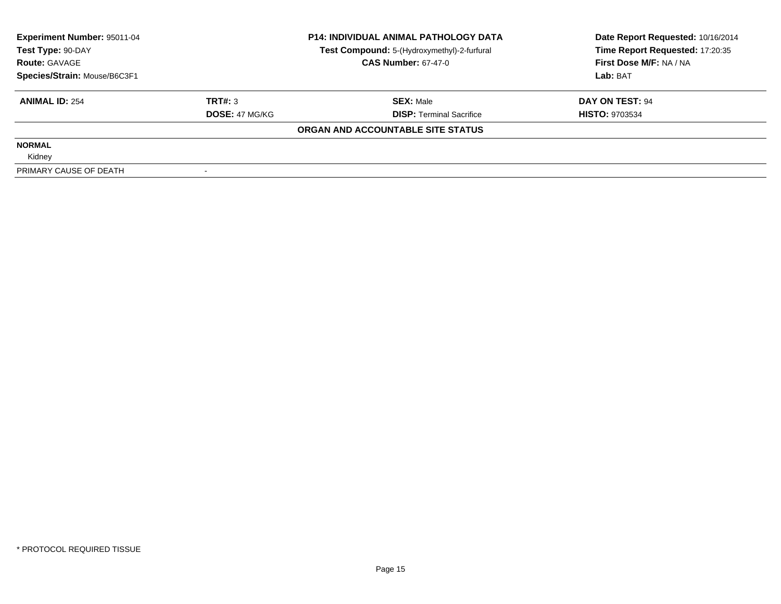| <b>Experiment Number: 95011-04</b> |                       | <b>P14: INDIVIDUAL ANIMAL PATHOLOGY DATA</b> | Date Report Requested: 10/16/2014 |
|------------------------------------|-----------------------|----------------------------------------------|-----------------------------------|
| Test Type: 90-DAY                  |                       | Test Compound: 5-(Hydroxymethyl)-2-furfural  | Time Report Requested: 17:20:35   |
| <b>Route: GAVAGE</b>               |                       | <b>CAS Number: 67-47-0</b>                   | First Dose M/F: NA / NA           |
| Species/Strain: Mouse/B6C3F1       |                       |                                              | Lab: BAT                          |
| <b>ANIMAL ID: 254</b>              | TRT#: 3               | <b>SEX: Male</b>                             | DAY ON TEST: 94                   |
|                                    | <b>DOSE: 47 MG/KG</b> | <b>DISP: Terminal Sacrifice</b>              | <b>HISTO: 9703534</b>             |
|                                    |                       | ORGAN AND ACCOUNTABLE SITE STATUS            |                                   |
| <b>NORMAL</b>                      |                       |                                              |                                   |
| Kidney                             |                       |                                              |                                   |
| PRIMARY CAUSE OF DEATH             |                       |                                              |                                   |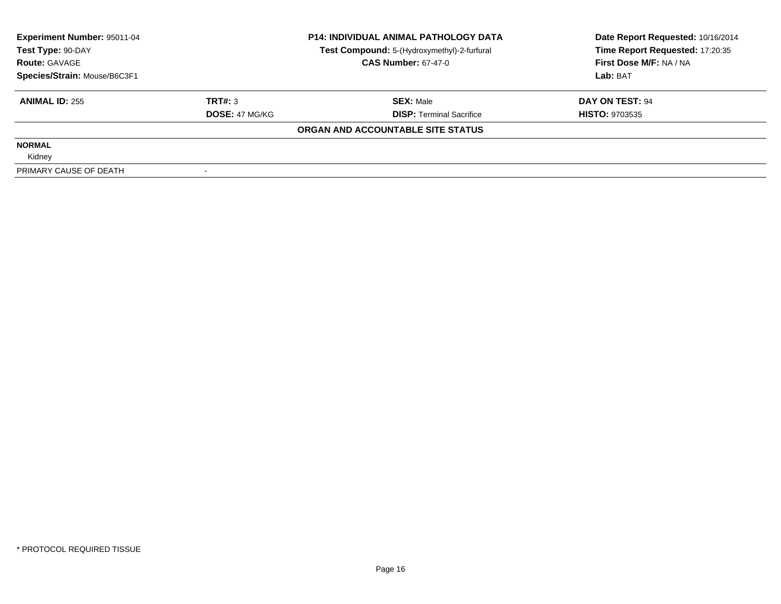| Experiment Number: 95011-04  |                       | <b>P14: INDIVIDUAL ANIMAL PATHOLOGY DATA</b> | Date Report Requested: 10/16/2014 |
|------------------------------|-----------------------|----------------------------------------------|-----------------------------------|
| Test Type: 90-DAY            |                       | Test Compound: 5-(Hydroxymethyl)-2-furfural  | Time Report Requested: 17:20:35   |
| <b>Route: GAVAGE</b>         |                       | <b>CAS Number: 67-47-0</b>                   | First Dose M/F: NA / NA           |
| Species/Strain: Mouse/B6C3F1 |                       |                                              | Lab: BAT                          |
| <b>ANIMAL ID: 255</b>        | TRT#: 3               | <b>SEX: Male</b>                             | DAY ON TEST: 94                   |
|                              | <b>DOSE: 47 MG/KG</b> | <b>DISP:</b> Terminal Sacrifice              | <b>HISTO: 9703535</b>             |
|                              |                       | ORGAN AND ACCOUNTABLE SITE STATUS            |                                   |
| <b>NORMAL</b>                |                       |                                              |                                   |
| Kidney                       |                       |                                              |                                   |
| PRIMARY CAUSE OF DEATH       |                       |                                              |                                   |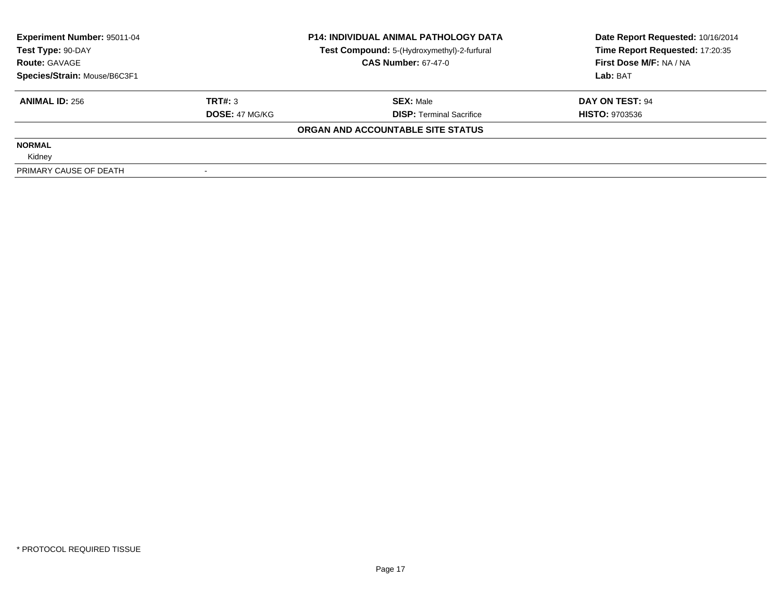| Experiment Number: 95011-04  |                       | <b>P14: INDIVIDUAL ANIMAL PATHOLOGY DATA</b> | Date Report Requested: 10/16/2014 |
|------------------------------|-----------------------|----------------------------------------------|-----------------------------------|
| Test Type: 90-DAY            |                       | Test Compound: 5-(Hydroxymethyl)-2-furfural  | Time Report Requested: 17:20:35   |
| <b>Route: GAVAGE</b>         |                       | <b>CAS Number: 67-47-0</b>                   | First Dose M/F: NA / NA           |
| Species/Strain: Mouse/B6C3F1 |                       |                                              | Lab: BAT                          |
| <b>ANIMAL ID: 256</b>        | TRT#: 3               | <b>SEX: Male</b>                             | DAY ON TEST: 94                   |
|                              | <b>DOSE: 47 MG/KG</b> | <b>DISP:</b> Terminal Sacrifice              | <b>HISTO: 9703536</b>             |
|                              |                       | ORGAN AND ACCOUNTABLE SITE STATUS            |                                   |
| <b>NORMAL</b>                |                       |                                              |                                   |
| Kidney                       |                       |                                              |                                   |
| PRIMARY CAUSE OF DEATH       |                       |                                              |                                   |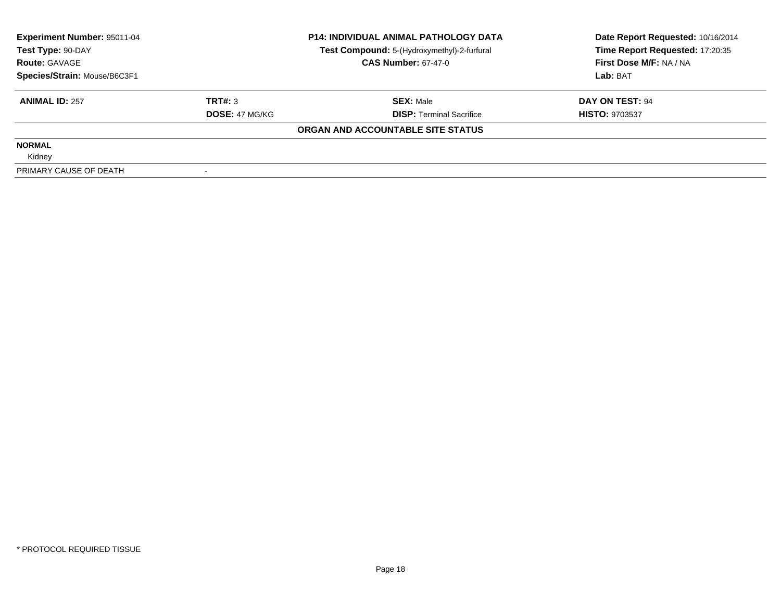| <b>Experiment Number: 95011-04</b> |                       | <b>P14: INDIVIDUAL ANIMAL PATHOLOGY DATA</b> | Date Report Requested: 10/16/2014 |
|------------------------------------|-----------------------|----------------------------------------------|-----------------------------------|
| Test Type: 90-DAY                  |                       | Test Compound: 5-(Hydroxymethyl)-2-furfural  | Time Report Requested: 17:20:35   |
| <b>Route: GAVAGE</b>               |                       | <b>CAS Number: 67-47-0</b>                   | First Dose M/F: NA / NA           |
| Species/Strain: Mouse/B6C3F1       |                       |                                              | Lab: BAT                          |
| <b>ANIMAL ID: 257</b>              | TRT#: 3               | <b>SEX: Male</b>                             | DAY ON TEST: 94                   |
|                                    | <b>DOSE: 47 MG/KG</b> | <b>DISP:</b> Terminal Sacrifice              | <b>HISTO: 9703537</b>             |
|                                    |                       | ORGAN AND ACCOUNTABLE SITE STATUS            |                                   |
| <b>NORMAL</b>                      |                       |                                              |                                   |
| Kidney                             |                       |                                              |                                   |
| PRIMARY CAUSE OF DEATH             |                       |                                              |                                   |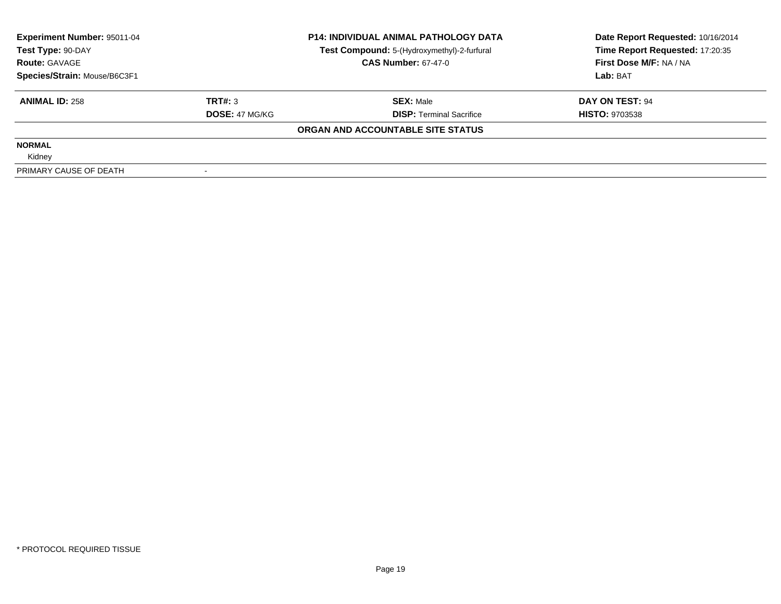| Experiment Number: 95011-04  |                       | <b>P14: INDIVIDUAL ANIMAL PATHOLOGY DATA</b> | Date Report Requested: 10/16/2014 |
|------------------------------|-----------------------|----------------------------------------------|-----------------------------------|
| Test Type: 90-DAY            |                       | Test Compound: 5-(Hydroxymethyl)-2-furfural  | Time Report Requested: 17:20:35   |
| <b>Route: GAVAGE</b>         |                       | <b>CAS Number: 67-47-0</b>                   | First Dose M/F: NA / NA           |
| Species/Strain: Mouse/B6C3F1 |                       |                                              | Lab: BAT                          |
| <b>ANIMAL ID: 258</b>        | TRT#: 3               | <b>SEX: Male</b>                             | DAY ON TEST: 94                   |
|                              | <b>DOSE: 47 MG/KG</b> | <b>DISP:</b> Terminal Sacrifice              | <b>HISTO: 9703538</b>             |
|                              |                       | ORGAN AND ACCOUNTABLE SITE STATUS            |                                   |
| <b>NORMAL</b>                |                       |                                              |                                   |
| Kidney                       |                       |                                              |                                   |
| PRIMARY CAUSE OF DEATH       |                       |                                              |                                   |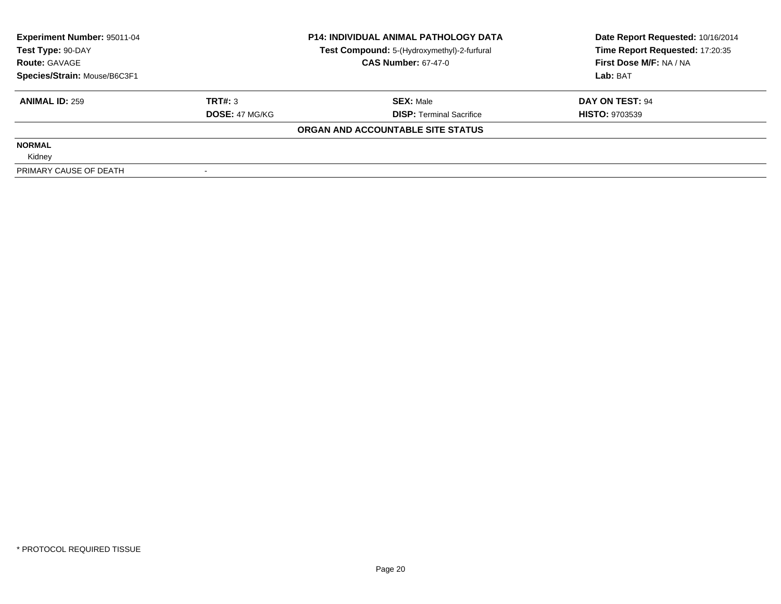| Experiment Number: 95011-04  |                       | <b>P14: INDIVIDUAL ANIMAL PATHOLOGY DATA</b> | Date Report Requested: 10/16/2014 |
|------------------------------|-----------------------|----------------------------------------------|-----------------------------------|
| Test Type: 90-DAY            |                       | Test Compound: 5-(Hydroxymethyl)-2-furfural  | Time Report Requested: 17:20:35   |
| <b>Route: GAVAGE</b>         |                       | <b>CAS Number: 67-47-0</b>                   | First Dose M/F: NA / NA           |
| Species/Strain: Mouse/B6C3F1 |                       |                                              | Lab: BAT                          |
| <b>ANIMAL ID: 259</b>        | TRT#: 3               | <b>SEX: Male</b>                             | DAY ON TEST: 94                   |
|                              | <b>DOSE: 47 MG/KG</b> | <b>DISP:</b> Terminal Sacrifice              | <b>HISTO: 9703539</b>             |
|                              |                       | ORGAN AND ACCOUNTABLE SITE STATUS            |                                   |
| <b>NORMAL</b>                |                       |                                              |                                   |
| Kidney                       |                       |                                              |                                   |
| PRIMARY CAUSE OF DEATH       |                       |                                              |                                   |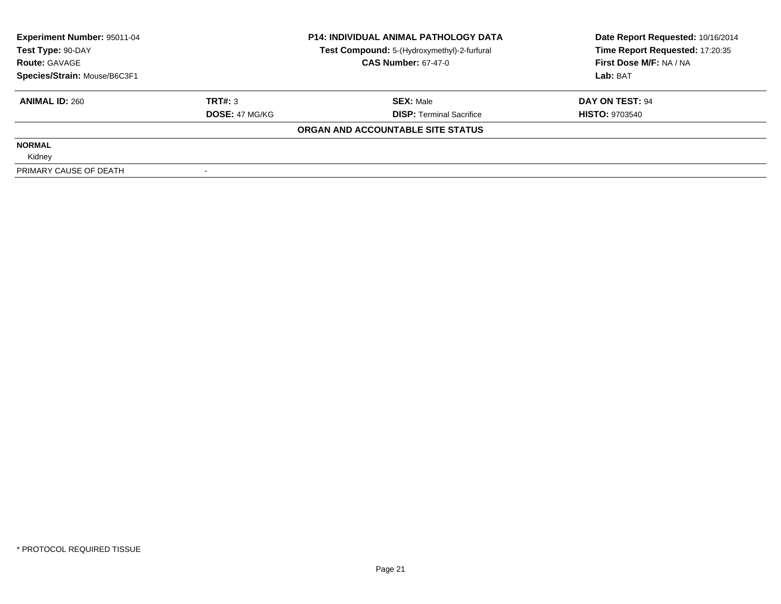| <b>Experiment Number: 95011-04</b> |                       | <b>P14: INDIVIDUAL ANIMAL PATHOLOGY DATA</b> | Date Report Requested: 10/16/2014 |
|------------------------------------|-----------------------|----------------------------------------------|-----------------------------------|
| Test Type: 90-DAY                  |                       | Test Compound: 5-(Hydroxymethyl)-2-furfural  | Time Report Requested: 17:20:35   |
| <b>Route: GAVAGE</b>               |                       | <b>CAS Number: 67-47-0</b>                   | First Dose M/F: NA / NA           |
| Species/Strain: Mouse/B6C3F1       |                       |                                              | Lab: BAT                          |
| <b>ANIMAL ID: 260</b>              | TRT#: 3               | <b>SEX: Male</b>                             | DAY ON TEST: 94                   |
|                                    | <b>DOSE: 47 MG/KG</b> | <b>DISP:</b> Terminal Sacrifice              | <b>HISTO: 9703540</b>             |
|                                    |                       | ORGAN AND ACCOUNTABLE SITE STATUS            |                                   |
| <b>NORMAL</b>                      |                       |                                              |                                   |
| Kidney                             |                       |                                              |                                   |
| PRIMARY CAUSE OF DEATH             |                       |                                              |                                   |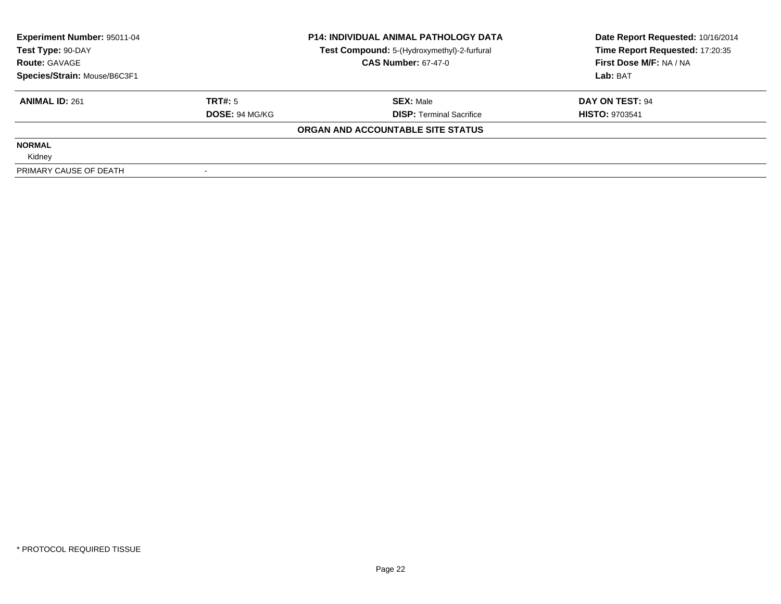| Experiment Number: 95011-04  |                       | <b>P14: INDIVIDUAL ANIMAL PATHOLOGY DATA</b> | Date Report Requested: 10/16/2014 |
|------------------------------|-----------------------|----------------------------------------------|-----------------------------------|
| Test Type: 90-DAY            |                       | Test Compound: 5-(Hydroxymethyl)-2-furfural  | Time Report Requested: 17:20:35   |
| <b>Route: GAVAGE</b>         |                       | <b>CAS Number: 67-47-0</b>                   | First Dose M/F: NA / NA           |
| Species/Strain: Mouse/B6C3F1 |                       |                                              | Lab: BAT                          |
| <b>ANIMAL ID: 261</b>        | TRT#: 5               | <b>SEX: Male</b>                             | DAY ON TEST: 94                   |
|                              | <b>DOSE: 94 MG/KG</b> | <b>DISP:</b> Terminal Sacrifice              | <b>HISTO: 9703541</b>             |
|                              |                       | ORGAN AND ACCOUNTABLE SITE STATUS            |                                   |
| <b>NORMAL</b>                |                       |                                              |                                   |
| Kidney                       |                       |                                              |                                   |
| PRIMARY CAUSE OF DEATH       |                       |                                              |                                   |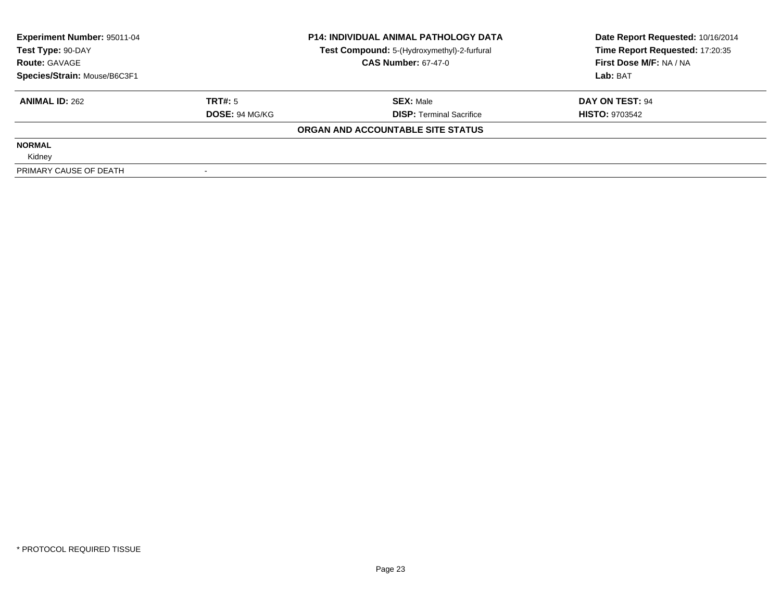| <b>Experiment Number: 95011-04</b> |                       | <b>P14: INDIVIDUAL ANIMAL PATHOLOGY DATA</b> | Date Report Requested: 10/16/2014 |
|------------------------------------|-----------------------|----------------------------------------------|-----------------------------------|
| Test Type: 90-DAY                  |                       | Test Compound: 5-(Hydroxymethyl)-2-furfural  | Time Report Requested: 17:20:35   |
| <b>Route: GAVAGE</b>               |                       | <b>CAS Number: 67-47-0</b>                   | First Dose M/F: NA / NA           |
| Species/Strain: Mouse/B6C3F1       |                       |                                              | Lab: BAT                          |
| <b>ANIMAL ID: 262</b>              | TRT#: 5               | <b>SEX: Male</b>                             | DAY ON TEST: 94                   |
|                                    | <b>DOSE: 94 MG/KG</b> | <b>DISP:</b> Terminal Sacrifice              | <b>HISTO: 9703542</b>             |
|                                    |                       | ORGAN AND ACCOUNTABLE SITE STATUS            |                                   |
| <b>NORMAL</b>                      |                       |                                              |                                   |
| Kidney                             |                       |                                              |                                   |
| PRIMARY CAUSE OF DEATH             |                       |                                              |                                   |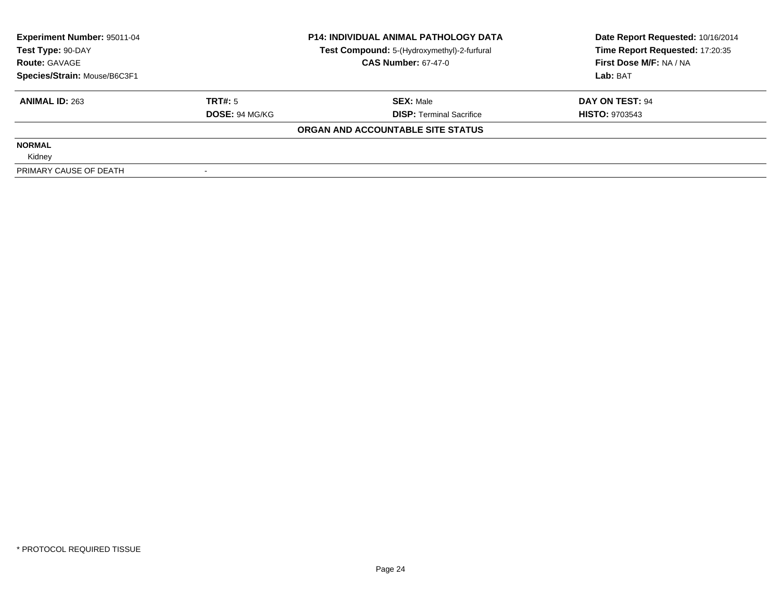| Experiment Number: 95011-04<br>Test Type: 90-DAY |                       | <b>P14: INDIVIDUAL ANIMAL PATHOLOGY DATA</b><br>Test Compound: 5-(Hydroxymethyl)-2-furfural | Date Report Requested: 10/16/2014<br>Time Report Requested: 17:20:35 |
|--------------------------------------------------|-----------------------|---------------------------------------------------------------------------------------------|----------------------------------------------------------------------|
| <b>Route: GAVAGE</b>                             |                       | <b>CAS Number: 67-47-0</b>                                                                  | First Dose M/F: NA / NA                                              |
| Species/Strain: Mouse/B6C3F1                     |                       |                                                                                             | Lab: BAT                                                             |
| <b>ANIMAL ID: 263</b>                            | TRT#: 5               | <b>SEX: Male</b>                                                                            | DAY ON TEST: 94                                                      |
|                                                  | <b>DOSE: 94 MG/KG</b> | <b>DISP:</b> Terminal Sacrifice                                                             | <b>HISTO: 9703543</b>                                                |
|                                                  |                       | ORGAN AND ACCOUNTABLE SITE STATUS                                                           |                                                                      |
| <b>NORMAL</b>                                    |                       |                                                                                             |                                                                      |
| Kidney                                           |                       |                                                                                             |                                                                      |
| PRIMARY CAUSE OF DEATH                           |                       |                                                                                             |                                                                      |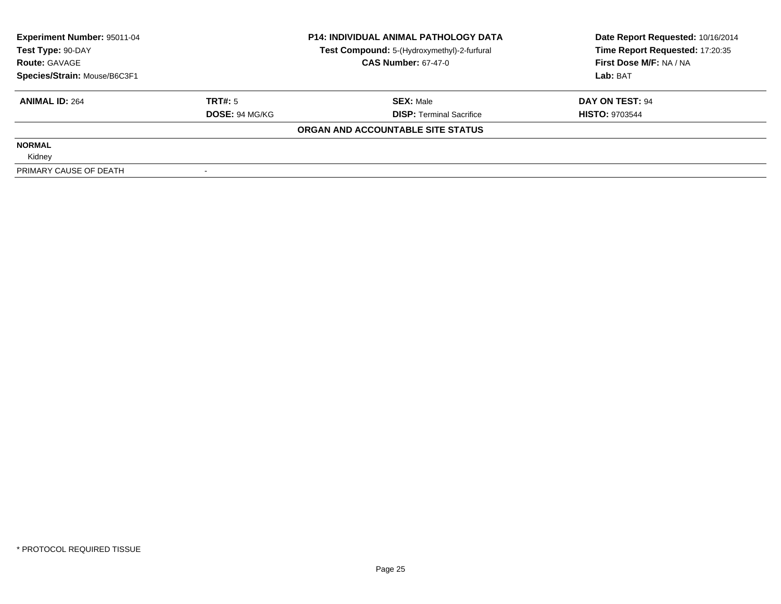| Experiment Number: 95011-04<br>Test Type: 90-DAY<br><b>Route: GAVAGE</b> |                       | <b>P14: INDIVIDUAL ANIMAL PATHOLOGY DATA</b><br>Test Compound: 5-(Hydroxymethyl)-2-furfural | Date Report Requested: 10/16/2014<br>Time Report Requested: 17:20:35 |  |
|--------------------------------------------------------------------------|-----------------------|---------------------------------------------------------------------------------------------|----------------------------------------------------------------------|--|
|                                                                          |                       | <b>CAS Number: 67-47-0</b>                                                                  | First Dose M/F: NA / NA                                              |  |
| Species/Strain: Mouse/B6C3F1                                             |                       |                                                                                             | Lab: BAT                                                             |  |
| <b>ANIMAL ID: 264</b>                                                    | TRT#: 5               | <b>SEX: Male</b>                                                                            | DAY ON TEST: 94                                                      |  |
|                                                                          | <b>DOSE: 94 MG/KG</b> | <b>DISP:</b> Terminal Sacrifice                                                             | <b>HISTO: 9703544</b>                                                |  |
|                                                                          |                       | ORGAN AND ACCOUNTABLE SITE STATUS                                                           |                                                                      |  |
| <b>NORMAL</b>                                                            |                       |                                                                                             |                                                                      |  |
| Kidney                                                                   |                       |                                                                                             |                                                                      |  |
| PRIMARY CAUSE OF DEATH                                                   |                       |                                                                                             |                                                                      |  |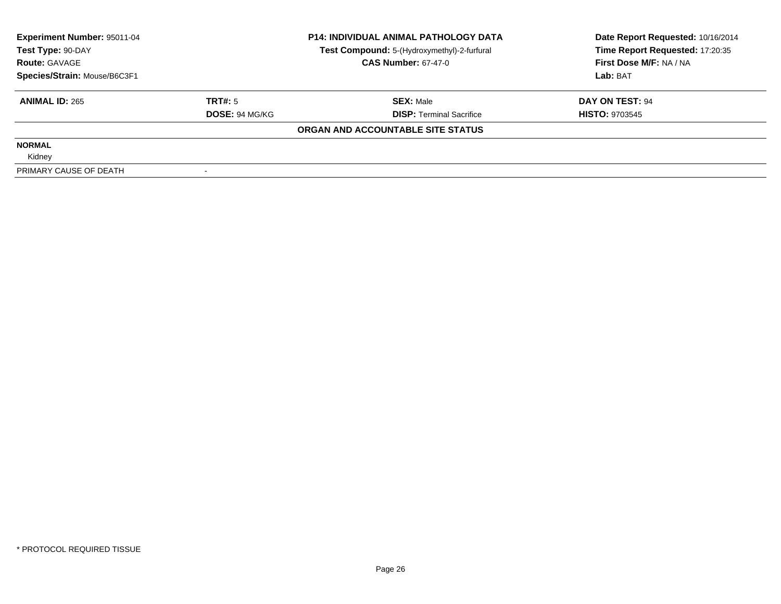| Experiment Number: 95011-04  |                       | <b>P14: INDIVIDUAL ANIMAL PATHOLOGY DATA</b> | Date Report Requested: 10/16/2014 |  |
|------------------------------|-----------------------|----------------------------------------------|-----------------------------------|--|
| Test Type: 90-DAY            |                       | Test Compound: 5-(Hydroxymethyl)-2-furfural  | Time Report Requested: 17:20:35   |  |
| <b>Route: GAVAGE</b>         |                       | <b>CAS Number: 67-47-0</b>                   | First Dose M/F: NA / NA           |  |
| Species/Strain: Mouse/B6C3F1 |                       |                                              | Lab: BAT                          |  |
| <b>ANIMAL ID: 265</b>        | TRT#: 5               | <b>SEX: Male</b>                             | DAY ON TEST: 94                   |  |
|                              | <b>DOSE: 94 MG/KG</b> | <b>DISP:</b> Terminal Sacrifice              | <b>HISTO: 9703545</b>             |  |
|                              |                       | ORGAN AND ACCOUNTABLE SITE STATUS            |                                   |  |
| <b>NORMAL</b>                |                       |                                              |                                   |  |
| Kidney                       |                       |                                              |                                   |  |
| PRIMARY CAUSE OF DEATH       |                       |                                              |                                   |  |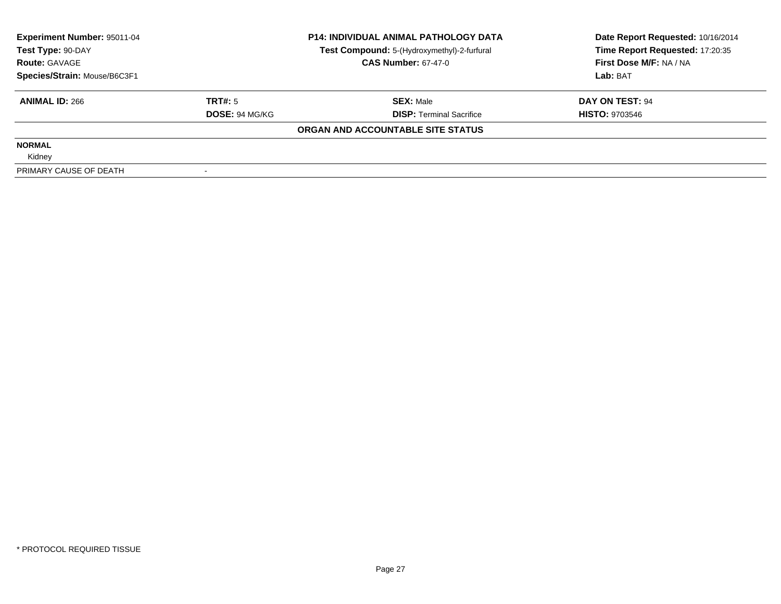| Experiment Number: 95011-04  |                       | <b>P14: INDIVIDUAL ANIMAL PATHOLOGY DATA</b> | Date Report Requested: 10/16/2014 |  |
|------------------------------|-----------------------|----------------------------------------------|-----------------------------------|--|
| Test Type: 90-DAY            |                       | Test Compound: 5-(Hydroxymethyl)-2-furfural  | Time Report Requested: 17:20:35   |  |
| <b>Route: GAVAGE</b>         |                       | <b>CAS Number: 67-47-0</b>                   | First Dose M/F: NA / NA           |  |
| Species/Strain: Mouse/B6C3F1 |                       |                                              | Lab: BAT                          |  |
| <b>ANIMAL ID: 266</b>        | TRT#: 5               | <b>SEX: Male</b>                             | DAY ON TEST: 94                   |  |
|                              | <b>DOSE: 94 MG/KG</b> | <b>DISP:</b> Terminal Sacrifice              | <b>HISTO: 9703546</b>             |  |
|                              |                       | ORGAN AND ACCOUNTABLE SITE STATUS            |                                   |  |
| <b>NORMAL</b>                |                       |                                              |                                   |  |
| Kidney                       |                       |                                              |                                   |  |
| PRIMARY CAUSE OF DEATH       |                       |                                              |                                   |  |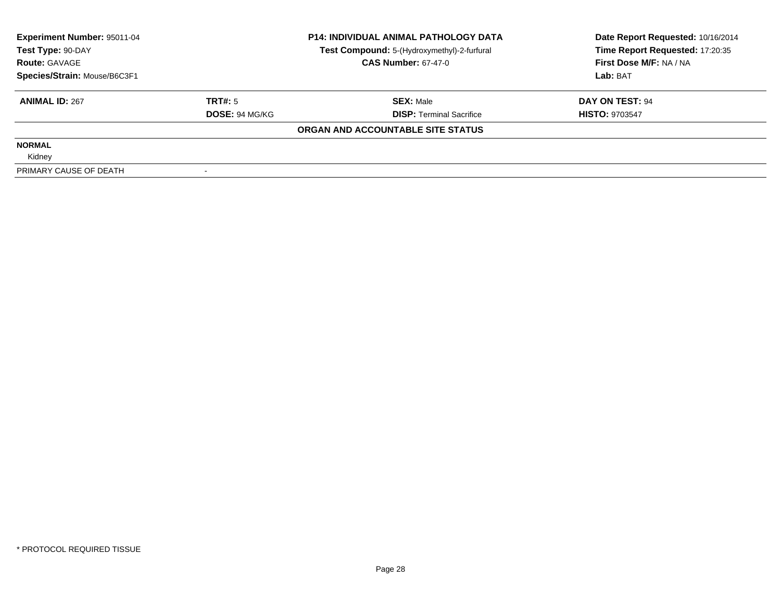| Experiment Number: 95011-04  |                       | <b>P14: INDIVIDUAL ANIMAL PATHOLOGY DATA</b> | Date Report Requested: 10/16/2014 |  |
|------------------------------|-----------------------|----------------------------------------------|-----------------------------------|--|
| Test Type: 90-DAY            |                       | Test Compound: 5-(Hydroxymethyl)-2-furfural  | Time Report Requested: 17:20:35   |  |
| <b>Route: GAVAGE</b>         |                       | <b>CAS Number: 67-47-0</b>                   | First Dose M/F: NA / NA           |  |
| Species/Strain: Mouse/B6C3F1 |                       |                                              | Lab: BAT                          |  |
| <b>ANIMAL ID: 267</b>        | TRT#: 5               | <b>SEX: Male</b>                             | DAY ON TEST: 94                   |  |
|                              | <b>DOSE: 94 MG/KG</b> | <b>DISP:</b> Terminal Sacrifice              | <b>HISTO: 9703547</b>             |  |
|                              |                       | ORGAN AND ACCOUNTABLE SITE STATUS            |                                   |  |
| <b>NORMAL</b>                |                       |                                              |                                   |  |
| Kidney                       |                       |                                              |                                   |  |
| PRIMARY CAUSE OF DEATH       |                       |                                              |                                   |  |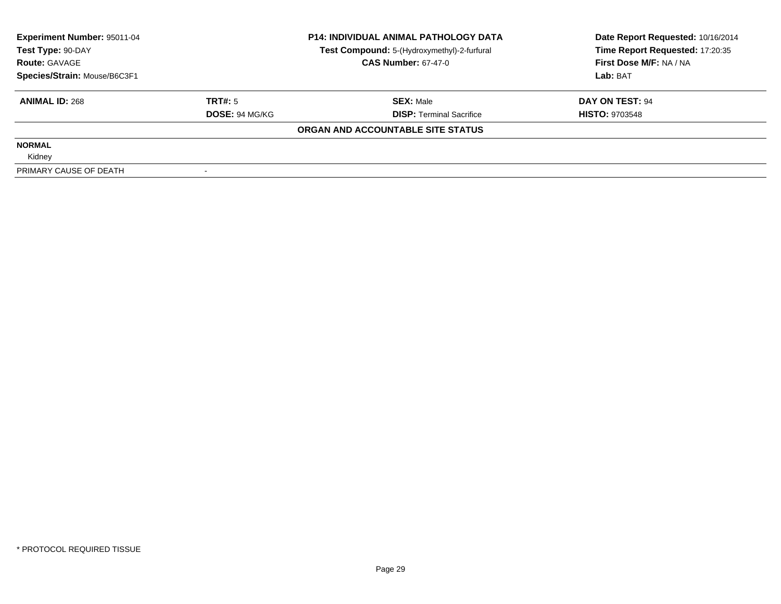| Experiment Number: 95011-04  |                       | <b>P14: INDIVIDUAL ANIMAL PATHOLOGY DATA</b> | Date Report Requested: 10/16/2014 |  |
|------------------------------|-----------------------|----------------------------------------------|-----------------------------------|--|
| Test Type: 90-DAY            |                       | Test Compound: 5-(Hydroxymethyl)-2-furfural  | Time Report Requested: 17:20:35   |  |
| <b>Route: GAVAGE</b>         |                       | <b>CAS Number: 67-47-0</b>                   | First Dose M/F: NA / NA           |  |
| Species/Strain: Mouse/B6C3F1 |                       |                                              | Lab: BAT                          |  |
| <b>ANIMAL ID: 268</b>        | TRT#: 5               | <b>SEX: Male</b>                             | DAY ON TEST: 94                   |  |
|                              | <b>DOSE: 94 MG/KG</b> | <b>DISP:</b> Terminal Sacrifice              | <b>HISTO: 9703548</b>             |  |
|                              |                       | ORGAN AND ACCOUNTABLE SITE STATUS            |                                   |  |
| <b>NORMAL</b>                |                       |                                              |                                   |  |
| Kidney                       |                       |                                              |                                   |  |
| PRIMARY CAUSE OF DEATH       |                       |                                              |                                   |  |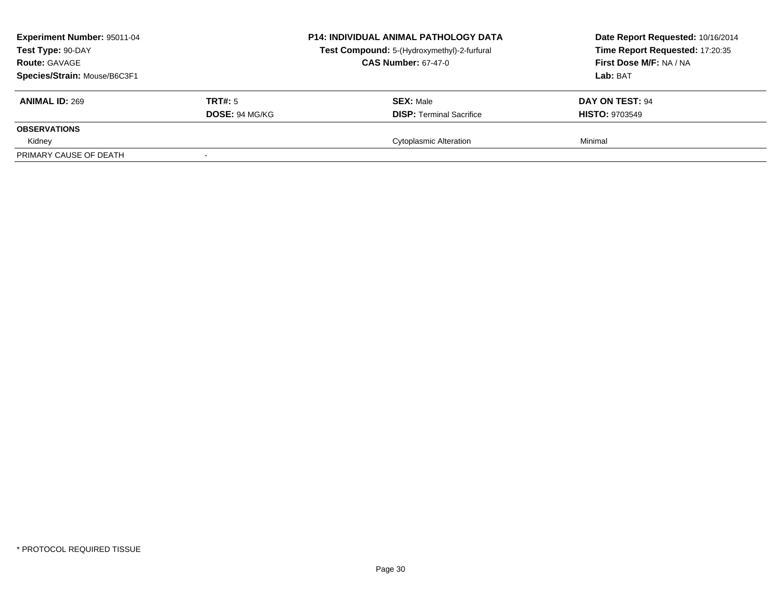| <b>Experiment Number: 95011-04</b><br>Test Type: 90-DAY<br><b>Route: GAVAGE</b><br>Species/Strain: Mouse/B6C3F1 |                                  | <b>P14: INDIVIDUAL ANIMAL PATHOLOGY DATA</b><br>Test Compound: 5-(Hydroxymethyl)-2-furfural<br><b>CAS Number: 67-47-0</b> | Date Report Requested: 10/16/2014<br>Time Report Requested: 17:20:35<br>First Dose M/F: NA / NA<br>Lab: BAT |
|-----------------------------------------------------------------------------------------------------------------|----------------------------------|---------------------------------------------------------------------------------------------------------------------------|-------------------------------------------------------------------------------------------------------------|
| <b>ANIMAL ID: 269</b>                                                                                           | TRT#: 5<br><b>DOSE: 94 MG/KG</b> | <b>SEX: Male</b><br><b>DISP:</b> Terminal Sacrifice                                                                       | <b>DAY ON TEST: 94</b><br><b>HISTO: 9703549</b>                                                             |
| <b>OBSERVATIONS</b>                                                                                             |                                  |                                                                                                                           |                                                                                                             |
| Kidney                                                                                                          |                                  | <b>Cytoplasmic Alteration</b>                                                                                             | Minimal                                                                                                     |
| PRIMARY CAUSE OF DEATH                                                                                          |                                  |                                                                                                                           |                                                                                                             |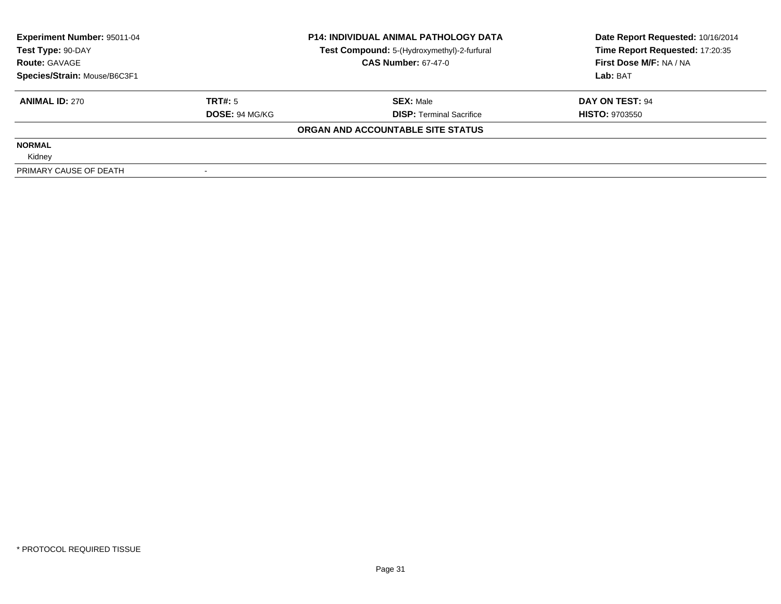| Experiment Number: 95011-04  |                       | <b>P14: INDIVIDUAL ANIMAL PATHOLOGY DATA</b> | Date Report Requested: 10/16/2014 |  |
|------------------------------|-----------------------|----------------------------------------------|-----------------------------------|--|
| Test Type: 90-DAY            |                       | Test Compound: 5-(Hydroxymethyl)-2-furfural  | Time Report Requested: 17:20:35   |  |
| <b>Route: GAVAGE</b>         |                       | <b>CAS Number: 67-47-0</b>                   | First Dose M/F: NA / NA           |  |
| Species/Strain: Mouse/B6C3F1 |                       |                                              | Lab: BAT                          |  |
| <b>ANIMAL ID: 270</b>        | TRT#: 5               | <b>SEX: Male</b>                             | DAY ON TEST: 94                   |  |
|                              | <b>DOSE: 94 MG/KG</b> | <b>DISP:</b> Terminal Sacrifice              | <b>HISTO: 9703550</b>             |  |
|                              |                       | ORGAN AND ACCOUNTABLE SITE STATUS            |                                   |  |
| <b>NORMAL</b>                |                       |                                              |                                   |  |
| Kidney                       |                       |                                              |                                   |  |
| PRIMARY CAUSE OF DEATH       |                       |                                              |                                   |  |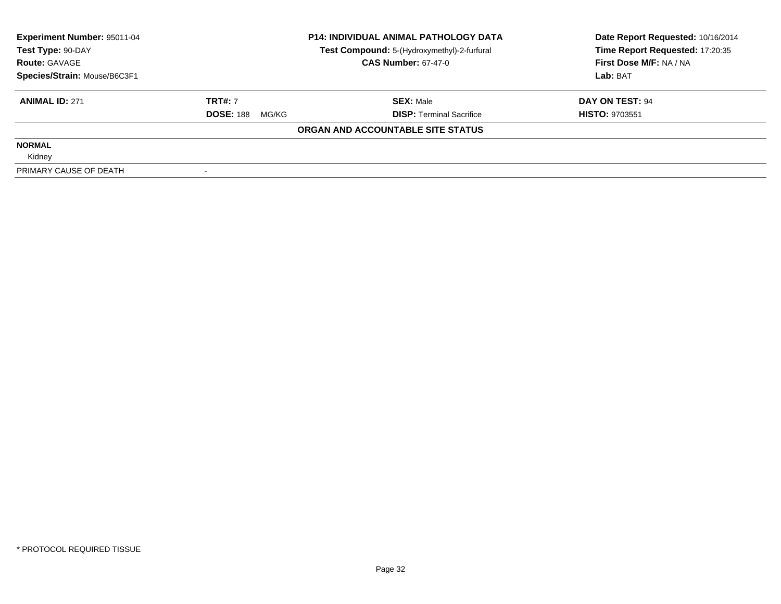| Experiment Number: 95011-04<br>Test Type: 90-DAY | <b>P14: INDIVIDUAL ANIMAL PATHOLOGY DATA</b><br>Test Compound: 5-(Hydroxymethyl)-2-furfural |                                   | Date Report Requested: 10/16/2014<br>Time Report Requested: 17:20:35 |  |
|--------------------------------------------------|---------------------------------------------------------------------------------------------|-----------------------------------|----------------------------------------------------------------------|--|
| <b>Route: GAVAGE</b>                             |                                                                                             | <b>CAS Number: 67-47-0</b>        | First Dose M/F: NA / NA                                              |  |
| Species/Strain: Mouse/B6C3F1                     |                                                                                             |                                   | Lab: BAT                                                             |  |
| <b>ANIMAL ID: 271</b>                            | <b>TRT#: 7</b>                                                                              | <b>SEX: Male</b>                  | DAY ON TEST: 94                                                      |  |
|                                                  | <b>DOSE: 188</b><br>MG/KG                                                                   | <b>DISP:</b> Terminal Sacrifice   | <b>HISTO: 9703551</b>                                                |  |
|                                                  |                                                                                             | ORGAN AND ACCOUNTABLE SITE STATUS |                                                                      |  |
| <b>NORMAL</b>                                    |                                                                                             |                                   |                                                                      |  |
| Kidney                                           |                                                                                             |                                   |                                                                      |  |
| PRIMARY CAUSE OF DEATH                           |                                                                                             |                                   |                                                                      |  |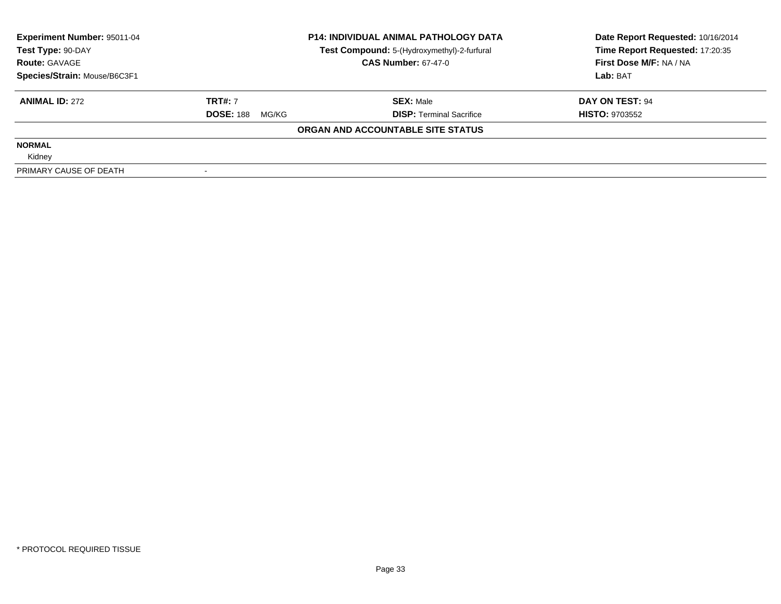| Experiment Number: 95011-04<br>Test Type: 90-DAY | <b>P14: INDIVIDUAL ANIMAL PATHOLOGY DATA</b><br>Test Compound: 5-(Hydroxymethyl)-2-furfural |                                   | Date Report Requested: 10/16/2014<br>Time Report Requested: 17:20:35 |
|--------------------------------------------------|---------------------------------------------------------------------------------------------|-----------------------------------|----------------------------------------------------------------------|
| <b>Route: GAVAGE</b>                             |                                                                                             | <b>CAS Number: 67-47-0</b>        | First Dose M/F: NA / NA                                              |
| Species/Strain: Mouse/B6C3F1                     |                                                                                             |                                   | Lab: BAT                                                             |
| <b>ANIMAL ID: 272</b>                            | <b>TRT#: 7</b>                                                                              | <b>SEX: Male</b>                  | DAY ON TEST: 94                                                      |
|                                                  | <b>DOSE: 188</b><br>MG/KG                                                                   | <b>DISP:</b> Terminal Sacrifice   | <b>HISTO: 9703552</b>                                                |
|                                                  |                                                                                             | ORGAN AND ACCOUNTABLE SITE STATUS |                                                                      |
| <b>NORMAL</b>                                    |                                                                                             |                                   |                                                                      |
| Kidney                                           |                                                                                             |                                   |                                                                      |
| PRIMARY CAUSE OF DEATH                           |                                                                                             |                                   |                                                                      |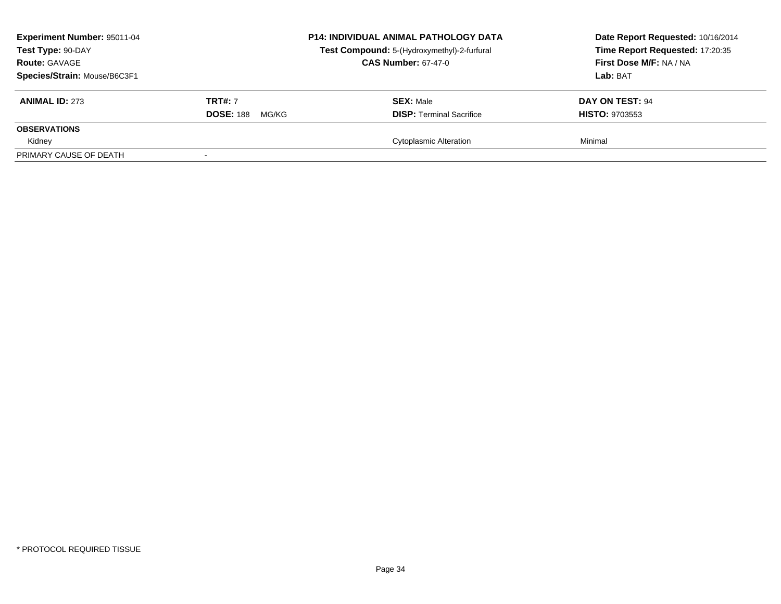| <b>Experiment Number: 95011-04</b><br>Test Type: 90-DAY<br><b>Route: GAVAGE</b><br>Species/Strain: Mouse/B6C3F1 |                                             | <b>P14: INDIVIDUAL ANIMAL PATHOLOGY DATA</b><br>Test Compound: 5-(Hydroxymethyl)-2-furfural<br><b>CAS Number: 67-47-0</b> | Date Report Requested: 10/16/2014<br>Time Report Requested: 17:20:35<br>First Dose M/F: NA / NA<br>Lab: BAT |
|-----------------------------------------------------------------------------------------------------------------|---------------------------------------------|---------------------------------------------------------------------------------------------------------------------------|-------------------------------------------------------------------------------------------------------------|
| <b>ANIMAL ID: 273</b>                                                                                           | <b>TRT#: 7</b><br><b>DOSE: 188</b><br>MG/KG | <b>SEX: Male</b><br><b>DISP:</b> Terminal Sacrifice                                                                       | DAY ON TEST: 94<br><b>HISTO: 9703553</b>                                                                    |
| <b>OBSERVATIONS</b>                                                                                             |                                             |                                                                                                                           |                                                                                                             |
| Kidney                                                                                                          |                                             | <b>Cytoplasmic Alteration</b>                                                                                             | Minimal                                                                                                     |
| PRIMARY CAUSE OF DEATH                                                                                          |                                             |                                                                                                                           |                                                                                                             |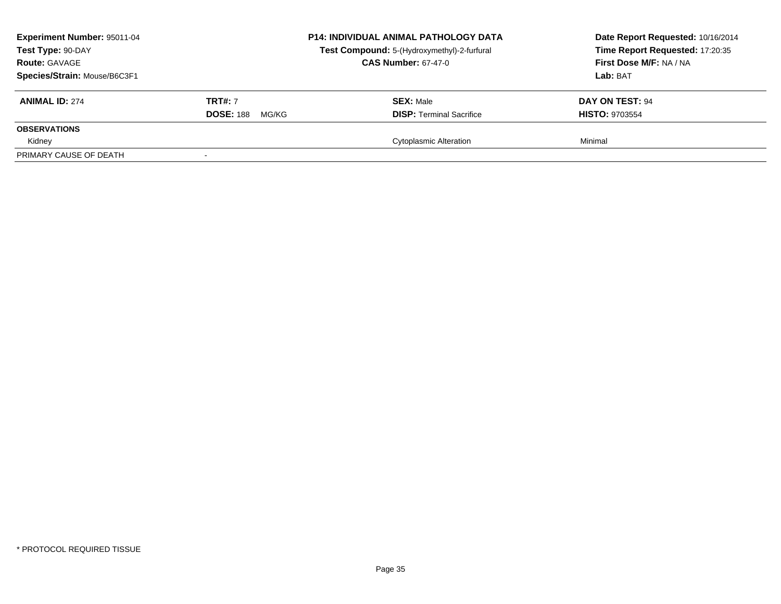| <b>Experiment Number: 95011-04</b><br>Test Type: 90-DAY<br><b>Route: GAVAGE</b><br>Species/Strain: Mouse/B6C3F1 |                                             | <b>P14: INDIVIDUAL ANIMAL PATHOLOGY DATA</b><br>Test Compound: 5-(Hydroxymethyl)-2-furfural<br><b>CAS Number: 67-47-0</b> | Date Report Requested: 10/16/2014<br>Time Report Requested: 17:20:35<br>First Dose M/F: NA / NA<br>Lab: BAT |
|-----------------------------------------------------------------------------------------------------------------|---------------------------------------------|---------------------------------------------------------------------------------------------------------------------------|-------------------------------------------------------------------------------------------------------------|
| <b>ANIMAL ID: 274</b>                                                                                           | <b>TRT#: 7</b><br><b>DOSE: 188</b><br>MG/KG | <b>SEX: Male</b><br><b>DISP:</b> Terminal Sacrifice                                                                       | DAY ON TEST: 94<br><b>HISTO: 9703554</b>                                                                    |
| <b>OBSERVATIONS</b>                                                                                             |                                             |                                                                                                                           |                                                                                                             |
| Kidney                                                                                                          |                                             | <b>Cytoplasmic Alteration</b>                                                                                             | Minimal                                                                                                     |
| PRIMARY CAUSE OF DEATH                                                                                          |                                             |                                                                                                                           |                                                                                                             |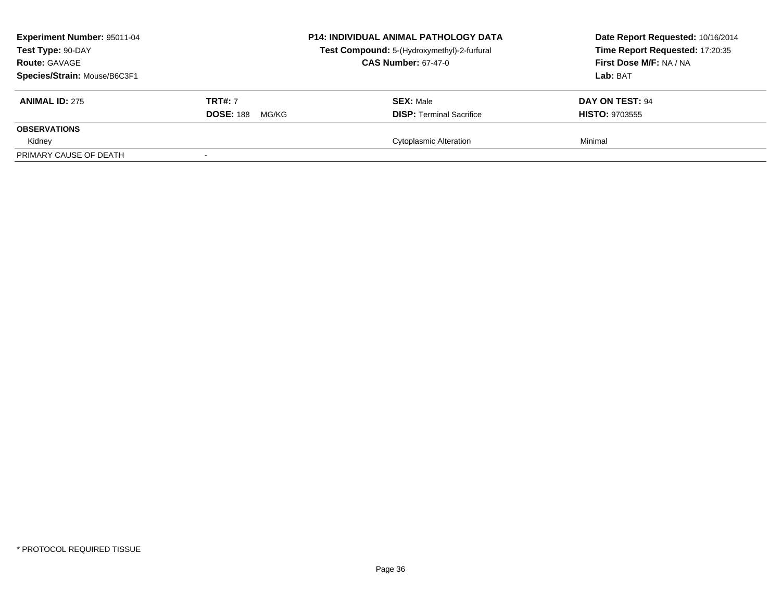| <b>Experiment Number: 95011-04</b><br>Test Type: 90-DAY<br><b>Route: GAVAGE</b><br>Species/Strain: Mouse/B6C3F1 |                                             | <b>P14: INDIVIDUAL ANIMAL PATHOLOGY DATA</b><br>Test Compound: 5-(Hydroxymethyl)-2-furfural<br><b>CAS Number: 67-47-0</b> | Date Report Requested: 10/16/2014<br>Time Report Requested: 17:20:35<br>First Dose M/F: NA / NA<br>Lab: BAT |
|-----------------------------------------------------------------------------------------------------------------|---------------------------------------------|---------------------------------------------------------------------------------------------------------------------------|-------------------------------------------------------------------------------------------------------------|
| <b>ANIMAL ID: 275</b>                                                                                           | <b>TRT#: 7</b><br><b>DOSE: 188</b><br>MG/KG | <b>SEX: Male</b><br><b>DISP:</b> Terminal Sacrifice                                                                       | DAY ON TEST: 94<br><b>HISTO: 9703555</b>                                                                    |
| <b>OBSERVATIONS</b>                                                                                             |                                             |                                                                                                                           |                                                                                                             |
| Kidney                                                                                                          |                                             | <b>Cytoplasmic Alteration</b>                                                                                             | Minimal                                                                                                     |
| PRIMARY CAUSE OF DEATH                                                                                          |                                             |                                                                                                                           |                                                                                                             |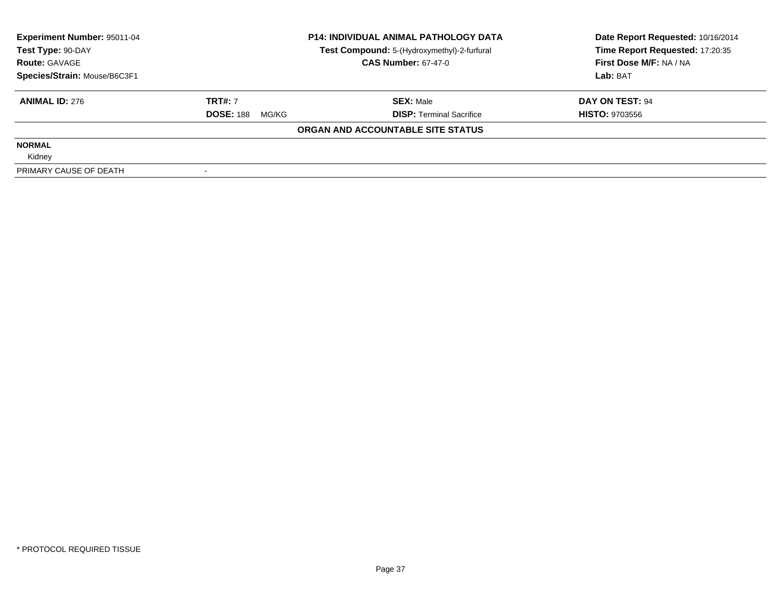| Experiment Number: 95011-04<br>Test Type: 90-DAY | <b>P14: INDIVIDUAL ANIMAL PATHOLOGY DATA</b><br>Test Compound: 5-(Hydroxymethyl)-2-furfural |                                   | Date Report Requested: 10/16/2014<br>Time Report Requested: 17:20:35 |
|--------------------------------------------------|---------------------------------------------------------------------------------------------|-----------------------------------|----------------------------------------------------------------------|
| <b>Route: GAVAGE</b>                             |                                                                                             | <b>CAS Number: 67-47-0</b>        | First Dose M/F: NA / NA                                              |
| Species/Strain: Mouse/B6C3F1                     |                                                                                             |                                   | Lab: BAT                                                             |
| <b>ANIMAL ID: 276</b>                            | <b>TRT#: 7</b>                                                                              | <b>SEX: Male</b>                  | DAY ON TEST: 94                                                      |
|                                                  | <b>DOSE: 188</b><br>MG/KG                                                                   | <b>DISP:</b> Terminal Sacrifice   | <b>HISTO: 9703556</b>                                                |
|                                                  |                                                                                             | ORGAN AND ACCOUNTABLE SITE STATUS |                                                                      |
| <b>NORMAL</b>                                    |                                                                                             |                                   |                                                                      |
| Kidney                                           |                                                                                             |                                   |                                                                      |
| PRIMARY CAUSE OF DEATH                           |                                                                                             |                                   |                                                                      |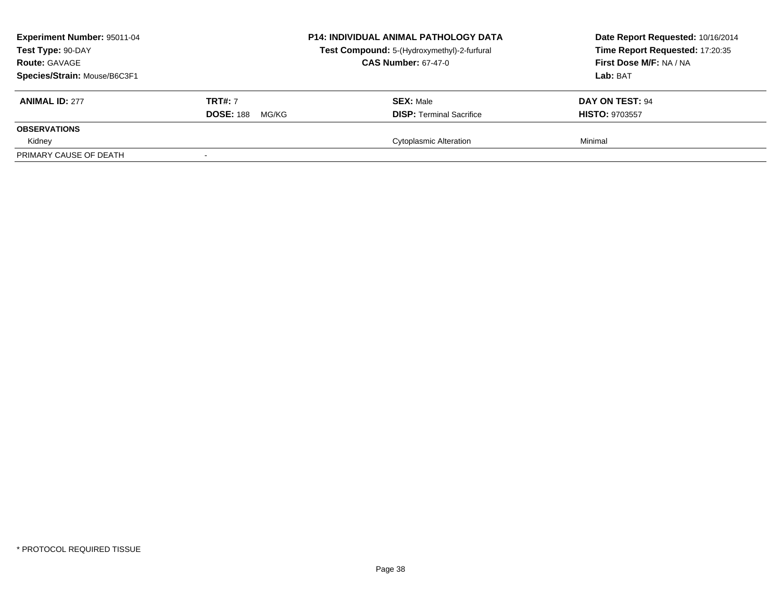| <b>Experiment Number: 95011-04</b><br>Test Type: 90-DAY<br><b>Route: GAVAGE</b><br>Species/Strain: Mouse/B6C3F1 |                                             | <b>P14: INDIVIDUAL ANIMAL PATHOLOGY DATA</b><br>Test Compound: 5-(Hydroxymethyl)-2-furfural<br><b>CAS Number: 67-47-0</b> | Date Report Requested: 10/16/2014<br>Time Report Requested: 17:20:35<br>First Dose M/F: NA / NA<br>Lab: BAT |
|-----------------------------------------------------------------------------------------------------------------|---------------------------------------------|---------------------------------------------------------------------------------------------------------------------------|-------------------------------------------------------------------------------------------------------------|
| <b>ANIMAL ID: 277</b>                                                                                           | <b>TRT#: 7</b><br><b>DOSE: 188</b><br>MG/KG | <b>SEX: Male</b><br><b>DISP:</b> Terminal Sacrifice                                                                       | DAY ON TEST: 94<br><b>HISTO: 9703557</b>                                                                    |
| <b>OBSERVATIONS</b>                                                                                             |                                             |                                                                                                                           |                                                                                                             |
| Kidney                                                                                                          |                                             | <b>Cytoplasmic Alteration</b>                                                                                             | Minimal                                                                                                     |
| PRIMARY CAUSE OF DEATH                                                                                          |                                             |                                                                                                                           |                                                                                                             |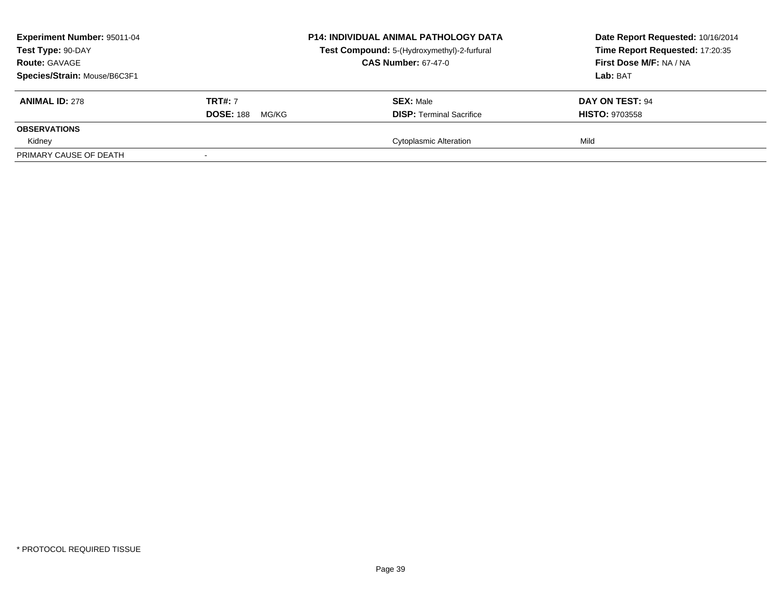| Experiment Number: 95011-04<br>Test Type: 90-DAY<br><b>Route: GAVAGE</b> |                                             | <b>P14: INDIVIDUAL ANIMAL PATHOLOGY DATA</b><br>Test Compound: 5-(Hydroxymethyl)-2-furfural<br><b>CAS Number: 67-47-0</b> | Date Report Requested: 10/16/2014<br>Time Report Requested: 17:20:35<br>First Dose M/F: NA / NA |
|--------------------------------------------------------------------------|---------------------------------------------|---------------------------------------------------------------------------------------------------------------------------|-------------------------------------------------------------------------------------------------|
| Species/Strain: Mouse/B6C3F1                                             |                                             |                                                                                                                           | Lab: BAT                                                                                        |
| <b>ANIMAL ID: 278</b>                                                    | <b>TRT#: 7</b><br><b>DOSE: 188</b><br>MG/KG | <b>SEX: Male</b><br><b>DISP: Terminal Sacrifice</b>                                                                       | DAY ON TEST: 94<br><b>HISTO: 9703558</b>                                                        |
| <b>OBSERVATIONS</b>                                                      |                                             |                                                                                                                           |                                                                                                 |
| Kidney                                                                   |                                             | Cytoplasmic Alteration                                                                                                    | Mild                                                                                            |
| PRIMARY CAUSE OF DEATH                                                   |                                             |                                                                                                                           |                                                                                                 |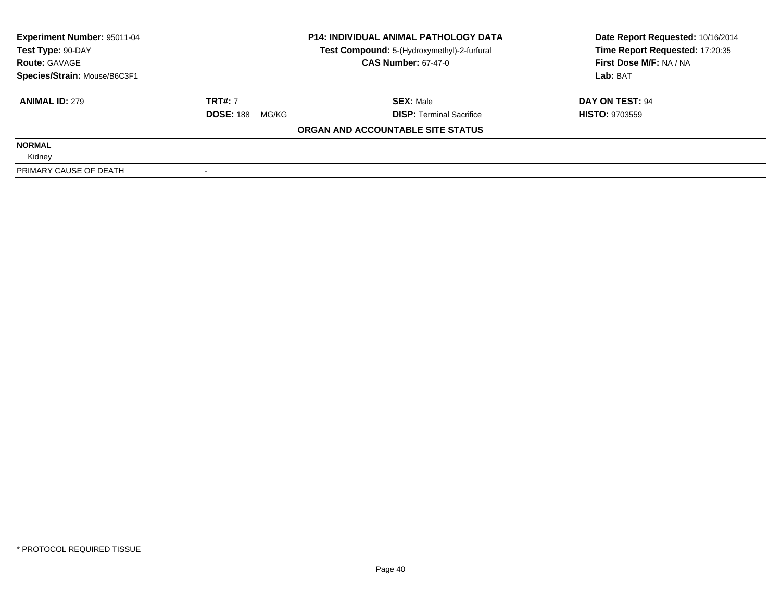| Experiment Number: 95011-04<br>Test Type: 90-DAY | <b>P14: INDIVIDUAL ANIMAL PATHOLOGY DATA</b> |                                                                           | Date Report Requested: 10/16/2014<br>Time Report Requested: 17:20:35 |
|--------------------------------------------------|----------------------------------------------|---------------------------------------------------------------------------|----------------------------------------------------------------------|
| <b>Route: GAVAGE</b>                             |                                              | Test Compound: 5-(Hydroxymethyl)-2-furfural<br><b>CAS Number: 67-47-0</b> | First Dose M/F: NA / NA                                              |
| Species/Strain: Mouse/B6C3F1                     |                                              |                                                                           | Lab: BAT                                                             |
| <b>ANIMAL ID: 279</b>                            | <b>TRT#: 7</b>                               | <b>SEX: Male</b>                                                          | DAY ON TEST: 94                                                      |
|                                                  | <b>DOSE: 188</b><br>MG/KG                    | <b>DISP:</b> Terminal Sacrifice                                           | <b>HISTO: 9703559</b>                                                |
|                                                  |                                              | ORGAN AND ACCOUNTABLE SITE STATUS                                         |                                                                      |
| <b>NORMAL</b>                                    |                                              |                                                                           |                                                                      |
| Kidney                                           |                                              |                                                                           |                                                                      |
| PRIMARY CAUSE OF DEATH                           |                                              |                                                                           |                                                                      |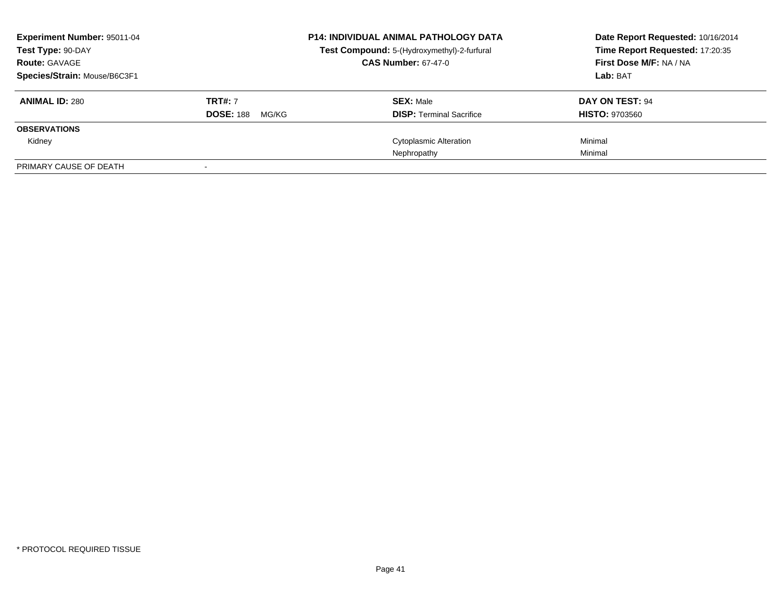| <b>Experiment Number: 95011-04</b><br>Test Type: 90-DAY |                           | <b>P14: INDIVIDUAL ANIMAL PATHOLOGY DATA</b><br>Test Compound: 5-(Hydroxymethyl)-2-furfural | Date Report Requested: 10/16/2014<br>Time Report Requested: 17:20:35 |
|---------------------------------------------------------|---------------------------|---------------------------------------------------------------------------------------------|----------------------------------------------------------------------|
| <b>Route: GAVAGE</b>                                    |                           | <b>CAS Number: 67-47-0</b>                                                                  | First Dose M/F: NA / NA                                              |
| Species/Strain: Mouse/B6C3F1                            |                           |                                                                                             | Lab: BAT                                                             |
| <b>ANIMAL ID: 280</b>                                   | <b>TRT#: 7</b>            | <b>SEX: Male</b>                                                                            | DAY ON TEST: 94                                                      |
|                                                         | <b>DOSE: 188</b><br>MG/KG | <b>DISP: Terminal Sacrifice</b>                                                             | <b>HISTO: 9703560</b>                                                |
| <b>OBSERVATIONS</b>                                     |                           |                                                                                             |                                                                      |
| Kidney                                                  |                           | Cytoplasmic Alteration                                                                      | Minimal                                                              |
|                                                         |                           | Nephropathy                                                                                 | Minimal                                                              |
| PRIMARY CAUSE OF DEATH                                  |                           |                                                                                             |                                                                      |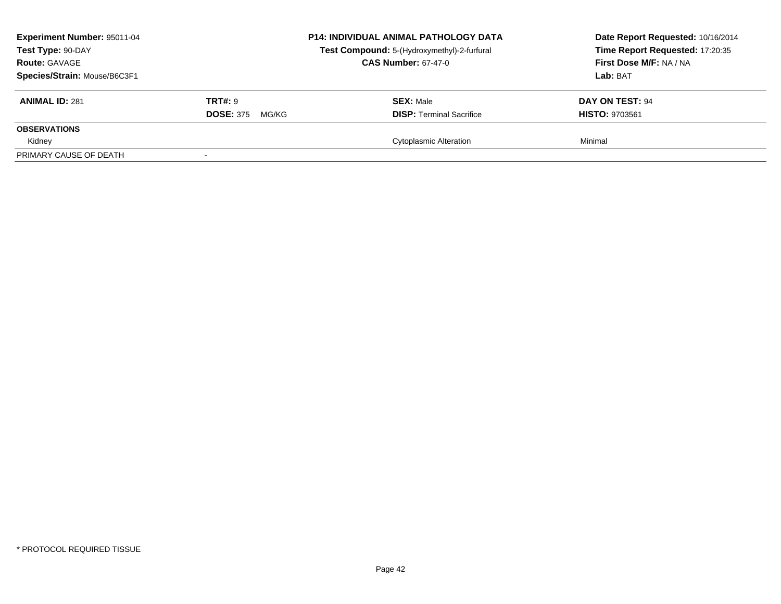| Experiment Number: 95011-04<br>Test Type: 90-DAY<br><b>Route: GAVAGE</b><br>Species/Strain: Mouse/B6C3F1 |                                             | <b>P14: INDIVIDUAL ANIMAL PATHOLOGY DATA</b><br>Test Compound: 5-(Hydroxymethyl)-2-furfural<br><b>CAS Number: 67-47-0</b> | Date Report Requested: 10/16/2014<br>Time Report Requested: 17:20:35<br>First Dose M/F: NA / NA<br>Lab: BAT |
|----------------------------------------------------------------------------------------------------------|---------------------------------------------|---------------------------------------------------------------------------------------------------------------------------|-------------------------------------------------------------------------------------------------------------|
| <b>ANIMAL ID: 281</b>                                                                                    | <b>TRT#: 9</b><br><b>DOSE: 375</b><br>MG/KG | <b>SEX: Male</b><br><b>DISP: Terminal Sacrifice</b>                                                                       | DAY ON TEST: 94<br><b>HISTO: 9703561</b>                                                                    |
| <b>OBSERVATIONS</b><br>Kidney                                                                            |                                             | <b>Cytoplasmic Alteration</b>                                                                                             | Minimal                                                                                                     |
| PRIMARY CAUSE OF DEATH                                                                                   |                                             |                                                                                                                           |                                                                                                             |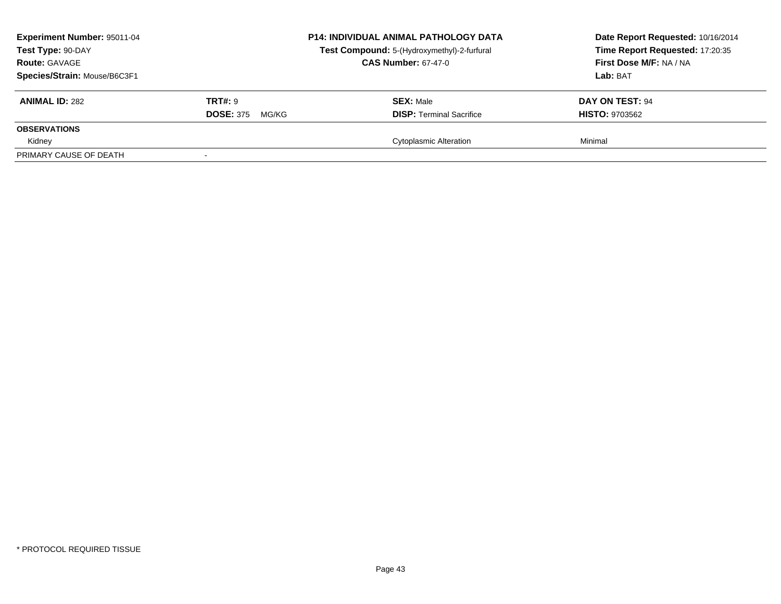| Experiment Number: 95011-04<br>Test Type: 90-DAY<br><b>Route: GAVAGE</b><br>Species/Strain: Mouse/B6C3F1 |                                             | <b>P14: INDIVIDUAL ANIMAL PATHOLOGY DATA</b><br>Test Compound: 5-(Hydroxymethyl)-2-furfural<br><b>CAS Number: 67-47-0</b> | Date Report Requested: 10/16/2014<br>Time Report Requested: 17:20:35<br>First Dose M/F: NA / NA<br>Lab: BAT |
|----------------------------------------------------------------------------------------------------------|---------------------------------------------|---------------------------------------------------------------------------------------------------------------------------|-------------------------------------------------------------------------------------------------------------|
| <b>ANIMAL ID: 282</b>                                                                                    | <b>TRT#: 9</b><br><b>DOSE: 375</b><br>MG/KG | <b>SEX: Male</b><br><b>DISP: Terminal Sacrifice</b>                                                                       | DAY ON TEST: 94<br><b>HISTO: 9703562</b>                                                                    |
| <b>OBSERVATIONS</b><br>Kidney                                                                            |                                             | <b>Cytoplasmic Alteration</b>                                                                                             | Minimal                                                                                                     |
| PRIMARY CAUSE OF DEATH                                                                                   |                                             |                                                                                                                           |                                                                                                             |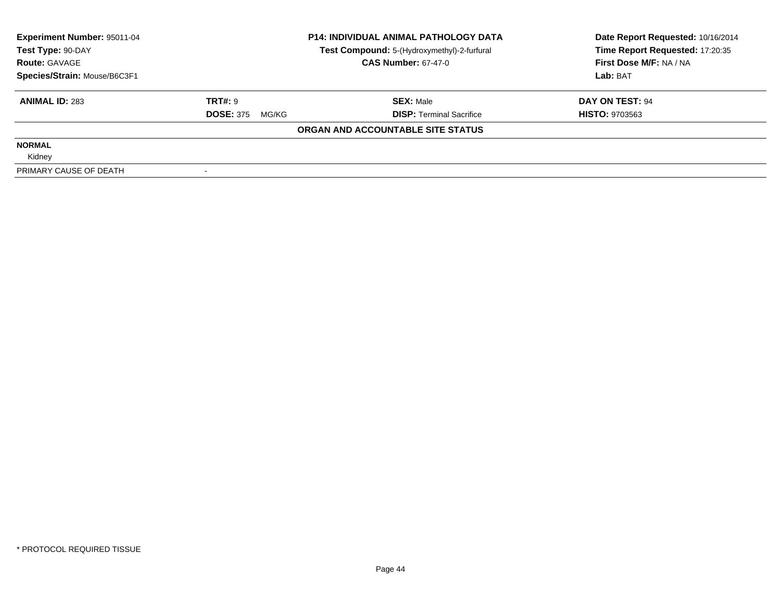| Experiment Number: 95011-04<br>Test Type: 90-DAY | <b>P14: INDIVIDUAL ANIMAL PATHOLOGY DATA</b> |                                                                           | Date Report Requested: 10/16/2014<br>Time Report Requested: 17:20:35 |
|--------------------------------------------------|----------------------------------------------|---------------------------------------------------------------------------|----------------------------------------------------------------------|
| <b>Route: GAVAGE</b>                             |                                              | Test Compound: 5-(Hydroxymethyl)-2-furfural<br><b>CAS Number: 67-47-0</b> | First Dose M/F: NA / NA                                              |
| Species/Strain: Mouse/B6C3F1                     |                                              |                                                                           | Lab: BAT                                                             |
| <b>ANIMAL ID: 283</b>                            | TRT#: 9                                      | <b>SEX: Male</b>                                                          | DAY ON TEST: 94                                                      |
|                                                  | <b>DOSE: 375</b><br>MG/KG                    | <b>DISP:</b> Terminal Sacrifice                                           | <b>HISTO: 9703563</b>                                                |
|                                                  |                                              | ORGAN AND ACCOUNTABLE SITE STATUS                                         |                                                                      |
| <b>NORMAL</b>                                    |                                              |                                                                           |                                                                      |
| Kidney                                           |                                              |                                                                           |                                                                      |
| PRIMARY CAUSE OF DEATH                           |                                              |                                                                           |                                                                      |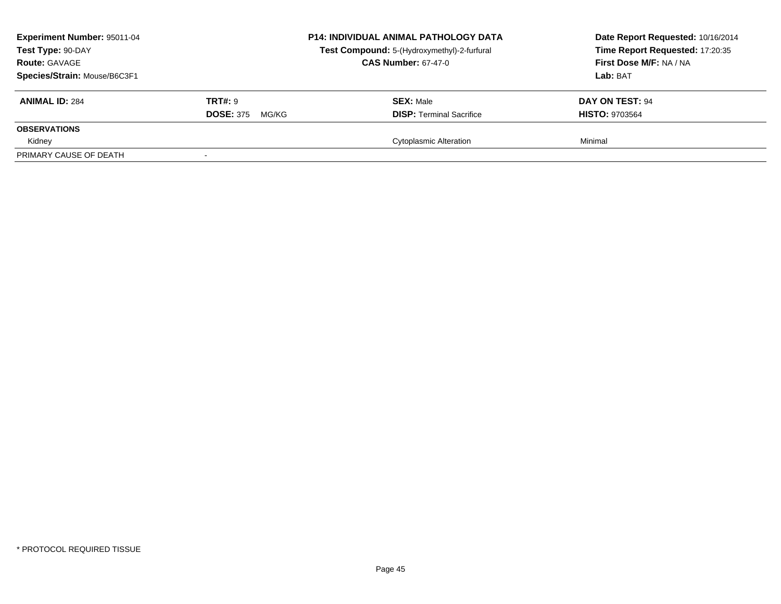| <b>Experiment Number: 95011-04</b><br>Test Type: 90-DAY<br><b>Route: GAVAGE</b><br>Species/Strain: Mouse/B6C3F1 |                                             | <b>P14: INDIVIDUAL ANIMAL PATHOLOGY DATA</b><br>Test Compound: 5-(Hydroxymethyl)-2-furfural<br><b>CAS Number: 67-47-0</b> | Date Report Requested: 10/16/2014<br>Time Report Requested: 17:20:35<br>First Dose M/F: NA / NA<br>Lab: BAT |
|-----------------------------------------------------------------------------------------------------------------|---------------------------------------------|---------------------------------------------------------------------------------------------------------------------------|-------------------------------------------------------------------------------------------------------------|
| <b>ANIMAL ID: 284</b>                                                                                           | <b>TRT#: 9</b><br><b>DOSE: 375</b><br>MG/KG | <b>SEX: Male</b><br><b>DISP:</b> Terminal Sacrifice                                                                       | DAY ON TEST: 94<br><b>HISTO: 9703564</b>                                                                    |
| <b>OBSERVATIONS</b>                                                                                             |                                             |                                                                                                                           |                                                                                                             |
| Kidney                                                                                                          |                                             | <b>Cytoplasmic Alteration</b>                                                                                             | Minimal                                                                                                     |
| PRIMARY CAUSE OF DEATH                                                                                          |                                             |                                                                                                                           |                                                                                                             |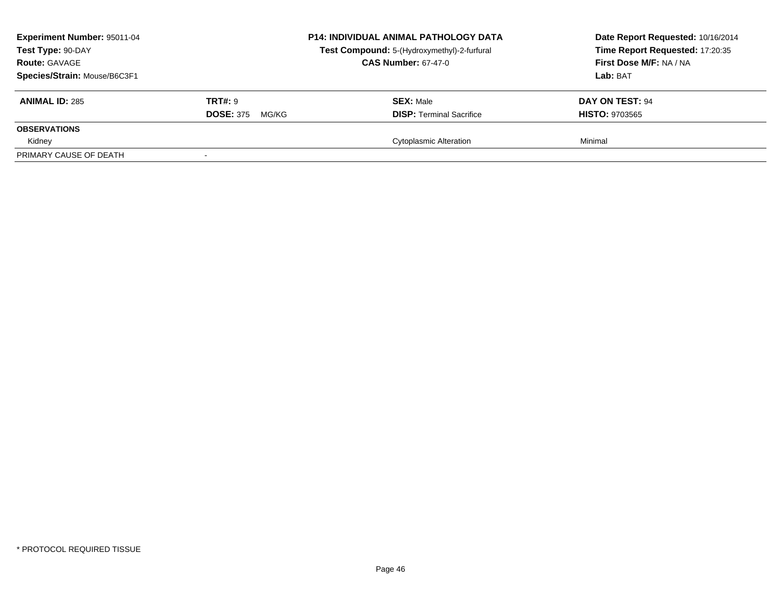| Experiment Number: 95011-04<br>Test Type: 90-DAY<br><b>Route: GAVAGE</b><br>Species/Strain: Mouse/B6C3F1 |                                             | <b>P14: INDIVIDUAL ANIMAL PATHOLOGY DATA</b><br>Test Compound: 5-(Hydroxymethyl)-2-furfural<br><b>CAS Number: 67-47-0</b> | Date Report Requested: 10/16/2014<br>Time Report Requested: 17:20:35<br>First Dose M/F: NA / NA<br>Lab: BAT |
|----------------------------------------------------------------------------------------------------------|---------------------------------------------|---------------------------------------------------------------------------------------------------------------------------|-------------------------------------------------------------------------------------------------------------|
| <b>ANIMAL ID: 285</b>                                                                                    | <b>TRT#: 9</b><br><b>DOSE: 375</b><br>MG/KG | <b>SEX: Male</b><br><b>DISP: Terminal Sacrifice</b>                                                                       | DAY ON TEST: 94<br><b>HISTO: 9703565</b>                                                                    |
| <b>OBSERVATIONS</b><br>Kidney                                                                            |                                             | <b>Cytoplasmic Alteration</b>                                                                                             | Minimal                                                                                                     |
| PRIMARY CAUSE OF DEATH                                                                                   |                                             |                                                                                                                           |                                                                                                             |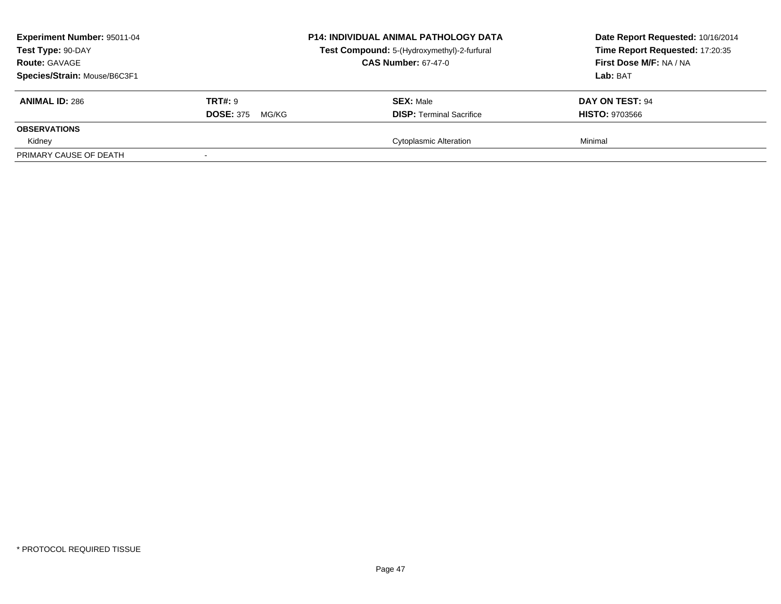| Experiment Number: 95011-04<br>Test Type: 90-DAY<br><b>Route: GAVAGE</b><br>Species/Strain: Mouse/B6C3F1 |                                             | <b>P14: INDIVIDUAL ANIMAL PATHOLOGY DATA</b><br>Test Compound: 5-(Hydroxymethyl)-2-furfural<br><b>CAS Number: 67-47-0</b> | Date Report Requested: 10/16/2014<br>Time Report Requested: 17:20:35<br>First Dose M/F: NA / NA<br>Lab: BAT |
|----------------------------------------------------------------------------------------------------------|---------------------------------------------|---------------------------------------------------------------------------------------------------------------------------|-------------------------------------------------------------------------------------------------------------|
| <b>ANIMAL ID: 286</b>                                                                                    | <b>TRT#: 9</b><br><b>DOSE: 375</b><br>MG/KG | <b>SEX: Male</b><br><b>DISP: Terminal Sacrifice</b>                                                                       | DAY ON TEST: 94<br><b>HISTO: 9703566</b>                                                                    |
| <b>OBSERVATIONS</b><br>Kidney                                                                            |                                             | <b>Cytoplasmic Alteration</b>                                                                                             | Minimal                                                                                                     |
| PRIMARY CAUSE OF DEATH                                                                                   |                                             |                                                                                                                           |                                                                                                             |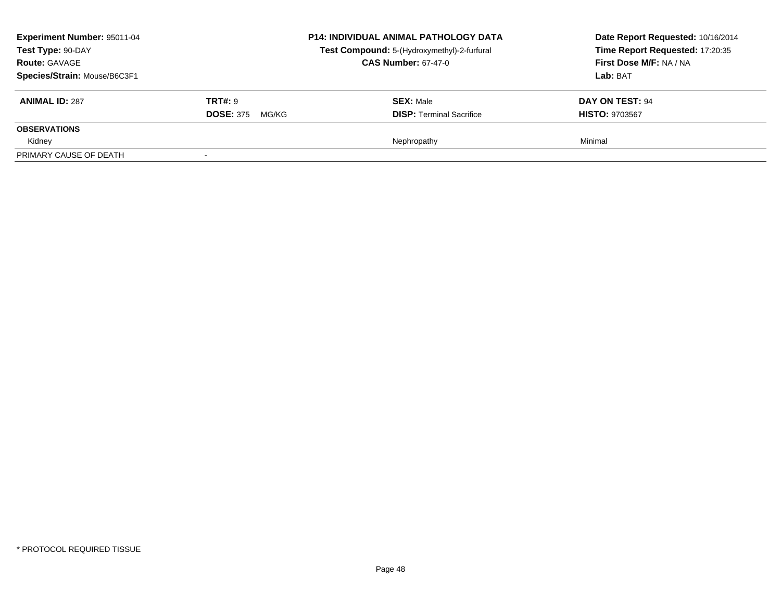| <b>Experiment Number: 95011-04</b><br>Test Type: 90-DAY<br><b>Route: GAVAGE</b><br>Species/Strain: Mouse/B6C3F1 |                                             | <b>P14: INDIVIDUAL ANIMAL PATHOLOGY DATA</b><br>Test Compound: 5-(Hydroxymethyl)-2-furfural<br><b>CAS Number: 67-47-0</b> | Date Report Requested: 10/16/2014<br>Time Report Requested: 17:20:35<br>First Dose M/F: NA / NA<br>Lab: BAT |
|-----------------------------------------------------------------------------------------------------------------|---------------------------------------------|---------------------------------------------------------------------------------------------------------------------------|-------------------------------------------------------------------------------------------------------------|
| <b>ANIMAL ID: 287</b>                                                                                           | <b>TRT#: 9</b><br><b>DOSE: 375</b><br>MG/KG | <b>SEX: Male</b><br><b>DISP:</b> Terminal Sacrifice                                                                       | DAY ON TEST: 94<br><b>HISTO: 9703567</b>                                                                    |
| <b>OBSERVATIONS</b>                                                                                             |                                             |                                                                                                                           |                                                                                                             |
| Kidney                                                                                                          |                                             | Nephropathy                                                                                                               | Minimal                                                                                                     |
| PRIMARY CAUSE OF DEATH                                                                                          |                                             |                                                                                                                           |                                                                                                             |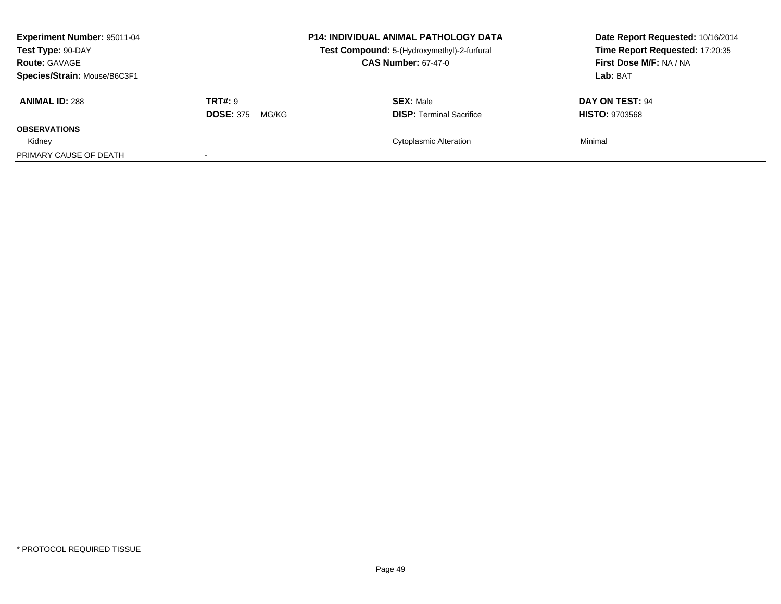| Experiment Number: 95011-04<br>Test Type: 90-DAY<br><b>Route: GAVAGE</b><br>Species/Strain: Mouse/B6C3F1 |                                             | <b>P14: INDIVIDUAL ANIMAL PATHOLOGY DATA</b><br>Test Compound: 5-(Hydroxymethyl)-2-furfural<br><b>CAS Number: 67-47-0</b> | Date Report Requested: 10/16/2014<br>Time Report Requested: 17:20:35<br>First Dose M/F: NA / NA<br>Lab: BAT |
|----------------------------------------------------------------------------------------------------------|---------------------------------------------|---------------------------------------------------------------------------------------------------------------------------|-------------------------------------------------------------------------------------------------------------|
| <b>ANIMAL ID: 288</b>                                                                                    | <b>TRT#: 9</b><br><b>DOSE: 375</b><br>MG/KG | <b>SEX: Male</b><br><b>DISP: Terminal Sacrifice</b>                                                                       | DAY ON TEST: 94<br><b>HISTO: 9703568</b>                                                                    |
| <b>OBSERVATIONS</b><br>Kidney                                                                            |                                             | <b>Cytoplasmic Alteration</b>                                                                                             | Minimal                                                                                                     |
| PRIMARY CAUSE OF DEATH                                                                                   |                                             |                                                                                                                           |                                                                                                             |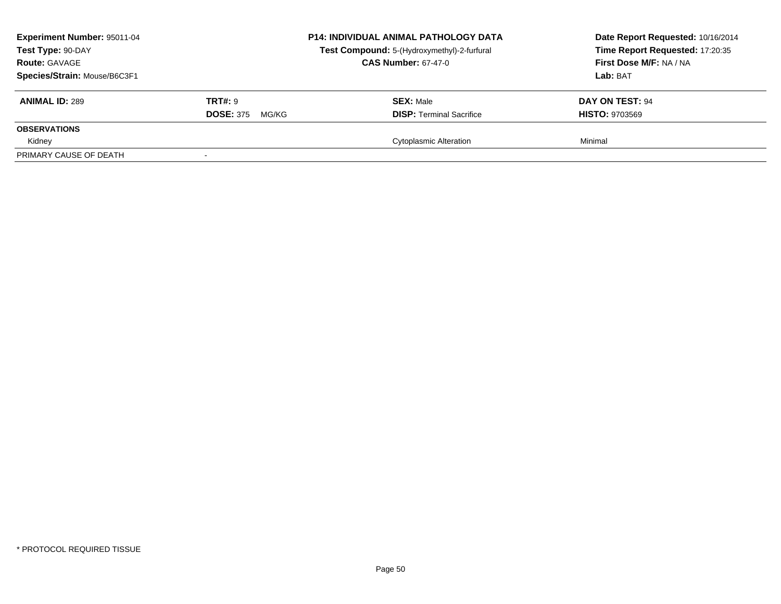| Experiment Number: 95011-04<br>Test Type: 90-DAY<br><b>Route: GAVAGE</b><br>Species/Strain: Mouse/B6C3F1 |                                             | <b>P14: INDIVIDUAL ANIMAL PATHOLOGY DATA</b><br>Test Compound: 5-(Hydroxymethyl)-2-furfural<br><b>CAS Number: 67-47-0</b> | Date Report Requested: 10/16/2014<br>Time Report Requested: 17:20:35<br>First Dose M/F: NA / NA<br>Lab: BAT |
|----------------------------------------------------------------------------------------------------------|---------------------------------------------|---------------------------------------------------------------------------------------------------------------------------|-------------------------------------------------------------------------------------------------------------|
| <b>ANIMAL ID: 289</b>                                                                                    | <b>TRT#: 9</b><br><b>DOSE: 375</b><br>MG/KG | <b>SEX: Male</b><br><b>DISP: Terminal Sacrifice</b>                                                                       | DAY ON TEST: 94<br><b>HISTO: 9703569</b>                                                                    |
| <b>OBSERVATIONS</b><br>Kidney                                                                            |                                             | <b>Cytoplasmic Alteration</b>                                                                                             | Minimal                                                                                                     |
| PRIMARY CAUSE OF DEATH                                                                                   |                                             |                                                                                                                           |                                                                                                             |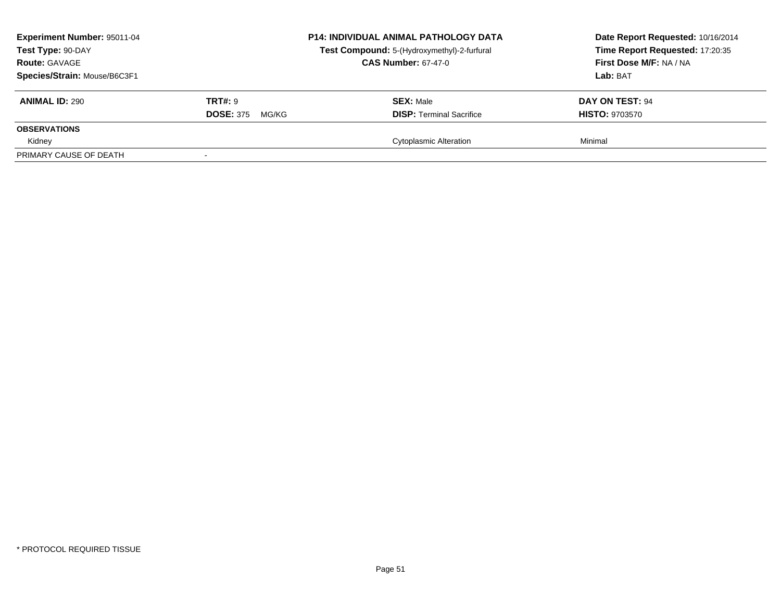| <b>Experiment Number: 95011-04</b><br>Test Type: 90-DAY<br><b>Route: GAVAGE</b><br>Species/Strain: Mouse/B6C3F1 |                                             | <b>P14: INDIVIDUAL ANIMAL PATHOLOGY DATA</b><br>Test Compound: 5-(Hydroxymethyl)-2-furfural<br><b>CAS Number: 67-47-0</b> | Date Report Requested: 10/16/2014<br>Time Report Requested: 17:20:35<br>First Dose M/F: NA / NA<br>Lab: BAT |
|-----------------------------------------------------------------------------------------------------------------|---------------------------------------------|---------------------------------------------------------------------------------------------------------------------------|-------------------------------------------------------------------------------------------------------------|
| <b>ANIMAL ID: 290</b>                                                                                           | <b>TRT#: 9</b><br><b>DOSE: 375</b><br>MG/KG | <b>SEX: Male</b><br><b>DISP:</b> Terminal Sacrifice                                                                       | DAY ON TEST: 94<br><b>HISTO: 9703570</b>                                                                    |
| <b>OBSERVATIONS</b>                                                                                             |                                             |                                                                                                                           |                                                                                                             |
| Kidney                                                                                                          |                                             | <b>Cytoplasmic Alteration</b>                                                                                             | Minimal                                                                                                     |
| PRIMARY CAUSE OF DEATH                                                                                          |                                             |                                                                                                                           |                                                                                                             |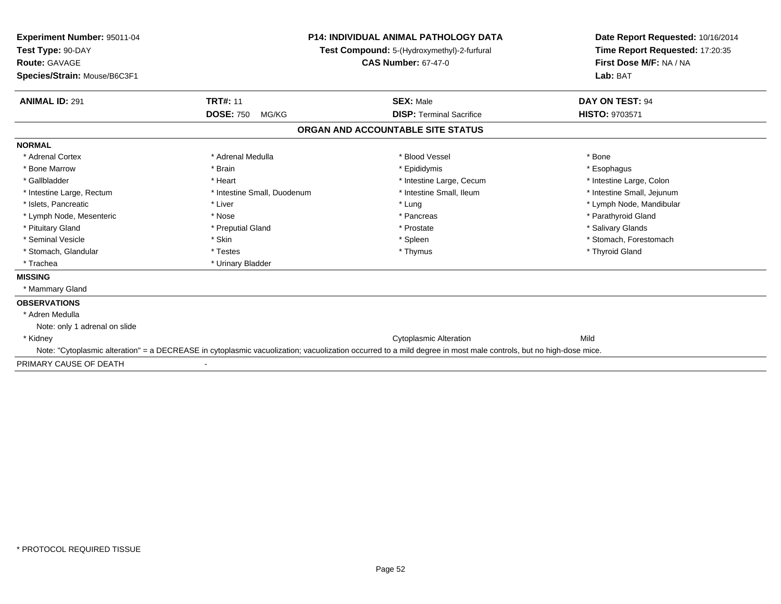| <b>Experiment Number: 95011-04</b><br>Test Type: 90-DAY<br>Route: GAVAGE<br>Species/Strain: Mouse/B6C3F1 | P14: INDIVIDUAL ANIMAL PATHOLOGY DATA<br>Test Compound: 5-(Hydroxymethyl)-2-furfural<br><b>CAS Number: 67-47-0</b> |                                                                                                                                                                 | Date Report Requested: 10/16/2014<br>Time Report Requested: 17:20:35<br>First Dose M/F: NA / NA<br>Lab: BAT |
|----------------------------------------------------------------------------------------------------------|--------------------------------------------------------------------------------------------------------------------|-----------------------------------------------------------------------------------------------------------------------------------------------------------------|-------------------------------------------------------------------------------------------------------------|
|                                                                                                          |                                                                                                                    |                                                                                                                                                                 |                                                                                                             |
| <b>ANIMAL ID: 291</b>                                                                                    | <b>TRT#: 11</b>                                                                                                    | <b>SEX: Male</b>                                                                                                                                                | DAY ON TEST: 94                                                                                             |
|                                                                                                          | <b>DOSE: 750</b><br>MG/KG                                                                                          | <b>DISP: Terminal Sacrifice</b>                                                                                                                                 | <b>HISTO: 9703571</b>                                                                                       |
|                                                                                                          |                                                                                                                    | ORGAN AND ACCOUNTABLE SITE STATUS                                                                                                                               |                                                                                                             |
| <b>NORMAL</b>                                                                                            |                                                                                                                    |                                                                                                                                                                 |                                                                                                             |
| * Adrenal Cortex                                                                                         | * Adrenal Medulla                                                                                                  | * Blood Vessel                                                                                                                                                  | * Bone                                                                                                      |
| * Bone Marrow                                                                                            | * Brain                                                                                                            | * Epididymis                                                                                                                                                    | * Esophagus                                                                                                 |
| * Gallbladder                                                                                            | * Heart                                                                                                            | * Intestine Large, Cecum                                                                                                                                        | * Intestine Large, Colon                                                                                    |
| * Intestine Large, Rectum                                                                                | * Intestine Small, Duodenum                                                                                        | * Intestine Small. Ileum                                                                                                                                        | * Intestine Small, Jejunum                                                                                  |
| * Islets. Pancreatic                                                                                     | * Liver                                                                                                            | * Lung                                                                                                                                                          | * Lymph Node, Mandibular                                                                                    |
| * Lymph Node, Mesenteric                                                                                 | * Nose                                                                                                             | * Pancreas                                                                                                                                                      | * Parathyroid Gland                                                                                         |
| * Pituitary Gland                                                                                        | * Preputial Gland                                                                                                  | * Prostate                                                                                                                                                      | * Salivary Glands                                                                                           |
| * Seminal Vesicle                                                                                        | * Skin                                                                                                             | * Spleen                                                                                                                                                        | * Stomach, Forestomach                                                                                      |
| * Stomach, Glandular                                                                                     | * Testes                                                                                                           | * Thymus                                                                                                                                                        | * Thyroid Gland                                                                                             |
| * Trachea                                                                                                | * Urinary Bladder                                                                                                  |                                                                                                                                                                 |                                                                                                             |
| <b>MISSING</b>                                                                                           |                                                                                                                    |                                                                                                                                                                 |                                                                                                             |
| * Mammary Gland                                                                                          |                                                                                                                    |                                                                                                                                                                 |                                                                                                             |
| <b>OBSERVATIONS</b>                                                                                      |                                                                                                                    |                                                                                                                                                                 |                                                                                                             |
| * Adren Medulla                                                                                          |                                                                                                                    |                                                                                                                                                                 |                                                                                                             |
| Note: only 1 adrenal on slide                                                                            |                                                                                                                    |                                                                                                                                                                 |                                                                                                             |
| * Kidney                                                                                                 |                                                                                                                    | <b>Cytoplasmic Alteration</b>                                                                                                                                   | Mild                                                                                                        |
|                                                                                                          |                                                                                                                    | Note: "Cytoplasmic alteration" = a DECREASE in cytoplasmic vacuolization; vacuolization occurred to a mild degree in most male controls, but no high-dose mice. |                                                                                                             |
| PRIMARY CAUSE OF DEATH                                                                                   |                                                                                                                    |                                                                                                                                                                 |                                                                                                             |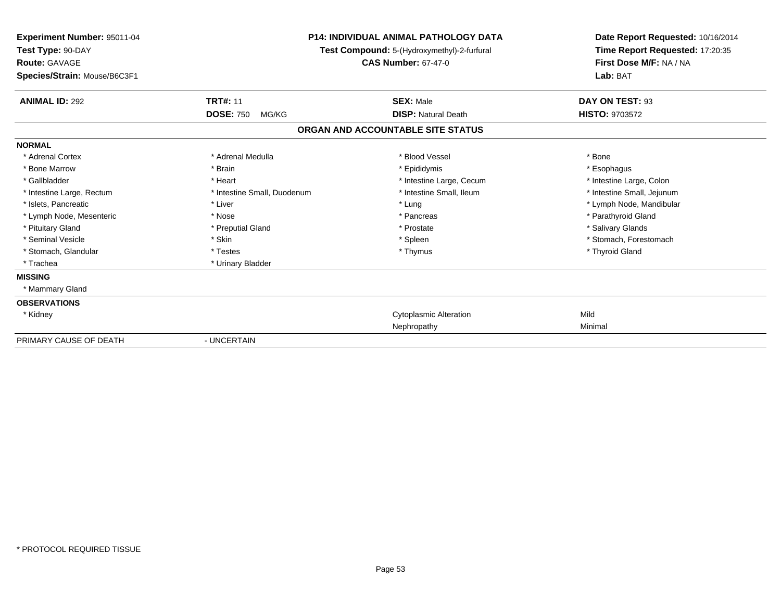| <b>Experiment Number: 95011-04</b><br>Test Type: 90-DAY<br><b>Route: GAVAGE</b><br>Species/Strain: Mouse/B6C3F1 | <b>P14: INDIVIDUAL ANIMAL PATHOLOGY DATA</b><br>Test Compound: 5-(Hydroxymethyl)-2-furfural<br><b>CAS Number: 67-47-0</b> |                                   | Date Report Requested: 10/16/2014<br>Time Report Requested: 17:20:35<br>First Dose M/F: NA / NA<br>Lab: BAT |
|-----------------------------------------------------------------------------------------------------------------|---------------------------------------------------------------------------------------------------------------------------|-----------------------------------|-------------------------------------------------------------------------------------------------------------|
| <b>ANIMAL ID: 292</b>                                                                                           | <b>TRT#: 11</b>                                                                                                           | <b>SEX: Male</b>                  | DAY ON TEST: 93                                                                                             |
|                                                                                                                 | <b>DOSE: 750</b><br>MG/KG                                                                                                 | <b>DISP: Natural Death</b>        | <b>HISTO: 9703572</b>                                                                                       |
|                                                                                                                 |                                                                                                                           | ORGAN AND ACCOUNTABLE SITE STATUS |                                                                                                             |
| <b>NORMAL</b>                                                                                                   |                                                                                                                           |                                   |                                                                                                             |
| * Adrenal Cortex                                                                                                | * Adrenal Medulla                                                                                                         | * Blood Vessel                    | * Bone                                                                                                      |
| * Bone Marrow                                                                                                   | * Brain                                                                                                                   | * Epididymis                      | * Esophagus                                                                                                 |
| * Gallbladder                                                                                                   | * Heart                                                                                                                   | * Intestine Large, Cecum          | * Intestine Large, Colon                                                                                    |
| * Intestine Large, Rectum                                                                                       | * Intestine Small, Duodenum                                                                                               | * Intestine Small, Ileum          | * Intestine Small, Jejunum                                                                                  |
| * Islets, Pancreatic                                                                                            | * Liver                                                                                                                   | * Lung                            | * Lymph Node, Mandibular                                                                                    |
| * Lymph Node, Mesenteric                                                                                        | * Nose                                                                                                                    | * Pancreas                        | * Parathyroid Gland                                                                                         |
| * Pituitary Gland                                                                                               | * Preputial Gland                                                                                                         | * Prostate                        | * Salivary Glands                                                                                           |
| * Seminal Vesicle                                                                                               | * Skin                                                                                                                    | * Spleen                          | * Stomach, Forestomach                                                                                      |
| * Stomach, Glandular                                                                                            | * Testes                                                                                                                  | * Thymus                          | * Thyroid Gland                                                                                             |
| * Trachea                                                                                                       | * Urinary Bladder                                                                                                         |                                   |                                                                                                             |
| <b>MISSING</b>                                                                                                  |                                                                                                                           |                                   |                                                                                                             |
| * Mammary Gland                                                                                                 |                                                                                                                           |                                   |                                                                                                             |
| <b>OBSERVATIONS</b>                                                                                             |                                                                                                                           |                                   |                                                                                                             |
| * Kidney                                                                                                        |                                                                                                                           | <b>Cytoplasmic Alteration</b>     | Mild                                                                                                        |
|                                                                                                                 |                                                                                                                           | Nephropathy                       | Minimal                                                                                                     |
| PRIMARY CAUSE OF DEATH                                                                                          | - UNCERTAIN                                                                                                               |                                   |                                                                                                             |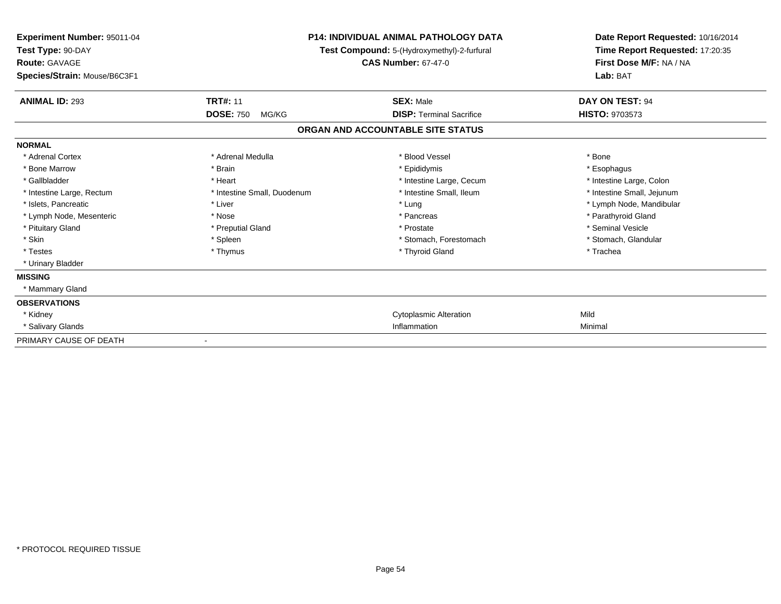| Experiment Number: 95011-04<br>Test Type: 90-DAY<br><b>Route: GAVAGE</b><br>Species/Strain: Mouse/B6C3F1 |                             | <b>P14: INDIVIDUAL ANIMAL PATHOLOGY DATA</b><br>Test Compound: 5-(Hydroxymethyl)-2-furfural<br><b>CAS Number: 67-47-0</b> | Date Report Requested: 10/16/2014<br>Time Report Requested: 17:20:35<br>First Dose M/F: NA / NA<br>Lab: BAT |
|----------------------------------------------------------------------------------------------------------|-----------------------------|---------------------------------------------------------------------------------------------------------------------------|-------------------------------------------------------------------------------------------------------------|
| <b>ANIMAL ID: 293</b>                                                                                    | <b>TRT#: 11</b>             | <b>SEX: Male</b>                                                                                                          | DAY ON TEST: 94                                                                                             |
|                                                                                                          | <b>DOSE: 750</b><br>MG/KG   | <b>DISP:</b> Terminal Sacrifice                                                                                           | <b>HISTO: 9703573</b>                                                                                       |
|                                                                                                          |                             | ORGAN AND ACCOUNTABLE SITE STATUS                                                                                         |                                                                                                             |
| <b>NORMAL</b>                                                                                            |                             |                                                                                                                           |                                                                                                             |
| * Adrenal Cortex                                                                                         | * Adrenal Medulla           | * Blood Vessel                                                                                                            | * Bone                                                                                                      |
| * Bone Marrow                                                                                            | * Brain                     | * Epididymis                                                                                                              | * Esophagus                                                                                                 |
| * Gallbladder                                                                                            | * Heart                     | * Intestine Large, Cecum                                                                                                  | * Intestine Large, Colon                                                                                    |
| * Intestine Large, Rectum                                                                                | * Intestine Small, Duodenum | * Intestine Small, Ileum                                                                                                  | * Intestine Small, Jejunum                                                                                  |
| * Islets, Pancreatic                                                                                     | * Liver                     | * Lung                                                                                                                    | * Lymph Node, Mandibular                                                                                    |
| * Lymph Node, Mesenteric                                                                                 | * Nose                      | * Pancreas                                                                                                                | * Parathyroid Gland                                                                                         |
| * Pituitary Gland                                                                                        | * Preputial Gland           | * Prostate                                                                                                                | * Seminal Vesicle                                                                                           |
| * Skin                                                                                                   | * Spleen                    | * Stomach, Forestomach                                                                                                    | * Stomach, Glandular                                                                                        |
| * Testes                                                                                                 | * Thymus                    | * Thyroid Gland                                                                                                           | * Trachea                                                                                                   |
| * Urinary Bladder                                                                                        |                             |                                                                                                                           |                                                                                                             |
| <b>MISSING</b>                                                                                           |                             |                                                                                                                           |                                                                                                             |
| * Mammary Gland                                                                                          |                             |                                                                                                                           |                                                                                                             |
| <b>OBSERVATIONS</b>                                                                                      |                             |                                                                                                                           |                                                                                                             |
| * Kidney                                                                                                 |                             | <b>Cytoplasmic Alteration</b>                                                                                             | Mild                                                                                                        |
| * Salivary Glands                                                                                        |                             | Inflammation                                                                                                              | Minimal                                                                                                     |
| PRIMARY CAUSE OF DEATH                                                                                   |                             |                                                                                                                           |                                                                                                             |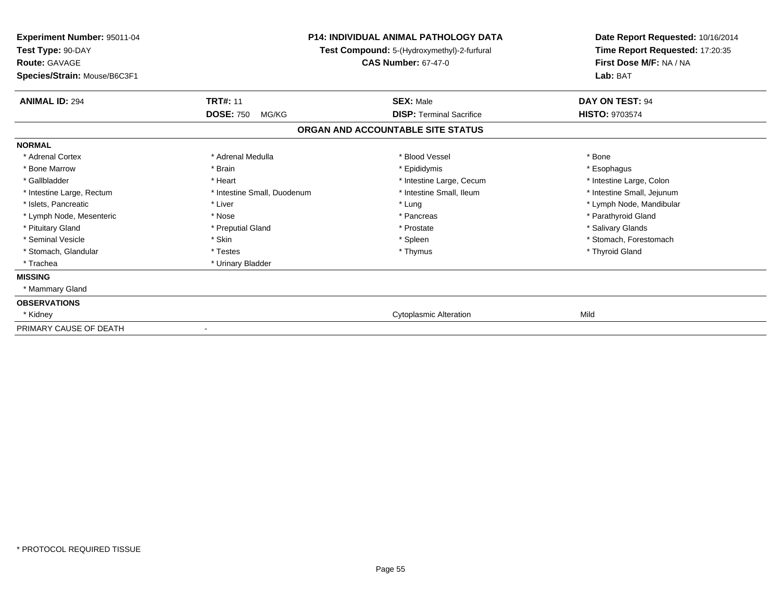| <b>Experiment Number: 95011-04</b><br>Test Type: 90-DAY<br><b>Route: GAVAGE</b><br>Species/Strain: Mouse/B6C3F1 | <b>P14: INDIVIDUAL ANIMAL PATHOLOGY DATA</b><br>Test Compound: 5-(Hydroxymethyl)-2-furfural<br><b>CAS Number: 67-47-0</b> |                                   | Date Report Requested: 10/16/2014<br>Time Report Requested: 17:20:35<br>First Dose M/F: NA / NA<br>Lab: BAT |
|-----------------------------------------------------------------------------------------------------------------|---------------------------------------------------------------------------------------------------------------------------|-----------------------------------|-------------------------------------------------------------------------------------------------------------|
| <b>ANIMAL ID: 294</b>                                                                                           | <b>TRT#: 11</b>                                                                                                           | <b>SEX: Male</b>                  | DAY ON TEST: 94                                                                                             |
|                                                                                                                 | <b>DOSE: 750</b><br>MG/KG                                                                                                 | <b>DISP: Terminal Sacrifice</b>   | <b>HISTO: 9703574</b>                                                                                       |
|                                                                                                                 |                                                                                                                           | ORGAN AND ACCOUNTABLE SITE STATUS |                                                                                                             |
| <b>NORMAL</b>                                                                                                   |                                                                                                                           |                                   |                                                                                                             |
| * Adrenal Cortex                                                                                                | * Adrenal Medulla                                                                                                         | * Blood Vessel                    | * Bone                                                                                                      |
| * Bone Marrow                                                                                                   | * Brain                                                                                                                   | * Epididymis                      | * Esophagus                                                                                                 |
| * Gallbladder                                                                                                   | * Heart                                                                                                                   | * Intestine Large, Cecum          | * Intestine Large, Colon                                                                                    |
| * Intestine Large, Rectum                                                                                       | * Intestine Small, Duodenum                                                                                               | * Intestine Small. Ileum          | * Intestine Small, Jejunum                                                                                  |
| * Islets, Pancreatic                                                                                            | * Liver                                                                                                                   | * Lung                            | * Lymph Node, Mandibular                                                                                    |
| * Lymph Node, Mesenteric                                                                                        | * Nose                                                                                                                    | * Pancreas                        | * Parathyroid Gland                                                                                         |
| * Pituitary Gland                                                                                               | * Preputial Gland                                                                                                         | * Prostate                        | * Salivary Glands                                                                                           |
| * Seminal Vesicle                                                                                               | * Skin                                                                                                                    | * Spleen                          | * Stomach, Forestomach                                                                                      |
| * Stomach, Glandular                                                                                            | * Testes                                                                                                                  | * Thymus                          | * Thyroid Gland                                                                                             |
| * Trachea                                                                                                       | * Urinary Bladder                                                                                                         |                                   |                                                                                                             |
| <b>MISSING</b>                                                                                                  |                                                                                                                           |                                   |                                                                                                             |
| * Mammary Gland                                                                                                 |                                                                                                                           |                                   |                                                                                                             |
| <b>OBSERVATIONS</b>                                                                                             |                                                                                                                           |                                   |                                                                                                             |
| * Kidney                                                                                                        |                                                                                                                           | <b>Cytoplasmic Alteration</b>     | Mild                                                                                                        |
| PRIMARY CAUSE OF DEATH                                                                                          |                                                                                                                           |                                   |                                                                                                             |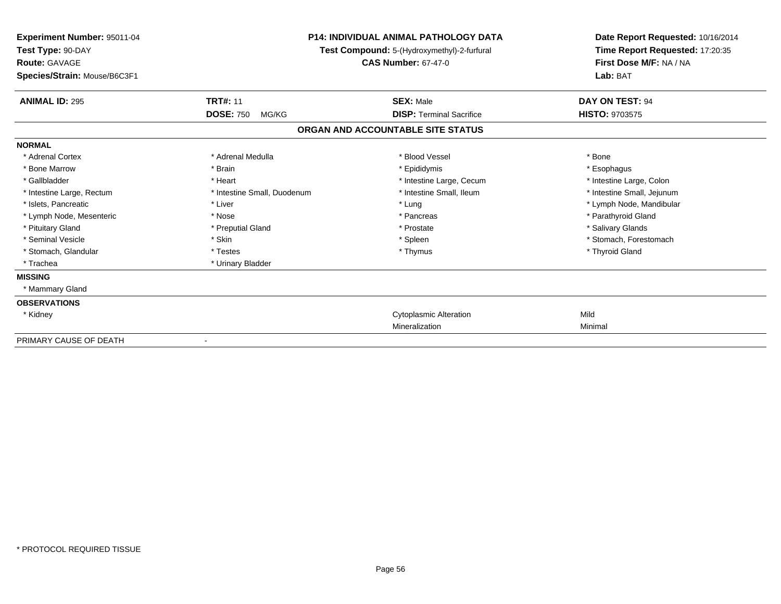| Experiment Number: 95011-04<br>Test Type: 90-DAY<br><b>Route: GAVAGE</b><br>Species/Strain: Mouse/B6C3F1 |                             | <b>P14: INDIVIDUAL ANIMAL PATHOLOGY DATA</b><br>Test Compound: 5-(Hydroxymethyl)-2-furfural<br><b>CAS Number: 67-47-0</b> | Date Report Requested: 10/16/2014<br>Time Report Requested: 17:20:35<br>First Dose M/F: NA / NA<br>Lab: BAT |
|----------------------------------------------------------------------------------------------------------|-----------------------------|---------------------------------------------------------------------------------------------------------------------------|-------------------------------------------------------------------------------------------------------------|
| <b>ANIMAL ID: 295</b>                                                                                    | <b>TRT#: 11</b>             | <b>SEX: Male</b>                                                                                                          | DAY ON TEST: 94                                                                                             |
|                                                                                                          | <b>DOSE: 750</b><br>MG/KG   | <b>DISP: Terminal Sacrifice</b>                                                                                           | <b>HISTO: 9703575</b>                                                                                       |
|                                                                                                          |                             | ORGAN AND ACCOUNTABLE SITE STATUS                                                                                         |                                                                                                             |
| <b>NORMAL</b>                                                                                            |                             |                                                                                                                           |                                                                                                             |
| * Adrenal Cortex                                                                                         | * Adrenal Medulla           | * Blood Vessel                                                                                                            | * Bone                                                                                                      |
| * Bone Marrow                                                                                            | * Brain                     | * Epididymis                                                                                                              | * Esophagus                                                                                                 |
| * Gallbladder                                                                                            | * Heart                     | * Intestine Large, Cecum                                                                                                  | * Intestine Large, Colon                                                                                    |
| * Intestine Large, Rectum                                                                                | * Intestine Small, Duodenum | * Intestine Small, Ileum                                                                                                  | * Intestine Small, Jejunum                                                                                  |
| * Islets, Pancreatic                                                                                     | * Liver                     | * Lung                                                                                                                    | * Lymph Node, Mandibular                                                                                    |
| * Lymph Node, Mesenteric                                                                                 | * Nose                      | * Pancreas                                                                                                                | * Parathyroid Gland                                                                                         |
| * Pituitary Gland                                                                                        | * Preputial Gland           | * Prostate                                                                                                                | * Salivary Glands                                                                                           |
| * Seminal Vesicle                                                                                        | * Skin                      | * Spleen                                                                                                                  | * Stomach, Forestomach                                                                                      |
| * Stomach, Glandular                                                                                     | * Testes                    | * Thymus                                                                                                                  | * Thyroid Gland                                                                                             |
| * Trachea                                                                                                | * Urinary Bladder           |                                                                                                                           |                                                                                                             |
| <b>MISSING</b>                                                                                           |                             |                                                                                                                           |                                                                                                             |
| * Mammary Gland                                                                                          |                             |                                                                                                                           |                                                                                                             |
| <b>OBSERVATIONS</b>                                                                                      |                             |                                                                                                                           |                                                                                                             |
| * Kidney                                                                                                 |                             | <b>Cytoplasmic Alteration</b>                                                                                             | Mild                                                                                                        |
|                                                                                                          |                             | Mineralization                                                                                                            | Minimal                                                                                                     |
| PRIMARY CAUSE OF DEATH                                                                                   |                             |                                                                                                                           |                                                                                                             |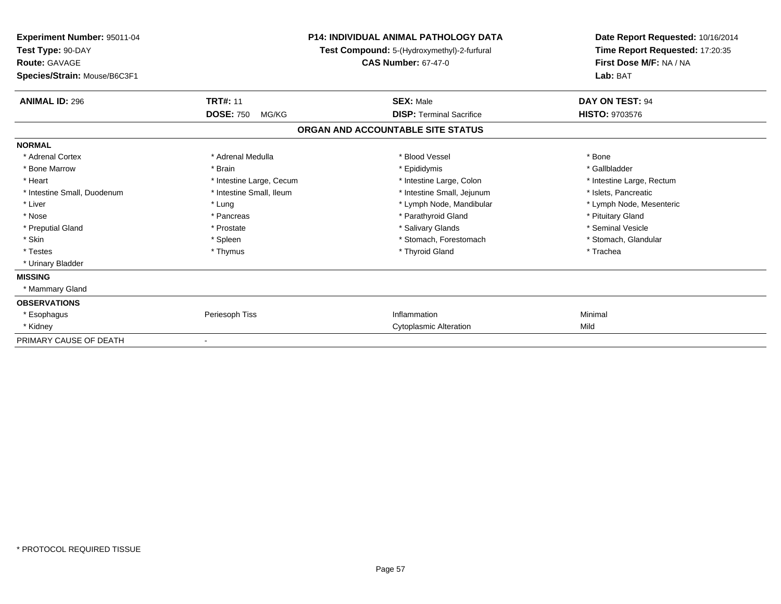| <b>Experiment Number: 95011-04</b><br>Test Type: 90-DAY<br><b>Route: GAVAGE</b><br>Species/Strain: Mouse/B6C3F1 | P14: INDIVIDUAL ANIMAL PATHOLOGY DATA<br>Test Compound: 5-(Hydroxymethyl)-2-furfural<br><b>CAS Number: 67-47-0</b> |                                   | Date Report Requested: 10/16/2014<br>Time Report Requested: 17:20:35<br>First Dose M/F: NA / NA<br>Lab: BAT |
|-----------------------------------------------------------------------------------------------------------------|--------------------------------------------------------------------------------------------------------------------|-----------------------------------|-------------------------------------------------------------------------------------------------------------|
| <b>ANIMAL ID: 296</b>                                                                                           | <b>TRT#: 11</b>                                                                                                    | <b>SEX: Male</b>                  | DAY ON TEST: 94                                                                                             |
|                                                                                                                 | <b>DOSE: 750</b><br>MG/KG                                                                                          | <b>DISP:</b> Terminal Sacrifice   | <b>HISTO: 9703576</b>                                                                                       |
|                                                                                                                 |                                                                                                                    | ORGAN AND ACCOUNTABLE SITE STATUS |                                                                                                             |
| <b>NORMAL</b>                                                                                                   |                                                                                                                    |                                   |                                                                                                             |
| * Adrenal Cortex                                                                                                | * Adrenal Medulla                                                                                                  | * Blood Vessel                    | * Bone                                                                                                      |
| * Bone Marrow                                                                                                   | * Brain                                                                                                            | * Epididymis                      | * Gallbladder                                                                                               |
| * Heart                                                                                                         | * Intestine Large, Cecum                                                                                           | * Intestine Large, Colon          | * Intestine Large, Rectum                                                                                   |
| * Intestine Small, Duodenum                                                                                     | * Intestine Small, Ileum                                                                                           | * Intestine Small, Jejunum        | * Islets, Pancreatic                                                                                        |
| * Liver                                                                                                         | * Lung                                                                                                             | * Lymph Node, Mandibular          | * Lymph Node, Mesenteric                                                                                    |
| * Nose                                                                                                          | * Pancreas                                                                                                         | * Parathyroid Gland               | * Pituitary Gland                                                                                           |
| * Preputial Gland                                                                                               | * Prostate                                                                                                         | * Salivary Glands                 | * Seminal Vesicle                                                                                           |
| * Skin                                                                                                          | * Spleen                                                                                                           | * Stomach, Forestomach            | * Stomach, Glandular                                                                                        |
| * Testes                                                                                                        | * Thymus                                                                                                           | * Thyroid Gland                   | * Trachea                                                                                                   |
| * Urinary Bladder                                                                                               |                                                                                                                    |                                   |                                                                                                             |
| <b>MISSING</b>                                                                                                  |                                                                                                                    |                                   |                                                                                                             |
| * Mammary Gland                                                                                                 |                                                                                                                    |                                   |                                                                                                             |
| <b>OBSERVATIONS</b>                                                                                             |                                                                                                                    |                                   |                                                                                                             |
| * Esophagus                                                                                                     | Periesoph Tiss                                                                                                     | Inflammation                      | Minimal                                                                                                     |
| * Kidney                                                                                                        |                                                                                                                    | <b>Cytoplasmic Alteration</b>     | Mild                                                                                                        |
| PRIMARY CAUSE OF DEATH                                                                                          |                                                                                                                    |                                   |                                                                                                             |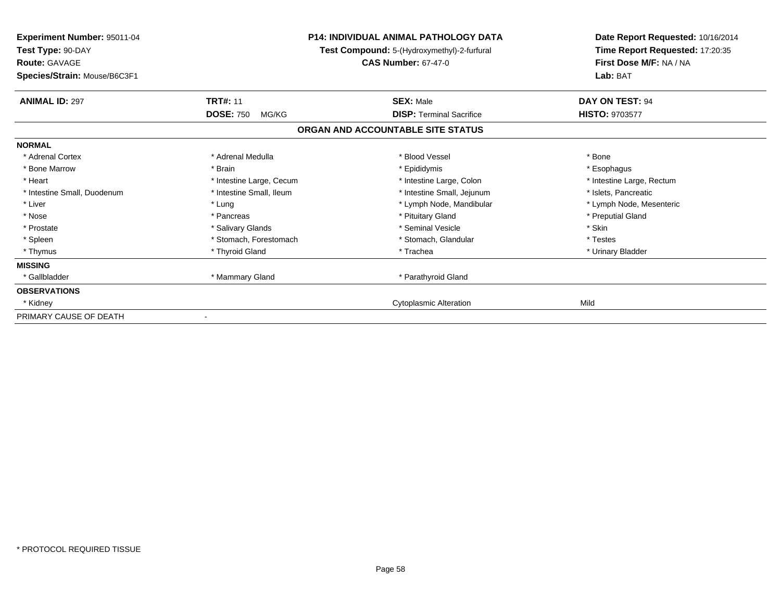| Experiment Number: 95011-04<br>Test Type: 90-DAY<br><b>Route: GAVAGE</b><br>Species/Strain: Mouse/B6C3F1 |                           | <b>P14: INDIVIDUAL ANIMAL PATHOLOGY DATA</b><br>Test Compound: 5-(Hydroxymethyl)-2-furfural<br><b>CAS Number: 67-47-0</b> | Date Report Requested: 10/16/2014<br>Time Report Requested: 17:20:35<br>First Dose M/F: NA / NA<br>Lab: BAT |
|----------------------------------------------------------------------------------------------------------|---------------------------|---------------------------------------------------------------------------------------------------------------------------|-------------------------------------------------------------------------------------------------------------|
| <b>ANIMAL ID: 297</b>                                                                                    | <b>TRT#: 11</b>           | <b>SEX: Male</b>                                                                                                          | DAY ON TEST: 94                                                                                             |
|                                                                                                          | <b>DOSE: 750</b><br>MG/KG | <b>DISP: Terminal Sacrifice</b>                                                                                           | HISTO: 9703577                                                                                              |
|                                                                                                          |                           | ORGAN AND ACCOUNTABLE SITE STATUS                                                                                         |                                                                                                             |
| <b>NORMAL</b>                                                                                            |                           |                                                                                                                           |                                                                                                             |
| * Adrenal Cortex                                                                                         | * Adrenal Medulla         | * Blood Vessel                                                                                                            | * Bone                                                                                                      |
| * Bone Marrow                                                                                            | * Brain                   | * Epididymis                                                                                                              | * Esophagus                                                                                                 |
| * Heart                                                                                                  | * Intestine Large, Cecum  | * Intestine Large, Colon                                                                                                  | * Intestine Large, Rectum                                                                                   |
| * Intestine Small, Duodenum                                                                              | * Intestine Small, Ileum  | * Intestine Small, Jejunum                                                                                                | * Islets, Pancreatic                                                                                        |
| * Liver                                                                                                  | * Lung                    | * Lymph Node, Mandibular                                                                                                  | * Lymph Node, Mesenteric                                                                                    |
| * Nose                                                                                                   | * Pancreas                | * Pituitary Gland                                                                                                         | * Preputial Gland                                                                                           |
| * Prostate                                                                                               | * Salivary Glands         | * Seminal Vesicle                                                                                                         | * Skin                                                                                                      |
| * Spleen                                                                                                 | * Stomach, Forestomach    | * Stomach, Glandular                                                                                                      | * Testes                                                                                                    |
| * Thymus                                                                                                 | * Thyroid Gland           | * Trachea                                                                                                                 | * Urinary Bladder                                                                                           |
| <b>MISSING</b>                                                                                           |                           |                                                                                                                           |                                                                                                             |
| * Gallbladder                                                                                            | * Mammary Gland           | * Parathyroid Gland                                                                                                       |                                                                                                             |
| <b>OBSERVATIONS</b>                                                                                      |                           |                                                                                                                           |                                                                                                             |
| * Kidney                                                                                                 |                           | <b>Cytoplasmic Alteration</b>                                                                                             | Mild                                                                                                        |
| PRIMARY CAUSE OF DEATH                                                                                   |                           |                                                                                                                           |                                                                                                             |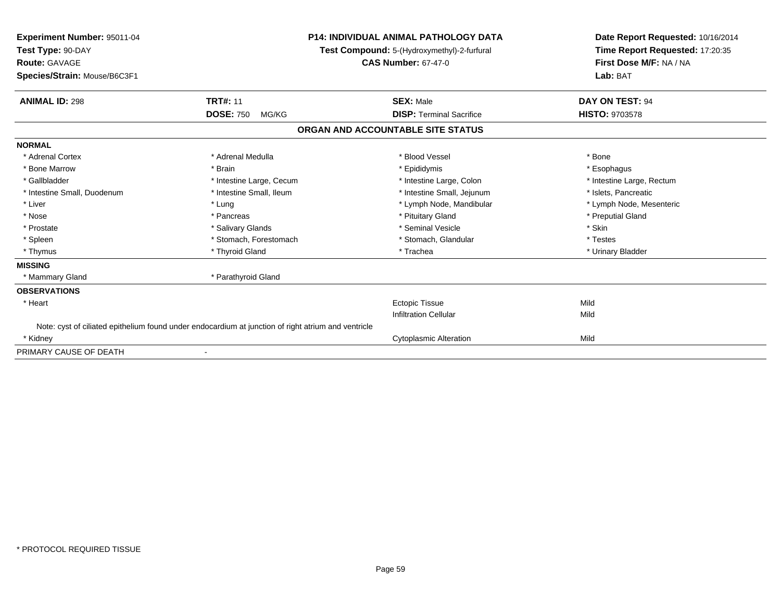| Experiment Number: 95011-04<br>Test Type: 90-DAY                                                    |                           | <b>P14: INDIVIDUAL ANIMAL PATHOLOGY DATA</b> | Date Report Requested: 10/16/2014<br>Time Report Requested: 17:20:35 |
|-----------------------------------------------------------------------------------------------------|---------------------------|----------------------------------------------|----------------------------------------------------------------------|
|                                                                                                     |                           | Test Compound: 5-(Hydroxymethyl)-2-furfural  |                                                                      |
| <b>Route: GAVAGE</b>                                                                                |                           | <b>CAS Number: 67-47-0</b>                   | First Dose M/F: NA / NA                                              |
| Species/Strain: Mouse/B6C3F1                                                                        |                           |                                              | Lab: BAT                                                             |
| <b>ANIMAL ID: 298</b>                                                                               | <b>TRT#: 11</b>           | <b>SEX: Male</b>                             | DAY ON TEST: 94                                                      |
|                                                                                                     | <b>DOSE: 750</b><br>MG/KG | <b>DISP: Terminal Sacrifice</b>              | <b>HISTO: 9703578</b>                                                |
|                                                                                                     |                           | ORGAN AND ACCOUNTABLE SITE STATUS            |                                                                      |
| <b>NORMAL</b>                                                                                       |                           |                                              |                                                                      |
| * Adrenal Cortex                                                                                    | * Adrenal Medulla         | * Blood Vessel                               | * Bone                                                               |
| * Bone Marrow                                                                                       | * Brain                   | * Epididymis                                 | * Esophagus                                                          |
| * Gallbladder                                                                                       | * Intestine Large, Cecum  | * Intestine Large, Colon                     | * Intestine Large, Rectum                                            |
| * Intestine Small, Duodenum                                                                         | * Intestine Small, Ileum  | * Intestine Small, Jejunum                   | * Islets, Pancreatic                                                 |
| * Liver                                                                                             | * Lung                    | * Lymph Node, Mandibular                     | * Lymph Node, Mesenteric                                             |
| * Nose                                                                                              | * Pancreas                | * Pituitary Gland                            | * Preputial Gland                                                    |
| * Prostate                                                                                          | * Salivary Glands         | * Seminal Vesicle                            | * Skin                                                               |
| * Spleen                                                                                            | * Stomach, Forestomach    | * Stomach, Glandular                         | * Testes                                                             |
| * Thymus                                                                                            | * Thyroid Gland           | * Trachea                                    | * Urinary Bladder                                                    |
| <b>MISSING</b>                                                                                      |                           |                                              |                                                                      |
| * Mammary Gland                                                                                     | * Parathyroid Gland       |                                              |                                                                      |
| <b>OBSERVATIONS</b>                                                                                 |                           |                                              |                                                                      |
| * Heart                                                                                             |                           | <b>Ectopic Tissue</b>                        | Mild                                                                 |
|                                                                                                     |                           | <b>Infiltration Cellular</b>                 | Mild                                                                 |
| Note: cyst of ciliated epithelium found under endocardium at junction of right atrium and ventricle |                           |                                              |                                                                      |
| * Kidney                                                                                            |                           | <b>Cytoplasmic Alteration</b>                | Mild                                                                 |
| PRIMARY CAUSE OF DEATH                                                                              |                           |                                              |                                                                      |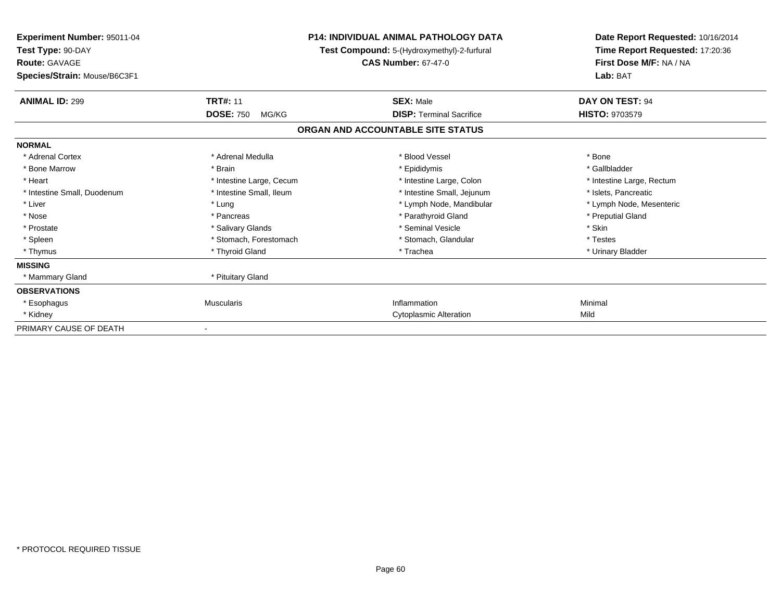| <b>Experiment Number: 95011-04</b><br>Test Type: 90-DAY<br><b>Route: GAVAGE</b> |                           | P14: INDIVIDUAL ANIMAL PATHOLOGY DATA<br>Test Compound: 5-(Hydroxymethyl)-2-furfural<br><b>CAS Number: 67-47-0</b> | Date Report Requested: 10/16/2014<br>Time Report Requested: 17:20:36<br>First Dose M/F: NA / NA |
|---------------------------------------------------------------------------------|---------------------------|--------------------------------------------------------------------------------------------------------------------|-------------------------------------------------------------------------------------------------|
| Species/Strain: Mouse/B6C3F1                                                    |                           |                                                                                                                    | Lab: BAT                                                                                        |
| <b>ANIMAL ID: 299</b>                                                           | <b>TRT#: 11</b>           | <b>SEX: Male</b>                                                                                                   | DAY ON TEST: 94                                                                                 |
|                                                                                 | <b>DOSE: 750</b><br>MG/KG | <b>DISP: Terminal Sacrifice</b>                                                                                    | <b>HISTO: 9703579</b>                                                                           |
|                                                                                 |                           | ORGAN AND ACCOUNTABLE SITE STATUS                                                                                  |                                                                                                 |
| <b>NORMAL</b>                                                                   |                           |                                                                                                                    |                                                                                                 |
| * Adrenal Cortex                                                                | * Adrenal Medulla         | * Blood Vessel                                                                                                     | * Bone                                                                                          |
| * Bone Marrow                                                                   | * Brain                   | * Epididymis                                                                                                       | * Gallbladder                                                                                   |
| * Heart                                                                         | * Intestine Large, Cecum  | * Intestine Large, Colon                                                                                           | * Intestine Large, Rectum                                                                       |
| * Intestine Small, Duodenum                                                     | * Intestine Small, Ileum  | * Intestine Small, Jejunum                                                                                         | * Islets, Pancreatic                                                                            |
| * Liver                                                                         | * Lung                    | * Lymph Node, Mandibular                                                                                           | * Lymph Node, Mesenteric                                                                        |
| * Nose                                                                          | * Pancreas                | * Parathyroid Gland                                                                                                | * Preputial Gland                                                                               |
| * Prostate                                                                      | * Salivary Glands         | * Seminal Vesicle                                                                                                  | * Skin                                                                                          |
| * Spleen                                                                        | * Stomach, Forestomach    | * Stomach, Glandular                                                                                               | * Testes                                                                                        |
| * Thymus                                                                        | * Thyroid Gland           | * Trachea                                                                                                          | * Urinary Bladder                                                                               |
| <b>MISSING</b>                                                                  |                           |                                                                                                                    |                                                                                                 |
| * Mammary Gland                                                                 | * Pituitary Gland         |                                                                                                                    |                                                                                                 |
| <b>OBSERVATIONS</b>                                                             |                           |                                                                                                                    |                                                                                                 |
| * Esophagus                                                                     | <b>Muscularis</b>         | Inflammation                                                                                                       | Minimal                                                                                         |
| * Kidney                                                                        |                           | <b>Cytoplasmic Alteration</b>                                                                                      | Mild                                                                                            |
| PRIMARY CAUSE OF DEATH                                                          |                           |                                                                                                                    |                                                                                                 |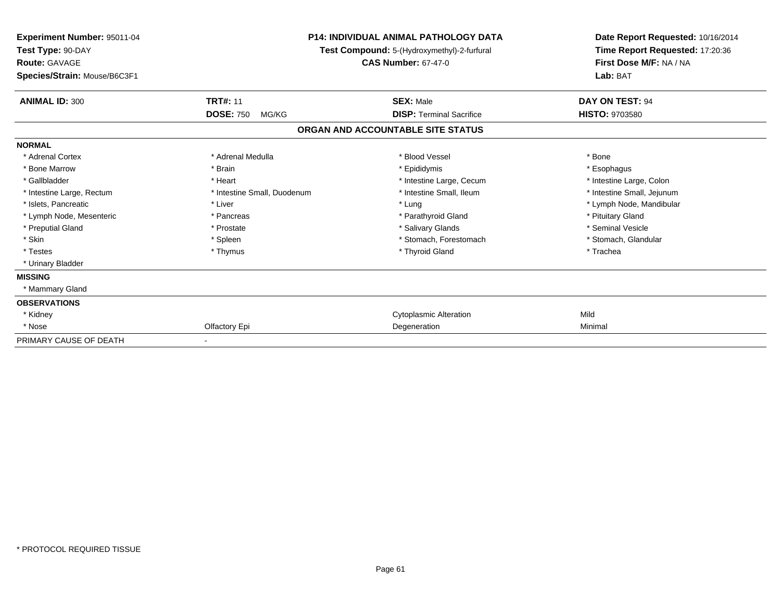| Experiment Number: 95011-04<br>Test Type: 90-DAY<br><b>Route: GAVAGE</b><br>Species/Strain: Mouse/B6C3F1 | <b>P14: INDIVIDUAL ANIMAL PATHOLOGY DATA</b><br>Test Compound: 5-(Hydroxymethyl)-2-furfural<br><b>CAS Number: 67-47-0</b> |                                   | Date Report Requested: 10/16/2014<br>Time Report Requested: 17:20:36<br>First Dose M/F: NA / NA<br>Lab: BAT |
|----------------------------------------------------------------------------------------------------------|---------------------------------------------------------------------------------------------------------------------------|-----------------------------------|-------------------------------------------------------------------------------------------------------------|
|                                                                                                          |                                                                                                                           |                                   |                                                                                                             |
| <b>ANIMAL ID: 300</b>                                                                                    | <b>TRT#: 11</b>                                                                                                           | <b>SEX: Male</b>                  | <b>DAY ON TEST: 94</b>                                                                                      |
|                                                                                                          | <b>DOSE: 750</b><br>MG/KG                                                                                                 | <b>DISP: Terminal Sacrifice</b>   | <b>HISTO: 9703580</b>                                                                                       |
|                                                                                                          |                                                                                                                           | ORGAN AND ACCOUNTABLE SITE STATUS |                                                                                                             |
| <b>NORMAL</b>                                                                                            |                                                                                                                           |                                   |                                                                                                             |
| * Adrenal Cortex                                                                                         | * Adrenal Medulla                                                                                                         | * Blood Vessel                    | * Bone                                                                                                      |
| * Bone Marrow                                                                                            | * Brain                                                                                                                   | * Epididymis                      | * Esophagus                                                                                                 |
| * Gallbladder                                                                                            | * Heart                                                                                                                   | * Intestine Large, Cecum          | * Intestine Large, Colon                                                                                    |
| * Intestine Large, Rectum                                                                                | * Intestine Small, Duodenum                                                                                               | * Intestine Small, Ileum          | * Intestine Small, Jejunum                                                                                  |
| * Islets, Pancreatic                                                                                     | * Liver                                                                                                                   | * Lung                            | * Lymph Node, Mandibular                                                                                    |
| * Lymph Node, Mesenteric                                                                                 | * Pancreas                                                                                                                | * Parathyroid Gland               | * Pituitary Gland                                                                                           |
| * Preputial Gland                                                                                        | * Prostate                                                                                                                | * Salivary Glands                 | * Seminal Vesicle                                                                                           |
| * Skin                                                                                                   | * Spleen                                                                                                                  | * Stomach, Forestomach            | * Stomach, Glandular                                                                                        |
| * Testes                                                                                                 | * Thymus                                                                                                                  | * Thyroid Gland                   | * Trachea                                                                                                   |
| * Urinary Bladder                                                                                        |                                                                                                                           |                                   |                                                                                                             |
| <b>MISSING</b>                                                                                           |                                                                                                                           |                                   |                                                                                                             |
| * Mammary Gland                                                                                          |                                                                                                                           |                                   |                                                                                                             |
| <b>OBSERVATIONS</b>                                                                                      |                                                                                                                           |                                   |                                                                                                             |
| * Kidney                                                                                                 |                                                                                                                           | <b>Cytoplasmic Alteration</b>     | Mild                                                                                                        |
| * Nose                                                                                                   | Olfactory Epi                                                                                                             | Degeneration                      | Minimal                                                                                                     |
| PRIMARY CAUSE OF DEATH                                                                                   |                                                                                                                           |                                   |                                                                                                             |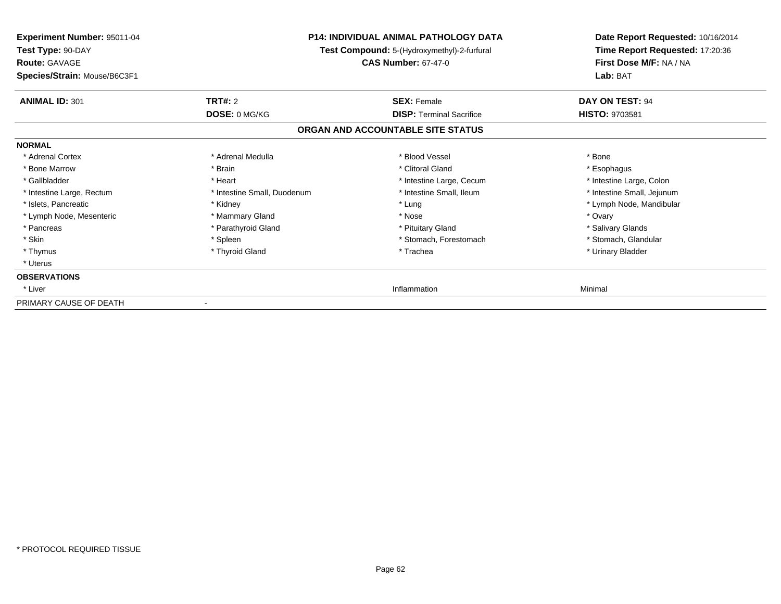| Experiment Number: 95011-04<br>Test Type: 90-DAY<br><b>Route: GAVAGE</b> | <b>P14: INDIVIDUAL ANIMAL PATHOLOGY DATA</b><br>Test Compound: 5-(Hydroxymethyl)-2-furfural<br><b>CAS Number: 67-47-0</b> |                                   | Date Report Requested: 10/16/2014<br>Time Report Requested: 17:20:36<br>First Dose M/F: NA / NA |
|--------------------------------------------------------------------------|---------------------------------------------------------------------------------------------------------------------------|-----------------------------------|-------------------------------------------------------------------------------------------------|
| Species/Strain: Mouse/B6C3F1                                             |                                                                                                                           |                                   | Lab: BAT                                                                                        |
| <b>ANIMAL ID: 301</b>                                                    | <b>TRT#: 2</b>                                                                                                            | <b>SEX: Female</b>                | DAY ON TEST: 94                                                                                 |
|                                                                          | DOSE: 0 MG/KG                                                                                                             | <b>DISP: Terminal Sacrifice</b>   | <b>HISTO: 9703581</b>                                                                           |
|                                                                          |                                                                                                                           | ORGAN AND ACCOUNTABLE SITE STATUS |                                                                                                 |
| <b>NORMAL</b>                                                            |                                                                                                                           |                                   |                                                                                                 |
| * Adrenal Cortex                                                         | * Adrenal Medulla                                                                                                         | * Blood Vessel                    | * Bone                                                                                          |
| * Bone Marrow                                                            | * Brain                                                                                                                   | * Clitoral Gland                  | * Esophagus                                                                                     |
| * Gallbladder                                                            | * Heart                                                                                                                   | * Intestine Large, Cecum          | * Intestine Large, Colon                                                                        |
| * Intestine Large, Rectum                                                | * Intestine Small, Duodenum                                                                                               | * Intestine Small, Ileum          | * Intestine Small, Jejunum                                                                      |
| * Islets, Pancreatic                                                     | * Kidney                                                                                                                  | * Lung                            | * Lymph Node, Mandibular                                                                        |
| * Lymph Node, Mesenteric                                                 | * Mammary Gland                                                                                                           | * Nose                            | * Ovary                                                                                         |
| * Pancreas                                                               | * Parathyroid Gland                                                                                                       | * Pituitary Gland                 | * Salivary Glands                                                                               |
| * Skin                                                                   | * Spleen                                                                                                                  | * Stomach, Forestomach            | * Stomach, Glandular                                                                            |
| * Thymus                                                                 | * Thyroid Gland                                                                                                           | * Trachea                         | * Urinary Bladder                                                                               |
| * Uterus                                                                 |                                                                                                                           |                                   |                                                                                                 |
| <b>OBSERVATIONS</b>                                                      |                                                                                                                           |                                   |                                                                                                 |
| * Liver                                                                  |                                                                                                                           | Inflammation                      | Minimal                                                                                         |
| PRIMARY CAUSE OF DEATH                                                   |                                                                                                                           |                                   |                                                                                                 |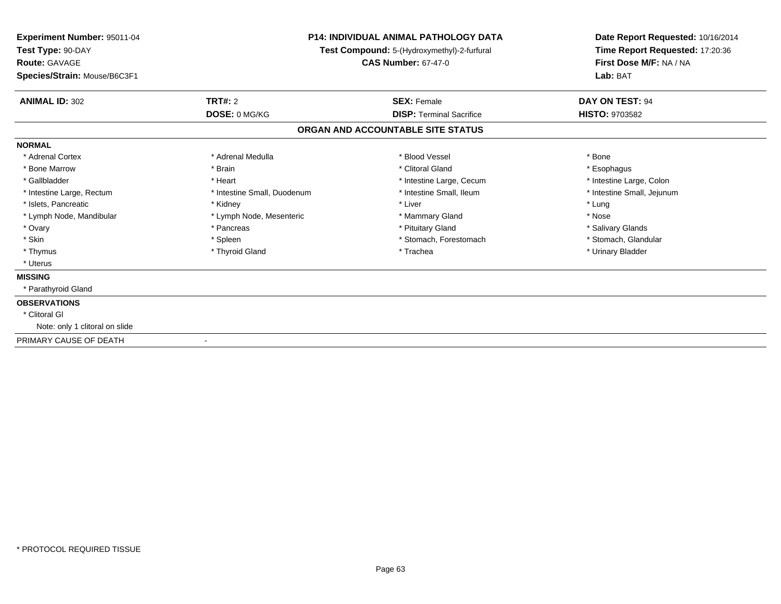| Experiment Number: 95011-04<br>Test Type: 90-DAY<br>Route: GAVAGE<br>Species/Strain: Mouse/B6C3F1 | <b>P14: INDIVIDUAL ANIMAL PATHOLOGY DATA</b><br>Test Compound: 5-(Hydroxymethyl)-2-furfural<br><b>CAS Number: 67-47-0</b> |                                   | Date Report Requested: 10/16/2014<br>Time Report Requested: 17:20:36<br>First Dose M/F: NA / NA<br>Lab: BAT |
|---------------------------------------------------------------------------------------------------|---------------------------------------------------------------------------------------------------------------------------|-----------------------------------|-------------------------------------------------------------------------------------------------------------|
| <b>ANIMAL ID: 302</b><br>TRT#: 2                                                                  |                                                                                                                           | <b>SEX: Female</b>                | DAY ON TEST: 94                                                                                             |
|                                                                                                   | DOSE: 0 MG/KG                                                                                                             | <b>DISP: Terminal Sacrifice</b>   | HISTO: 9703582                                                                                              |
|                                                                                                   |                                                                                                                           | ORGAN AND ACCOUNTABLE SITE STATUS |                                                                                                             |
| <b>NORMAL</b>                                                                                     |                                                                                                                           |                                   |                                                                                                             |
| * Adrenal Cortex                                                                                  | * Adrenal Medulla                                                                                                         | * Blood Vessel                    | * Bone                                                                                                      |
| * Bone Marrow<br>* Brain                                                                          |                                                                                                                           | * Clitoral Gland                  | * Esophagus                                                                                                 |
| * Gallbladder<br>* Heart                                                                          |                                                                                                                           | * Intestine Large, Cecum          | * Intestine Large, Colon                                                                                    |
| * Intestine Large, Rectum                                                                         | * Intestine Small, Duodenum                                                                                               | * Intestine Small, Ileum          | * Intestine Small, Jejunum                                                                                  |
| * Islets, Pancreatic<br>* Kidney                                                                  |                                                                                                                           | * Liver                           | * Lung                                                                                                      |
| * Lymph Node, Mandibular                                                                          | * Lymph Node, Mesenteric                                                                                                  | * Mammary Gland                   | * Nose                                                                                                      |
| * Ovary                                                                                           | * Pancreas                                                                                                                | * Pituitary Gland                 | * Salivary Glands                                                                                           |
| * Skin                                                                                            | * Spleen                                                                                                                  | * Stomach, Forestomach            | * Stomach, Glandular                                                                                        |
| * Thymus                                                                                          | * Thyroid Gland                                                                                                           | * Trachea                         | * Urinary Bladder                                                                                           |
| * Uterus                                                                                          |                                                                                                                           |                                   |                                                                                                             |
| <b>MISSING</b>                                                                                    |                                                                                                                           |                                   |                                                                                                             |
| * Parathyroid Gland                                                                               |                                                                                                                           |                                   |                                                                                                             |
| <b>OBSERVATIONS</b>                                                                               |                                                                                                                           |                                   |                                                                                                             |
| * Clitoral GI                                                                                     |                                                                                                                           |                                   |                                                                                                             |
| Note: only 1 clitoral on slide                                                                    |                                                                                                                           |                                   |                                                                                                             |
| PRIMARY CAUSE OF DEATH                                                                            |                                                                                                                           |                                   |                                                                                                             |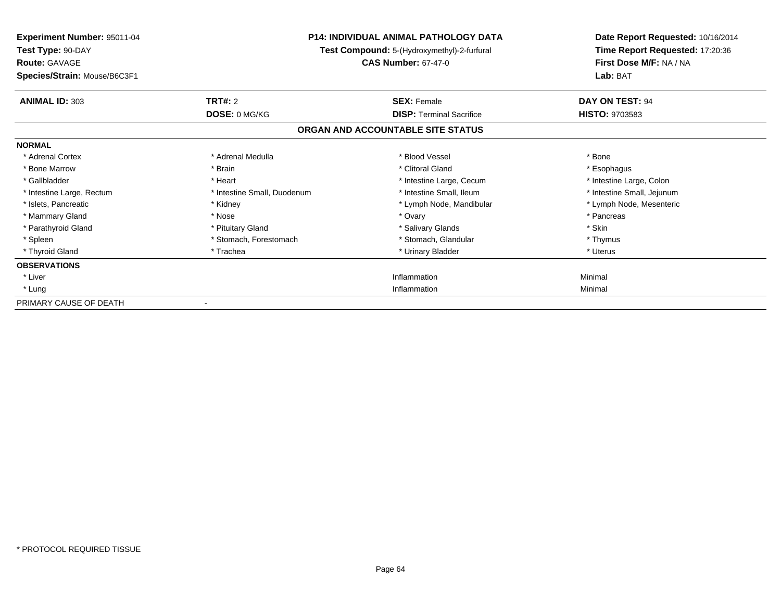| Experiment Number: 95011-04<br>Test Type: 90-DAY<br><b>Route: GAVAGE</b> |                             | <b>P14: INDIVIDUAL ANIMAL PATHOLOGY DATA</b><br>Test Compound: 5-(Hydroxymethyl)-2-furfural<br><b>CAS Number: 67-47-0</b> | Date Report Requested: 10/16/2014<br>Time Report Requested: 17:20:36<br>First Dose M/F: NA / NA<br>Lab: BAT |
|--------------------------------------------------------------------------|-----------------------------|---------------------------------------------------------------------------------------------------------------------------|-------------------------------------------------------------------------------------------------------------|
| Species/Strain: Mouse/B6C3F1                                             |                             |                                                                                                                           |                                                                                                             |
| <b>ANIMAL ID: 303</b>                                                    | TRT#: 2                     | <b>SEX: Female</b>                                                                                                        | <b>DAY ON TEST: 94</b>                                                                                      |
|                                                                          | DOSE: 0 MG/KG               | <b>DISP: Terminal Sacrifice</b>                                                                                           | <b>HISTO: 9703583</b>                                                                                       |
|                                                                          |                             | ORGAN AND ACCOUNTABLE SITE STATUS                                                                                         |                                                                                                             |
| <b>NORMAL</b>                                                            |                             |                                                                                                                           |                                                                                                             |
| * Adrenal Cortex                                                         | * Adrenal Medulla           | * Blood Vessel                                                                                                            | * Bone                                                                                                      |
| * Bone Marrow                                                            | * Brain                     | * Clitoral Gland                                                                                                          | * Esophagus                                                                                                 |
| * Gallbladder                                                            | * Heart                     | * Intestine Large, Cecum                                                                                                  | * Intestine Large, Colon                                                                                    |
| * Intestine Large, Rectum                                                | * Intestine Small, Duodenum | * Intestine Small, Ileum                                                                                                  | * Intestine Small, Jejunum                                                                                  |
| * Islets, Pancreatic                                                     | * Kidney                    | * Lymph Node, Mandibular                                                                                                  | * Lymph Node, Mesenteric                                                                                    |
| * Mammary Gland                                                          | * Nose                      | * Ovary                                                                                                                   | * Pancreas                                                                                                  |
| * Parathyroid Gland                                                      | * Pituitary Gland           | * Salivary Glands                                                                                                         | * Skin                                                                                                      |
| * Spleen                                                                 | * Stomach, Forestomach      | * Stomach, Glandular                                                                                                      | * Thymus                                                                                                    |
| * Thyroid Gland                                                          | * Trachea                   | * Urinary Bladder                                                                                                         | * Uterus                                                                                                    |
| <b>OBSERVATIONS</b>                                                      |                             |                                                                                                                           |                                                                                                             |
| * Liver                                                                  |                             | Inflammation                                                                                                              | Minimal                                                                                                     |
| * Lung                                                                   |                             | Inflammation                                                                                                              | Minimal                                                                                                     |
| PRIMARY CAUSE OF DEATH                                                   |                             |                                                                                                                           |                                                                                                             |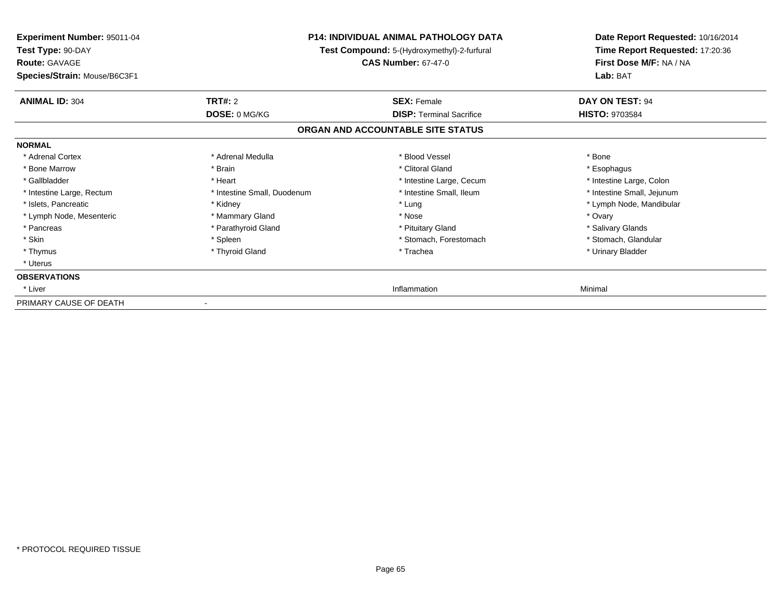| <b>Experiment Number: 95011-04</b><br>Test Type: 90-DAY<br><b>Route: GAVAGE</b><br>Species/Strain: Mouse/B6C3F1 | P14: INDIVIDUAL ANIMAL PATHOLOGY DATA<br>Test Compound: 5-(Hydroxymethyl)-2-furfural<br><b>CAS Number: 67-47-0</b> |                                   | Date Report Requested: 10/16/2014<br>Time Report Requested: 17:20:36<br>First Dose M/F: NA / NA<br>Lab: BAT |  |
|-----------------------------------------------------------------------------------------------------------------|--------------------------------------------------------------------------------------------------------------------|-----------------------------------|-------------------------------------------------------------------------------------------------------------|--|
|                                                                                                                 |                                                                                                                    |                                   |                                                                                                             |  |
| <b>ANIMAL ID: 304</b>                                                                                           | <b>TRT#: 2</b>                                                                                                     | <b>SEX: Female</b>                | DAY ON TEST: 94                                                                                             |  |
|                                                                                                                 | DOSE: 0 MG/KG                                                                                                      | <b>DISP: Terminal Sacrifice</b>   | <b>HISTO: 9703584</b>                                                                                       |  |
|                                                                                                                 |                                                                                                                    | ORGAN AND ACCOUNTABLE SITE STATUS |                                                                                                             |  |
| <b>NORMAL</b>                                                                                                   |                                                                                                                    |                                   |                                                                                                             |  |
| * Adrenal Cortex                                                                                                | * Adrenal Medulla                                                                                                  | * Blood Vessel                    | * Bone                                                                                                      |  |
| * Bone Marrow                                                                                                   | * Brain                                                                                                            | * Clitoral Gland                  | * Esophagus                                                                                                 |  |
| * Gallbladder                                                                                                   | * Heart                                                                                                            | * Intestine Large, Cecum          | * Intestine Large, Colon                                                                                    |  |
| * Intestine Large, Rectum                                                                                       | * Intestine Small, Duodenum                                                                                        | * Intestine Small, Ileum          | * Intestine Small, Jejunum                                                                                  |  |
| * Islets, Pancreatic                                                                                            | * Kidney                                                                                                           | * Lung                            | * Lymph Node, Mandibular                                                                                    |  |
| * Lymph Node, Mesenteric                                                                                        | * Mammary Gland                                                                                                    | * Nose                            | * Ovary                                                                                                     |  |
| * Pancreas                                                                                                      | * Parathyroid Gland                                                                                                | * Pituitary Gland                 | * Salivary Glands                                                                                           |  |
| * Skin                                                                                                          | * Spleen                                                                                                           | * Stomach, Forestomach            | * Stomach, Glandular                                                                                        |  |
| * Thymus                                                                                                        | * Thyroid Gland                                                                                                    | * Trachea                         | * Urinary Bladder                                                                                           |  |
| * Uterus                                                                                                        |                                                                                                                    |                                   |                                                                                                             |  |
| <b>OBSERVATIONS</b>                                                                                             |                                                                                                                    |                                   |                                                                                                             |  |
| * Liver                                                                                                         |                                                                                                                    | Inflammation                      | Minimal                                                                                                     |  |
| PRIMARY CAUSE OF DEATH                                                                                          |                                                                                                                    |                                   |                                                                                                             |  |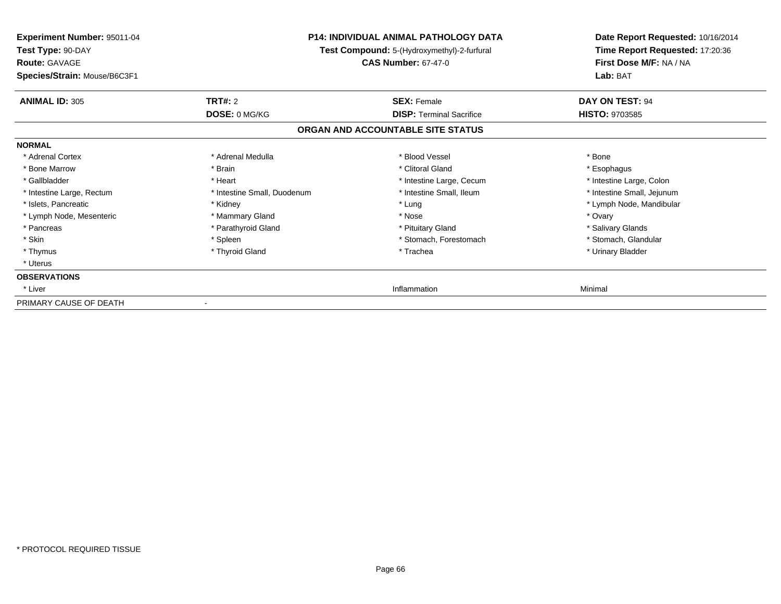| <b>Experiment Number: 95011-04</b><br>Test Type: 90-DAY<br><b>Route: GAVAGE</b> | P14: INDIVIDUAL ANIMAL PATHOLOGY DATA<br>Test Compound: 5-(Hydroxymethyl)-2-furfural<br><b>CAS Number: 67-47-0</b> |                                   | Date Report Requested: 10/16/2014<br>Time Report Requested: 17:20:36<br>First Dose M/F: NA / NA<br>Lab: BAT |  |
|---------------------------------------------------------------------------------|--------------------------------------------------------------------------------------------------------------------|-----------------------------------|-------------------------------------------------------------------------------------------------------------|--|
| Species/Strain: Mouse/B6C3F1                                                    |                                                                                                                    |                                   |                                                                                                             |  |
| <b>ANIMAL ID: 305</b>                                                           | <b>TRT#: 2</b>                                                                                                     | <b>SEX: Female</b>                | DAY ON TEST: 94                                                                                             |  |
|                                                                                 | DOSE: 0 MG/KG                                                                                                      | <b>DISP: Terminal Sacrifice</b>   | <b>HISTO: 9703585</b>                                                                                       |  |
|                                                                                 |                                                                                                                    | ORGAN AND ACCOUNTABLE SITE STATUS |                                                                                                             |  |
| <b>NORMAL</b>                                                                   |                                                                                                                    |                                   |                                                                                                             |  |
| * Adrenal Cortex                                                                | * Adrenal Medulla                                                                                                  | * Blood Vessel                    | * Bone                                                                                                      |  |
| * Bone Marrow                                                                   | * Brain                                                                                                            | * Clitoral Gland                  | * Esophagus                                                                                                 |  |
| * Gallbladder                                                                   | * Heart                                                                                                            | * Intestine Large, Cecum          | * Intestine Large, Colon                                                                                    |  |
| * Intestine Large, Rectum                                                       | * Intestine Small, Duodenum                                                                                        | * Intestine Small, Ileum          | * Intestine Small, Jejunum                                                                                  |  |
| * Islets, Pancreatic                                                            | * Kidney                                                                                                           | * Lung                            | * Lymph Node, Mandibular                                                                                    |  |
| * Lymph Node, Mesenteric                                                        | * Mammary Gland                                                                                                    | * Nose                            | * Ovary                                                                                                     |  |
| * Pancreas                                                                      | * Parathyroid Gland                                                                                                | * Pituitary Gland                 | * Salivary Glands                                                                                           |  |
| * Skin                                                                          | * Spleen                                                                                                           | * Stomach, Forestomach            | * Stomach, Glandular                                                                                        |  |
| * Thymus                                                                        | * Thyroid Gland                                                                                                    | * Trachea                         | * Urinary Bladder                                                                                           |  |
| * Uterus                                                                        |                                                                                                                    |                                   |                                                                                                             |  |
| <b>OBSERVATIONS</b>                                                             |                                                                                                                    |                                   |                                                                                                             |  |
| * Liver                                                                         |                                                                                                                    | Inflammation                      | Minimal                                                                                                     |  |
| PRIMARY CAUSE OF DEATH                                                          |                                                                                                                    |                                   |                                                                                                             |  |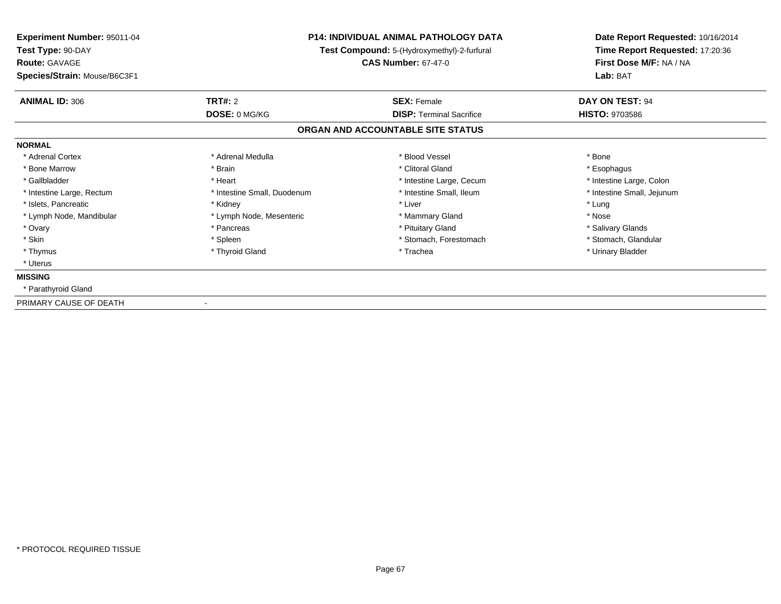| <b>Experiment Number: 95011-04</b> |                                             | <b>P14: INDIVIDUAL ANIMAL PATHOLOGY DATA</b> | Date Report Requested: 10/16/2014 |  |
|------------------------------------|---------------------------------------------|----------------------------------------------|-----------------------------------|--|
| Test Type: 90-DAY                  | Test Compound: 5-(Hydroxymethyl)-2-furfural |                                              | Time Report Requested: 17:20:36   |  |
| <b>Route: GAVAGE</b>               |                                             | <b>CAS Number: 67-47-0</b>                   | First Dose M/F: NA / NA           |  |
| Species/Strain: Mouse/B6C3F1       |                                             |                                              | Lab: BAT                          |  |
| <b>ANIMAL ID: 306</b>              | <b>TRT#: 2</b>                              | <b>SEX: Female</b>                           | DAY ON TEST: 94                   |  |
|                                    | <b>DOSE: 0 MG/KG</b>                        | <b>DISP: Terminal Sacrifice</b>              | <b>HISTO: 9703586</b>             |  |
|                                    |                                             | ORGAN AND ACCOUNTABLE SITE STATUS            |                                   |  |
| <b>NORMAL</b>                      |                                             |                                              |                                   |  |
| * Adrenal Cortex                   | * Adrenal Medulla                           | * Blood Vessel                               | * Bone                            |  |
| * Bone Marrow                      | * Brain                                     | * Clitoral Gland                             | * Esophagus                       |  |
| * Gallbladder                      | * Heart                                     | * Intestine Large, Cecum                     | * Intestine Large, Colon          |  |
| * Intestine Large, Rectum          | * Intestine Small, Duodenum                 | * Intestine Small, Ileum                     | * Intestine Small, Jejunum        |  |
| * Islets, Pancreatic               | * Kidney                                    | * Liver                                      | * Lung                            |  |
| * Lymph Node, Mandibular           | * Lymph Node, Mesenteric                    | * Mammary Gland                              | * Nose                            |  |
| * Ovary                            | * Pancreas                                  | * Pituitary Gland                            | * Salivary Glands                 |  |
| * Skin                             | * Spleen                                    | * Stomach, Forestomach                       | * Stomach, Glandular              |  |
| * Thymus                           | * Thyroid Gland                             | * Trachea                                    | * Urinary Bladder                 |  |
| * Uterus                           |                                             |                                              |                                   |  |
| <b>MISSING</b>                     |                                             |                                              |                                   |  |
| * Parathyroid Gland                |                                             |                                              |                                   |  |
| PRIMARY CAUSE OF DEATH             |                                             |                                              |                                   |  |

-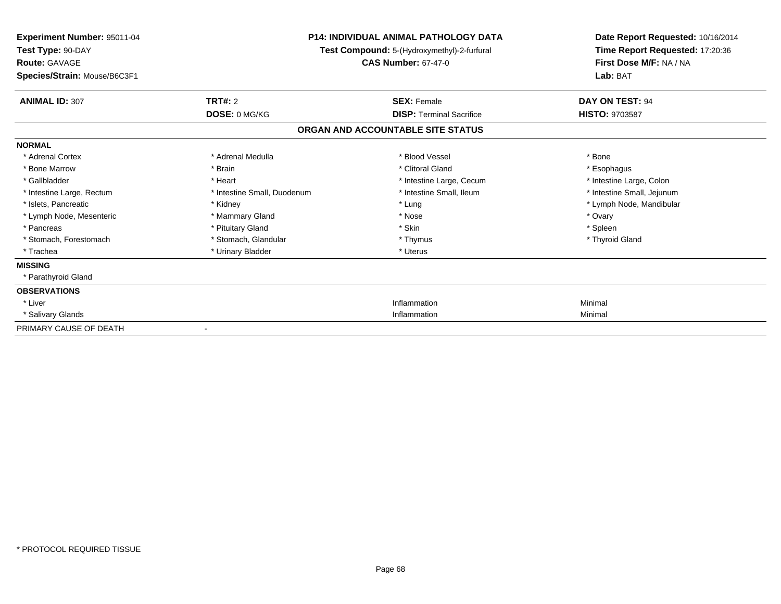| Experiment Number: 95011-04<br>Test Type: 90-DAY     |                             | <b>P14: INDIVIDUAL ANIMAL PATHOLOGY DATA</b><br>Test Compound: 5-(Hydroxymethyl)-2-furfural | Date Report Requested: 10/16/2014<br>Time Report Requested: 17:20:36 |
|------------------------------------------------------|-----------------------------|---------------------------------------------------------------------------------------------|----------------------------------------------------------------------|
| <b>Route: GAVAGE</b><br>Species/Strain: Mouse/B6C3F1 |                             | <b>CAS Number: 67-47-0</b>                                                                  | First Dose M/F: NA / NA<br>Lab: BAT                                  |
| <b>ANIMAL ID: 307</b>                                | <b>TRT#: 2</b>              | <b>SEX: Female</b>                                                                          | DAY ON TEST: 94                                                      |
|                                                      | DOSE: 0 MG/KG               | <b>DISP: Terminal Sacrifice</b>                                                             | <b>HISTO: 9703587</b>                                                |
|                                                      |                             | ORGAN AND ACCOUNTABLE SITE STATUS                                                           |                                                                      |
| <b>NORMAL</b>                                        |                             |                                                                                             |                                                                      |
| * Adrenal Cortex                                     | * Adrenal Medulla           | * Blood Vessel                                                                              | * Bone                                                               |
| * Bone Marrow                                        | * Brain                     | * Clitoral Gland                                                                            | * Esophagus                                                          |
| * Gallbladder                                        | * Heart                     | * Intestine Large, Cecum                                                                    | * Intestine Large, Colon                                             |
| * Intestine Large, Rectum                            | * Intestine Small, Duodenum | * Intestine Small, Ileum                                                                    | * Intestine Small, Jejunum                                           |
| * Islets, Pancreatic                                 | * Kidney                    | * Lung                                                                                      | * Lymph Node, Mandibular                                             |
| * Lymph Node, Mesenteric                             | * Mammary Gland             | * Nose                                                                                      | * Ovary                                                              |
| * Pancreas                                           | * Pituitary Gland           | * Skin                                                                                      | * Spleen                                                             |
| * Stomach, Forestomach                               | * Stomach, Glandular        | * Thymus                                                                                    | * Thyroid Gland                                                      |
| * Trachea                                            | * Urinary Bladder           | * Uterus                                                                                    |                                                                      |
| <b>MISSING</b>                                       |                             |                                                                                             |                                                                      |
| * Parathyroid Gland                                  |                             |                                                                                             |                                                                      |
| <b>OBSERVATIONS</b>                                  |                             |                                                                                             |                                                                      |
| * Liver                                              |                             | Inflammation                                                                                | Minimal                                                              |
| * Salivary Glands                                    |                             | Inflammation                                                                                | Minimal                                                              |
| PRIMARY CAUSE OF DEATH                               |                             |                                                                                             |                                                                      |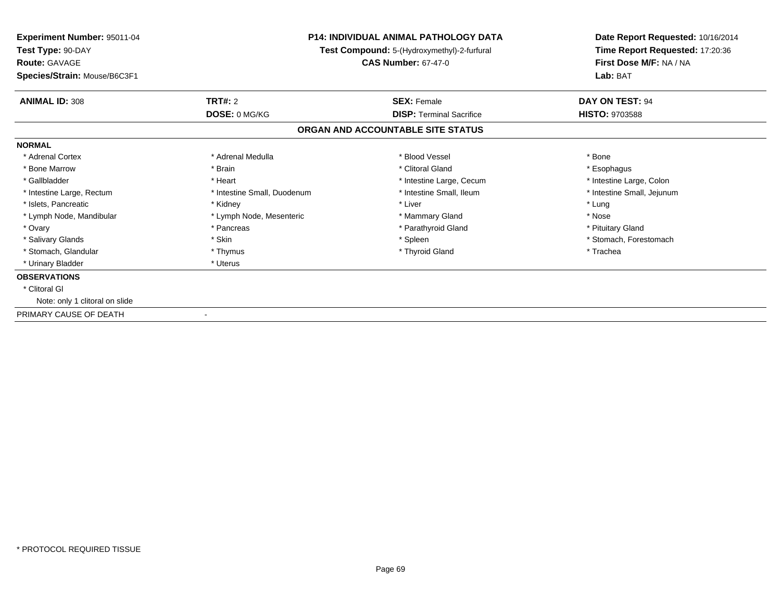| Experiment Number: 95011-04<br>Test Type: 90-DAY<br><b>Route: GAVAGE</b> | <b>P14: INDIVIDUAL ANIMAL PATHOLOGY DATA</b><br>Test Compound: 5-(Hydroxymethyl)-2-furfural<br><b>CAS Number: 67-47-0</b> |                                   | Date Report Requested: 10/16/2014<br>Time Report Requested: 17:20:36<br>First Dose M/F: NA / NA |  |
|--------------------------------------------------------------------------|---------------------------------------------------------------------------------------------------------------------------|-----------------------------------|-------------------------------------------------------------------------------------------------|--|
| Species/Strain: Mouse/B6C3F1                                             |                                                                                                                           |                                   | Lab: BAT                                                                                        |  |
| <b>ANIMAL ID: 308</b>                                                    | <b>TRT#: 2</b>                                                                                                            | <b>SEX: Female</b>                | DAY ON TEST: 94                                                                                 |  |
|                                                                          | DOSE: 0 MG/KG                                                                                                             | <b>DISP: Terminal Sacrifice</b>   | <b>HISTO: 9703588</b>                                                                           |  |
|                                                                          |                                                                                                                           | ORGAN AND ACCOUNTABLE SITE STATUS |                                                                                                 |  |
| <b>NORMAL</b>                                                            |                                                                                                                           |                                   |                                                                                                 |  |
| * Adrenal Cortex                                                         | * Adrenal Medulla                                                                                                         | * Blood Vessel                    | * Bone                                                                                          |  |
| * Bone Marrow                                                            | * Brain                                                                                                                   | * Clitoral Gland                  | * Esophagus                                                                                     |  |
| * Gallbladder                                                            | * Heart                                                                                                                   | * Intestine Large, Cecum          | * Intestine Large, Colon                                                                        |  |
| * Intestine Large, Rectum                                                | * Intestine Small, Duodenum                                                                                               | * Intestine Small, Ileum          | * Intestine Small, Jejunum                                                                      |  |
| * Islets, Pancreatic                                                     | * Kidney                                                                                                                  | * Liver                           | * Lung                                                                                          |  |
| * Lymph Node, Mandibular                                                 | * Lymph Node, Mesenteric                                                                                                  | * Mammary Gland                   | * Nose                                                                                          |  |
| * Ovary                                                                  | * Pancreas                                                                                                                | * Parathyroid Gland               | * Pituitary Gland                                                                               |  |
| * Salivary Glands                                                        | * Skin                                                                                                                    | * Spleen                          | * Stomach, Forestomach                                                                          |  |
| * Stomach, Glandular                                                     | * Thymus                                                                                                                  | * Thyroid Gland                   | * Trachea                                                                                       |  |
| * Urinary Bladder                                                        | * Uterus                                                                                                                  |                                   |                                                                                                 |  |
| <b>OBSERVATIONS</b>                                                      |                                                                                                                           |                                   |                                                                                                 |  |
| * Clitoral GI                                                            |                                                                                                                           |                                   |                                                                                                 |  |
| Note: only 1 clitoral on slide                                           |                                                                                                                           |                                   |                                                                                                 |  |
| PRIMARY CAUSE OF DEATH                                                   |                                                                                                                           |                                   |                                                                                                 |  |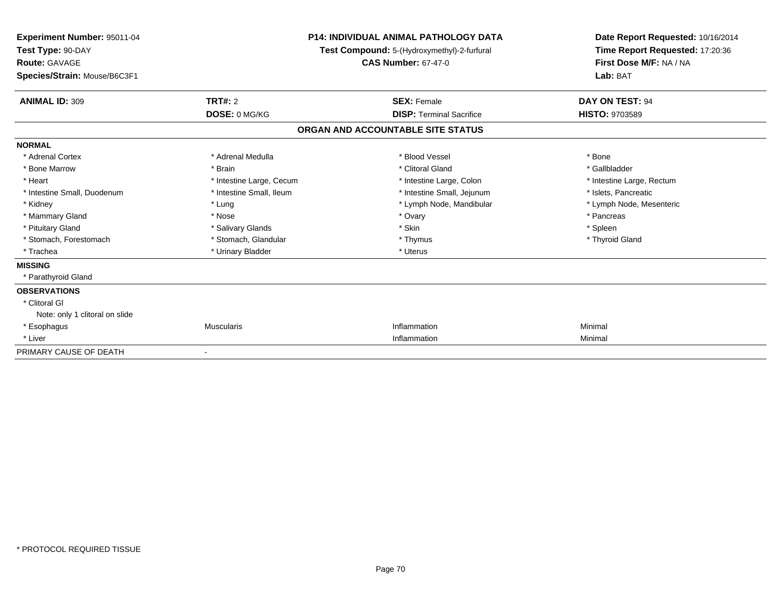| Experiment Number: 95011-04<br>Test Type: 90-DAY<br>Route: GAVAGE<br>Species/Strain: Mouse/B6C3F1 | <b>P14: INDIVIDUAL ANIMAL PATHOLOGY DATA</b><br>Test Compound: 5-(Hydroxymethyl)-2-furfural<br><b>CAS Number: 67-47-0</b> |                                   | Date Report Requested: 10/16/2014<br>Time Report Requested: 17:20:36<br>First Dose M/F: NA / NA<br>Lab: BAT |  |
|---------------------------------------------------------------------------------------------------|---------------------------------------------------------------------------------------------------------------------------|-----------------------------------|-------------------------------------------------------------------------------------------------------------|--|
| <b>ANIMAL ID: 309</b>                                                                             | TRT#: 2                                                                                                                   | <b>SEX: Female</b>                | DAY ON TEST: 94                                                                                             |  |
|                                                                                                   | DOSE: 0 MG/KG                                                                                                             | <b>DISP: Terminal Sacrifice</b>   | <b>HISTO: 9703589</b>                                                                                       |  |
|                                                                                                   |                                                                                                                           | ORGAN AND ACCOUNTABLE SITE STATUS |                                                                                                             |  |
| <b>NORMAL</b>                                                                                     |                                                                                                                           |                                   |                                                                                                             |  |
| * Adrenal Cortex                                                                                  | * Adrenal Medulla                                                                                                         | * Blood Vessel                    | * Bone                                                                                                      |  |
| * Bone Marrow                                                                                     | * Brain                                                                                                                   | * Clitoral Gland                  | * Gallbladder                                                                                               |  |
| * Heart                                                                                           | * Intestine Large, Cecum                                                                                                  | * Intestine Large, Colon          | * Intestine Large, Rectum                                                                                   |  |
| * Intestine Small, Duodenum                                                                       | * Intestine Small, Ileum                                                                                                  | * Intestine Small, Jejunum        | * Islets, Pancreatic                                                                                        |  |
| * Kidney                                                                                          | * Lung                                                                                                                    | * Lymph Node, Mandibular          | * Lymph Node, Mesenteric                                                                                    |  |
| * Mammary Gland                                                                                   | * Nose                                                                                                                    | * Ovary                           | * Pancreas                                                                                                  |  |
| * Pituitary Gland                                                                                 | * Salivary Glands                                                                                                         | * Skin                            | * Spleen                                                                                                    |  |
| * Stomach, Forestomach                                                                            | * Stomach, Glandular                                                                                                      | * Thymus                          | * Thyroid Gland                                                                                             |  |
| * Trachea                                                                                         | * Urinary Bladder                                                                                                         | * Uterus                          |                                                                                                             |  |
| <b>MISSING</b>                                                                                    |                                                                                                                           |                                   |                                                                                                             |  |
| * Parathyroid Gland                                                                               |                                                                                                                           |                                   |                                                                                                             |  |
| <b>OBSERVATIONS</b>                                                                               |                                                                                                                           |                                   |                                                                                                             |  |
| * Clitoral GI                                                                                     |                                                                                                                           |                                   |                                                                                                             |  |
| Note: only 1 clitoral on slide                                                                    |                                                                                                                           |                                   |                                                                                                             |  |
| * Esophagus                                                                                       | <b>Muscularis</b>                                                                                                         | Inflammation                      | Minimal                                                                                                     |  |
| * Liver                                                                                           |                                                                                                                           | Inflammation                      | Minimal                                                                                                     |  |
| PRIMARY CAUSE OF DEATH                                                                            |                                                                                                                           |                                   |                                                                                                             |  |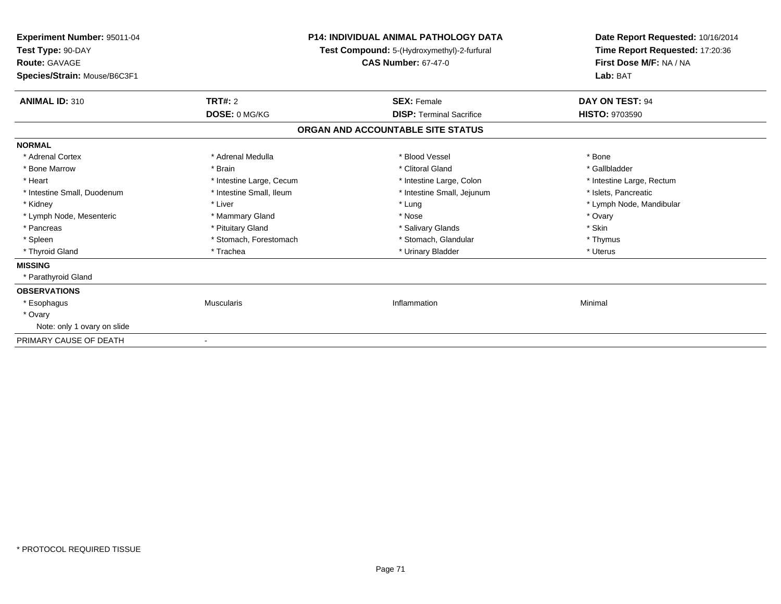| Experiment Number: 95011-04<br>Test Type: 90-DAY<br><b>Route: GAVAGE</b><br>Species/Strain: Mouse/B6C3F1 | <b>P14: INDIVIDUAL ANIMAL PATHOLOGY DATA</b><br>Test Compound: 5-(Hydroxymethyl)-2-furfural<br><b>CAS Number: 67-47-0</b> |                                   | Date Report Requested: 10/16/2014<br>Time Report Requested: 17:20:36<br>First Dose M/F: NA / NA<br>Lab: BAT |
|----------------------------------------------------------------------------------------------------------|---------------------------------------------------------------------------------------------------------------------------|-----------------------------------|-------------------------------------------------------------------------------------------------------------|
| <b>ANIMAL ID: 310</b>                                                                                    | <b>TRT#: 2</b>                                                                                                            | <b>SEX: Female</b>                | DAY ON TEST: 94                                                                                             |
|                                                                                                          | DOSE: 0 MG/KG                                                                                                             | <b>DISP: Terminal Sacrifice</b>   | <b>HISTO: 9703590</b>                                                                                       |
|                                                                                                          |                                                                                                                           | ORGAN AND ACCOUNTABLE SITE STATUS |                                                                                                             |
| <b>NORMAL</b>                                                                                            |                                                                                                                           |                                   |                                                                                                             |
| * Adrenal Cortex                                                                                         | * Adrenal Medulla                                                                                                         | * Blood Vessel                    | * Bone                                                                                                      |
| * Bone Marrow                                                                                            | * Brain                                                                                                                   | * Clitoral Gland                  | * Gallbladder                                                                                               |
| * Heart                                                                                                  | * Intestine Large, Cecum                                                                                                  | * Intestine Large, Colon          | * Intestine Large, Rectum                                                                                   |
| * Intestine Small, Duodenum                                                                              | * Intestine Small, Ileum                                                                                                  | * Intestine Small, Jejunum        | * Islets. Pancreatic                                                                                        |
| * Kidney                                                                                                 | * Liver                                                                                                                   | * Lung                            | * Lymph Node, Mandibular                                                                                    |
| * Lymph Node, Mesenteric                                                                                 | * Mammary Gland                                                                                                           | * Nose                            | * Ovary                                                                                                     |
| * Pancreas                                                                                               | * Pituitary Gland                                                                                                         | * Salivary Glands                 | * Skin                                                                                                      |
| * Spleen                                                                                                 | * Stomach, Forestomach                                                                                                    | * Stomach, Glandular              | * Thymus                                                                                                    |
| * Thyroid Gland                                                                                          | * Trachea                                                                                                                 | * Urinary Bladder                 | * Uterus                                                                                                    |
| <b>MISSING</b>                                                                                           |                                                                                                                           |                                   |                                                                                                             |
| * Parathyroid Gland                                                                                      |                                                                                                                           |                                   |                                                                                                             |
| <b>OBSERVATIONS</b>                                                                                      |                                                                                                                           |                                   |                                                                                                             |
| * Esophagus                                                                                              | <b>Muscularis</b>                                                                                                         | Inflammation                      | Minimal                                                                                                     |
| * Ovary                                                                                                  |                                                                                                                           |                                   |                                                                                                             |
| Note: only 1 ovary on slide                                                                              |                                                                                                                           |                                   |                                                                                                             |
| PRIMARY CAUSE OF DEATH                                                                                   | $\blacksquare$                                                                                                            |                                   |                                                                                                             |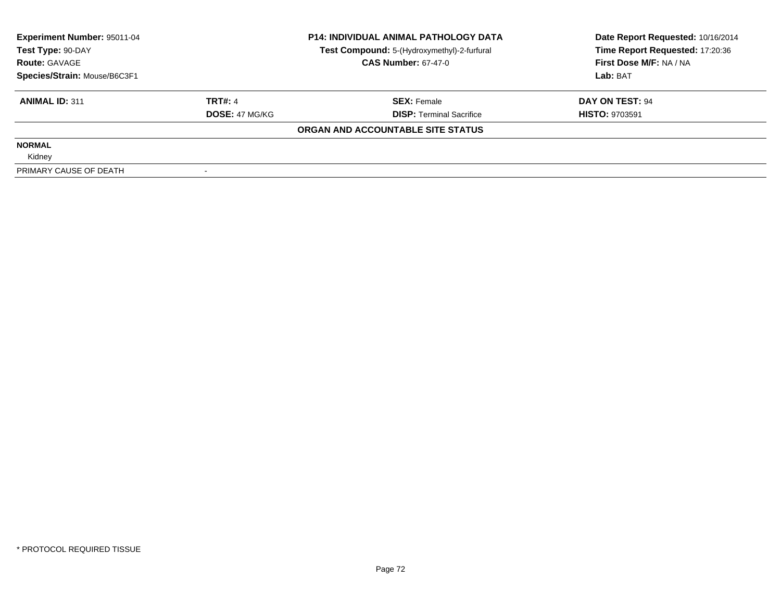| Experiment Number: 95011-04<br>Test Type: 90-DAY |                       | <b>P14: INDIVIDUAL ANIMAL PATHOLOGY DATA</b> | Date Report Requested: 10/16/2014 |
|--------------------------------------------------|-----------------------|----------------------------------------------|-----------------------------------|
|                                                  |                       | Test Compound: 5-(Hydroxymethyl)-2-furfural  | Time Report Requested: 17:20:36   |
| <b>Route: GAVAGE</b>                             |                       | <b>CAS Number: 67-47-0</b>                   | First Dose M/F: NA / NA           |
| Species/Strain: Mouse/B6C3F1                     |                       |                                              | Lab: BAT                          |
| <b>ANIMAL ID: 311</b>                            | <b>TRT#: 4</b>        | <b>SEX: Female</b>                           | DAY ON TEST: 94                   |
|                                                  | <b>DOSE: 47 MG/KG</b> | <b>DISP:</b> Terminal Sacrifice              | <b>HISTO: 9703591</b>             |
|                                                  |                       | ORGAN AND ACCOUNTABLE SITE STATUS            |                                   |
| <b>NORMAL</b>                                    |                       |                                              |                                   |
| Kidney                                           |                       |                                              |                                   |
| PRIMARY CAUSE OF DEATH                           |                       |                                              |                                   |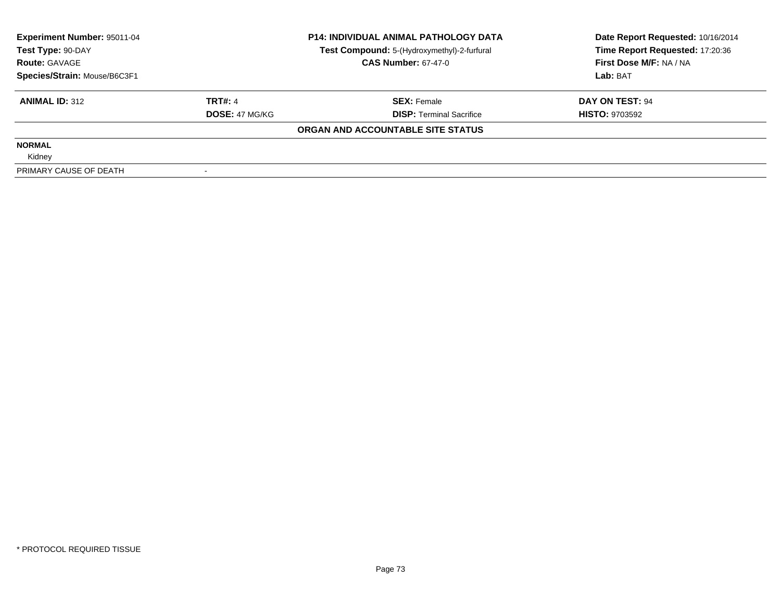| <b>Experiment Number: 95011-04</b> |                       | <b>P14: INDIVIDUAL ANIMAL PATHOLOGY DATA</b> | Date Report Requested: 10/16/2014 |
|------------------------------------|-----------------------|----------------------------------------------|-----------------------------------|
| Test Type: 90-DAY                  |                       | Test Compound: 5-(Hydroxymethyl)-2-furfural  | Time Report Requested: 17:20:36   |
| <b>Route: GAVAGE</b>               |                       | <b>CAS Number: 67-47-0</b>                   | First Dose M/F: NA / NA           |
| Species/Strain: Mouse/B6C3F1       |                       |                                              | Lab: BAT                          |
| <b>ANIMAL ID: 312</b>              | <b>TRT#: 4</b>        | <b>SEX: Female</b>                           | DAY ON TEST: 94                   |
|                                    | <b>DOSE: 47 MG/KG</b> | <b>DISP:</b> Terminal Sacrifice              | <b>HISTO: 9703592</b>             |
|                                    |                       | ORGAN AND ACCOUNTABLE SITE STATUS            |                                   |
| <b>NORMAL</b>                      |                       |                                              |                                   |
| Kidney                             |                       |                                              |                                   |
| PRIMARY CAUSE OF DEATH             |                       |                                              |                                   |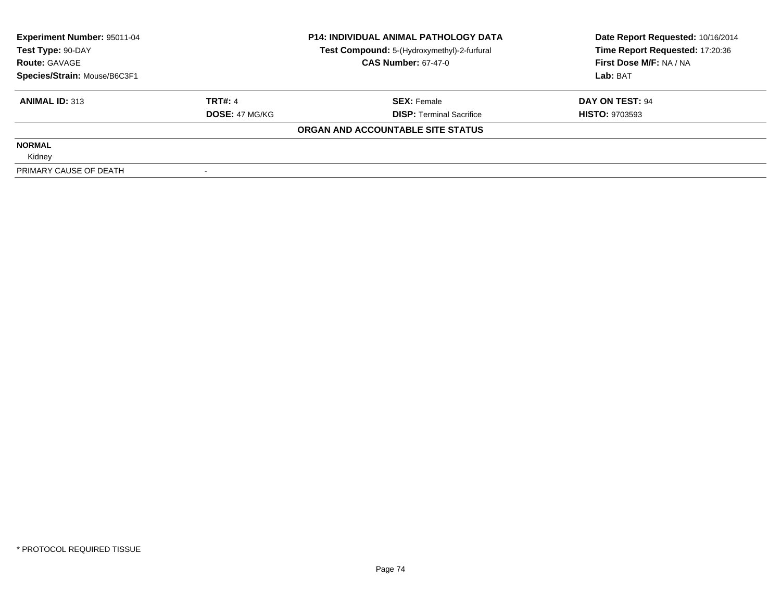| <b>Experiment Number: 95011-04</b> |                       | <b>P14: INDIVIDUAL ANIMAL PATHOLOGY DATA</b> | Date Report Requested: 10/16/2014 |
|------------------------------------|-----------------------|----------------------------------------------|-----------------------------------|
| Test Type: 90-DAY                  |                       | Test Compound: 5-(Hydroxymethyl)-2-furfural  | Time Report Requested: 17:20:36   |
| <b>Route: GAVAGE</b>               |                       | <b>CAS Number: 67-47-0</b>                   | First Dose M/F: NA / NA           |
| Species/Strain: Mouse/B6C3F1       |                       |                                              | Lab: BAT                          |
| <b>ANIMAL ID: 313</b>              | <b>TRT#: 4</b>        | <b>SEX: Female</b>                           | DAY ON TEST: 94                   |
|                                    | <b>DOSE: 47 MG/KG</b> | <b>DISP:</b> Terminal Sacrifice              | <b>HISTO: 9703593</b>             |
|                                    |                       | ORGAN AND ACCOUNTABLE SITE STATUS            |                                   |
| <b>NORMAL</b>                      |                       |                                              |                                   |
| Kidney                             |                       |                                              |                                   |
| PRIMARY CAUSE OF DEATH             |                       |                                              |                                   |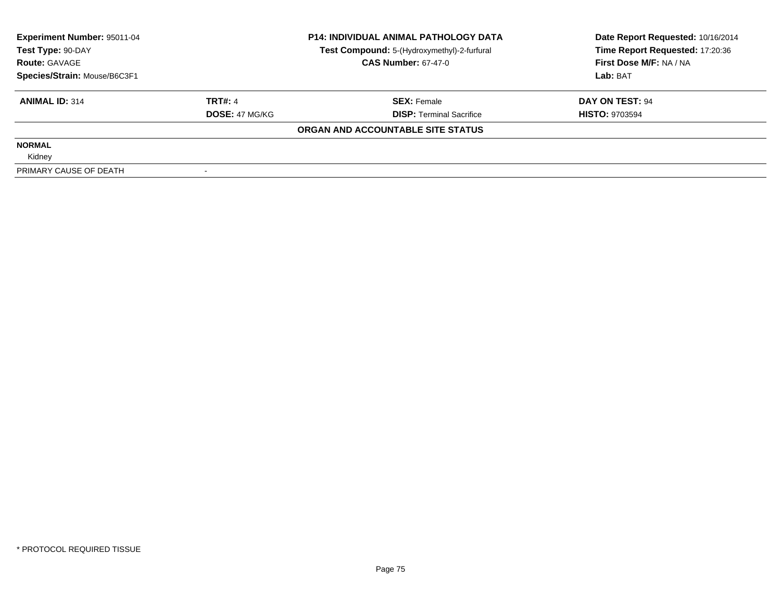| <b>Experiment Number: 95011-04</b> |                       | <b>P14: INDIVIDUAL ANIMAL PATHOLOGY DATA</b> | Date Report Requested: 10/16/2014 |
|------------------------------------|-----------------------|----------------------------------------------|-----------------------------------|
| Test Type: 90-DAY                  |                       | Test Compound: 5-(Hydroxymethyl)-2-furfural  | Time Report Requested: 17:20:36   |
| <b>Route: GAVAGE</b>               |                       | <b>CAS Number: 67-47-0</b>                   | First Dose M/F: NA / NA           |
| Species/Strain: Mouse/B6C3F1       |                       |                                              | Lab: BAT                          |
| <b>ANIMAL ID: 314</b>              | <b>TRT#: 4</b>        | <b>SEX: Female</b>                           | DAY ON TEST: 94                   |
|                                    | <b>DOSE: 47 MG/KG</b> | <b>DISP:</b> Terminal Sacrifice              | <b>HISTO: 9703594</b>             |
|                                    |                       | ORGAN AND ACCOUNTABLE SITE STATUS            |                                   |
| <b>NORMAL</b>                      |                       |                                              |                                   |
| Kidney                             |                       |                                              |                                   |
| PRIMARY CAUSE OF DEATH             |                       |                                              |                                   |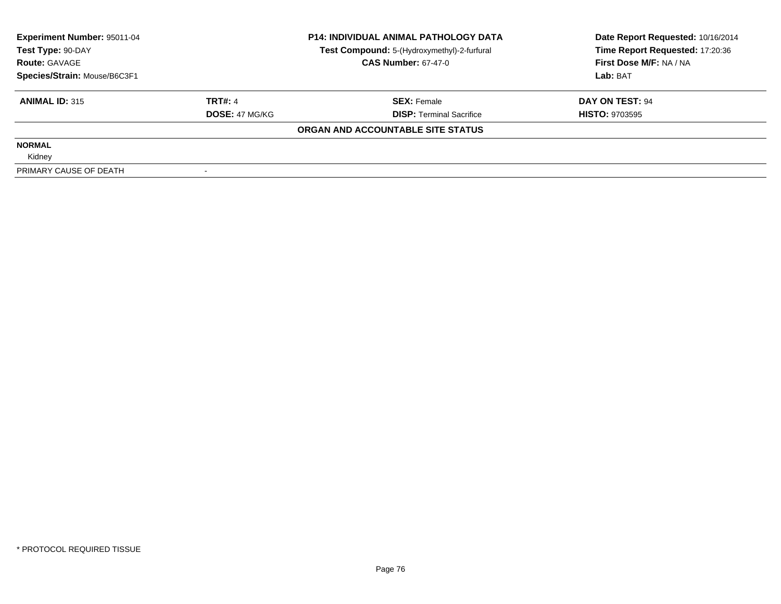| Experiment Number: 95011-04  |                       | <b>P14: INDIVIDUAL ANIMAL PATHOLOGY DATA</b> | Date Report Requested: 10/16/2014 |
|------------------------------|-----------------------|----------------------------------------------|-----------------------------------|
| Test Type: 90-DAY            |                       | Test Compound: 5-(Hydroxymethyl)-2-furfural  | Time Report Requested: 17:20:36   |
| <b>Route: GAVAGE</b>         |                       | <b>CAS Number: 67-47-0</b>                   | First Dose M/F: NA / NA           |
| Species/Strain: Mouse/B6C3F1 |                       |                                              | Lab: BAT                          |
| <b>ANIMAL ID: 315</b>        | <b>TRT#: 4</b>        | <b>SEX: Female</b>                           | DAY ON TEST: 94                   |
|                              | <b>DOSE: 47 MG/KG</b> | <b>DISP:</b> Terminal Sacrifice              | <b>HISTO: 9703595</b>             |
|                              |                       | ORGAN AND ACCOUNTABLE SITE STATUS            |                                   |
| <b>NORMAL</b>                |                       |                                              |                                   |
| Kidney                       |                       |                                              |                                   |
| PRIMARY CAUSE OF DEATH       |                       |                                              |                                   |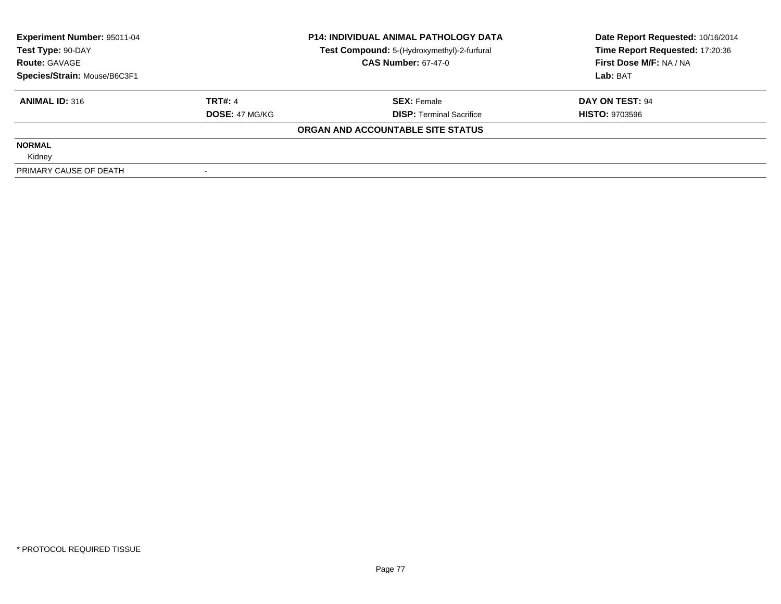| Experiment Number: 95011-04  |                       | <b>P14: INDIVIDUAL ANIMAL PATHOLOGY DATA</b> | Date Report Requested: 10/16/2014 |
|------------------------------|-----------------------|----------------------------------------------|-----------------------------------|
| Test Type: 90-DAY            |                       | Test Compound: 5-(Hydroxymethyl)-2-furfural  | Time Report Requested: 17:20:36   |
| <b>Route: GAVAGE</b>         |                       | <b>CAS Number: 67-47-0</b>                   | First Dose M/F: NA / NA           |
| Species/Strain: Mouse/B6C3F1 |                       |                                              | Lab: BAT                          |
| <b>ANIMAL ID: 316</b>        | <b>TRT#: 4</b>        | <b>SEX: Female</b>                           | DAY ON TEST: 94                   |
|                              | <b>DOSE: 47 MG/KG</b> | <b>DISP:</b> Terminal Sacrifice              | <b>HISTO: 9703596</b>             |
|                              |                       | ORGAN AND ACCOUNTABLE SITE STATUS            |                                   |
| <b>NORMAL</b>                |                       |                                              |                                   |
| Kidney                       |                       |                                              |                                   |
| PRIMARY CAUSE OF DEATH       |                       |                                              |                                   |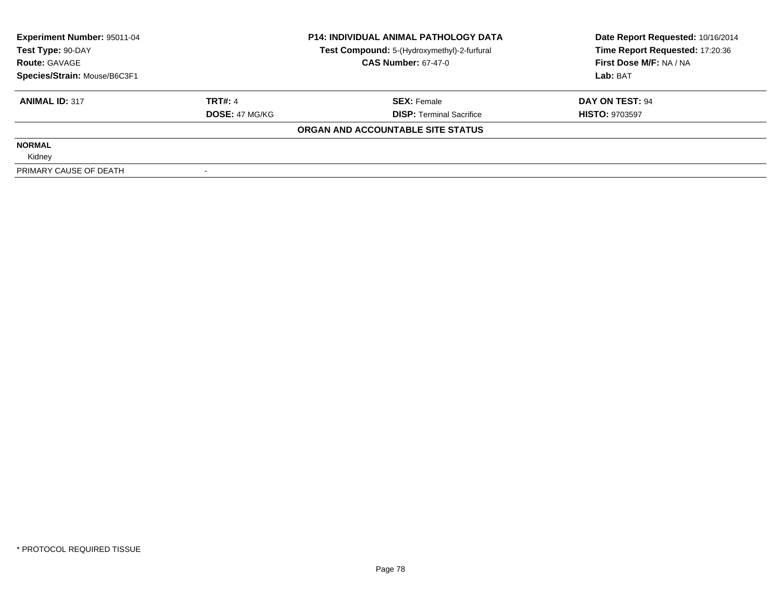| Experiment Number: 95011-04  |                       | <b>P14: INDIVIDUAL ANIMAL PATHOLOGY DATA</b> | Date Report Requested: 10/16/2014 |
|------------------------------|-----------------------|----------------------------------------------|-----------------------------------|
| Test Type: 90-DAY            |                       | Test Compound: 5-(Hydroxymethyl)-2-furfural  | Time Report Requested: 17:20:36   |
| <b>Route: GAVAGE</b>         |                       | <b>CAS Number: 67-47-0</b>                   | First Dose M/F: NA / NA           |
| Species/Strain: Mouse/B6C3F1 |                       |                                              | Lab: BAT                          |
| <b>ANIMAL ID: 317</b>        | <b>TRT#: 4</b>        | <b>SEX: Female</b>                           | DAY ON TEST: 94                   |
|                              | <b>DOSE: 47 MG/KG</b> | <b>DISP:</b> Terminal Sacrifice              | <b>HISTO: 9703597</b>             |
|                              |                       | ORGAN AND ACCOUNTABLE SITE STATUS            |                                   |
| <b>NORMAL</b>                |                       |                                              |                                   |
| Kidney                       |                       |                                              |                                   |
| PRIMARY CAUSE OF DEATH       |                       |                                              |                                   |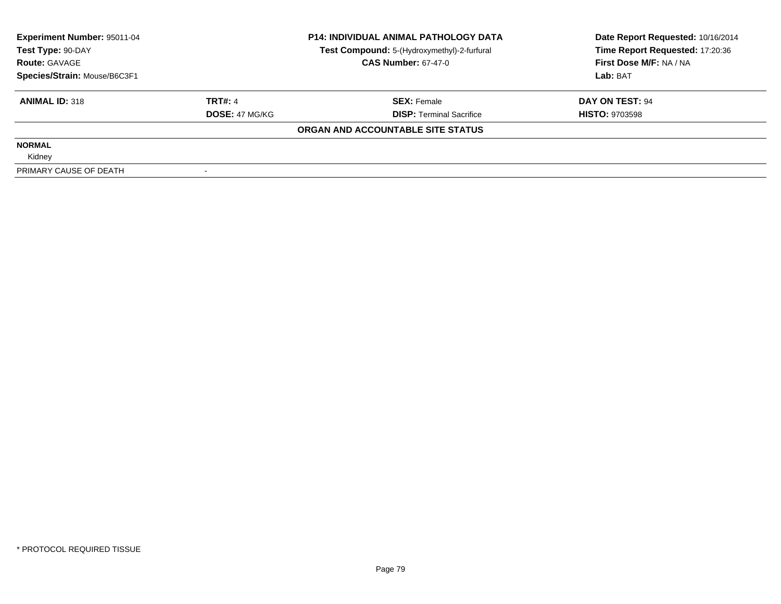| Experiment Number: 95011-04  |                       | <b>P14: INDIVIDUAL ANIMAL PATHOLOGY DATA</b> | Date Report Requested: 10/16/2014 |
|------------------------------|-----------------------|----------------------------------------------|-----------------------------------|
| Test Type: 90-DAY            |                       | Test Compound: 5-(Hydroxymethyl)-2-furfural  | Time Report Requested: 17:20:36   |
| <b>Route: GAVAGE</b>         |                       | <b>CAS Number: 67-47-0</b>                   | First Dose M/F: NA / NA           |
| Species/Strain: Mouse/B6C3F1 |                       |                                              | Lab: BAT                          |
| <b>ANIMAL ID: 318</b>        | <b>TRT#: 4</b>        | <b>SEX: Female</b>                           | DAY ON TEST: 94                   |
|                              | <b>DOSE: 47 MG/KG</b> | <b>DISP:</b> Terminal Sacrifice              | <b>HISTO: 9703598</b>             |
|                              |                       | ORGAN AND ACCOUNTABLE SITE STATUS            |                                   |
| <b>NORMAL</b>                |                       |                                              |                                   |
| Kidney                       |                       |                                              |                                   |
| PRIMARY CAUSE OF DEATH       |                       |                                              |                                   |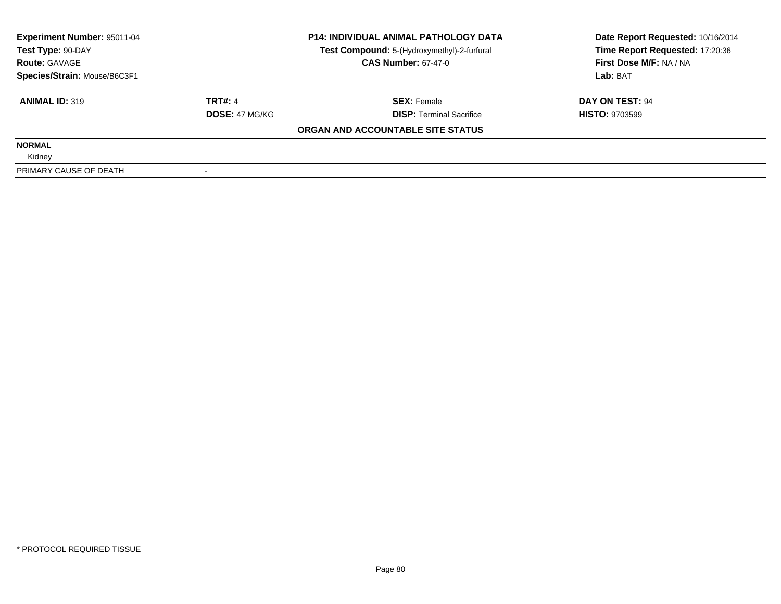| Experiment Number: 95011-04  |                       | <b>P14: INDIVIDUAL ANIMAL PATHOLOGY DATA</b> | Date Report Requested: 10/16/2014 |
|------------------------------|-----------------------|----------------------------------------------|-----------------------------------|
| Test Type: 90-DAY            |                       | Test Compound: 5-(Hydroxymethyl)-2-furfural  | Time Report Requested: 17:20:36   |
| <b>Route: GAVAGE</b>         |                       | <b>CAS Number: 67-47-0</b>                   | First Dose M/F: NA / NA           |
| Species/Strain: Mouse/B6C3F1 |                       |                                              | Lab: BAT                          |
| <b>ANIMAL ID: 319</b>        | <b>TRT#: 4</b>        | <b>SEX: Female</b>                           | DAY ON TEST: 94                   |
|                              | <b>DOSE: 47 MG/KG</b> | <b>DISP:</b> Terminal Sacrifice              | <b>HISTO: 9703599</b>             |
|                              |                       | ORGAN AND ACCOUNTABLE SITE STATUS            |                                   |
| <b>NORMAL</b>                |                       |                                              |                                   |
| Kidney                       |                       |                                              |                                   |
| PRIMARY CAUSE OF DEATH       |                       |                                              |                                   |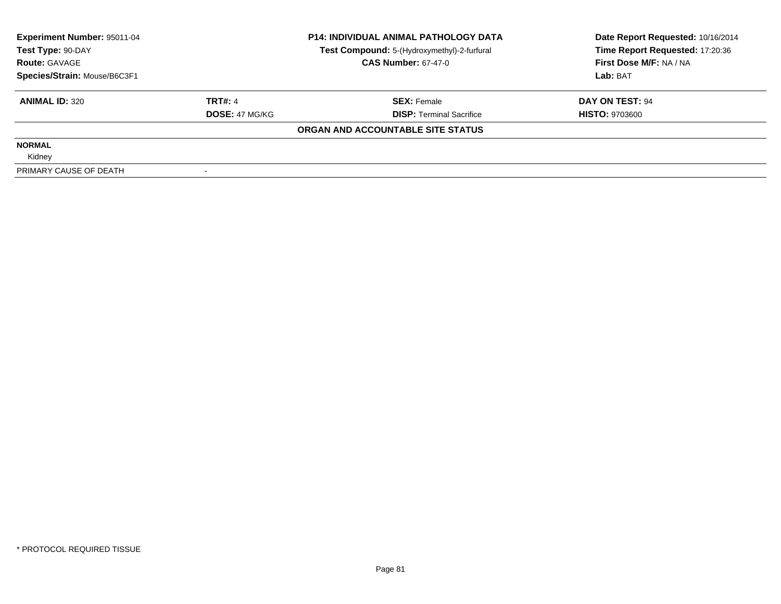| Experiment Number: 95011-04  |                       | <b>P14: INDIVIDUAL ANIMAL PATHOLOGY DATA</b> | Date Report Requested: 10/16/2014 |
|------------------------------|-----------------------|----------------------------------------------|-----------------------------------|
| Test Type: 90-DAY            |                       | Test Compound: 5-(Hydroxymethyl)-2-furfural  | Time Report Requested: 17:20:36   |
| <b>Route: GAVAGE</b>         |                       | <b>CAS Number: 67-47-0</b>                   | First Dose M/F: NA / NA           |
| Species/Strain: Mouse/B6C3F1 |                       |                                              | Lab: BAT                          |
| <b>ANIMAL ID: 320</b>        | <b>TRT#: 4</b>        | <b>SEX: Female</b>                           | DAY ON TEST: 94                   |
|                              | <b>DOSE: 47 MG/KG</b> | <b>DISP:</b> Terminal Sacrifice              | <b>HISTO: 9703600</b>             |
|                              |                       | ORGAN AND ACCOUNTABLE SITE STATUS            |                                   |
| <b>NORMAL</b>                |                       |                                              |                                   |
| Kidney                       |                       |                                              |                                   |
| PRIMARY CAUSE OF DEATH       |                       |                                              |                                   |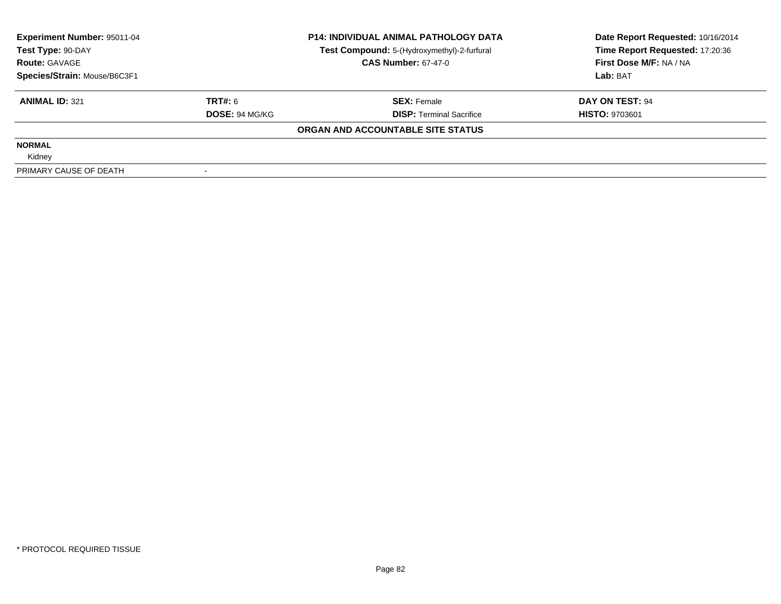| Experiment Number: 95011-04  |                       | <b>P14: INDIVIDUAL ANIMAL PATHOLOGY DATA</b> | Date Report Requested: 10/16/2014 |
|------------------------------|-----------------------|----------------------------------------------|-----------------------------------|
| Test Type: 90-DAY            |                       | Test Compound: 5-(Hydroxymethyl)-2-furfural  | Time Report Requested: 17:20:36   |
| <b>Route: GAVAGE</b>         |                       | <b>CAS Number: 67-47-0</b>                   | First Dose M/F: NA / NA           |
| Species/Strain: Mouse/B6C3F1 |                       |                                              | Lab: BAT                          |
| <b>ANIMAL ID: 321</b>        | TRT#: 6               | <b>SEX: Female</b>                           | DAY ON TEST: 94                   |
|                              | <b>DOSE: 94 MG/KG</b> | <b>DISP:</b> Terminal Sacrifice              | <b>HISTO: 9703601</b>             |
|                              |                       | ORGAN AND ACCOUNTABLE SITE STATUS            |                                   |
| <b>NORMAL</b>                |                       |                                              |                                   |
| Kidney                       |                       |                                              |                                   |
| PRIMARY CAUSE OF DEATH       |                       |                                              |                                   |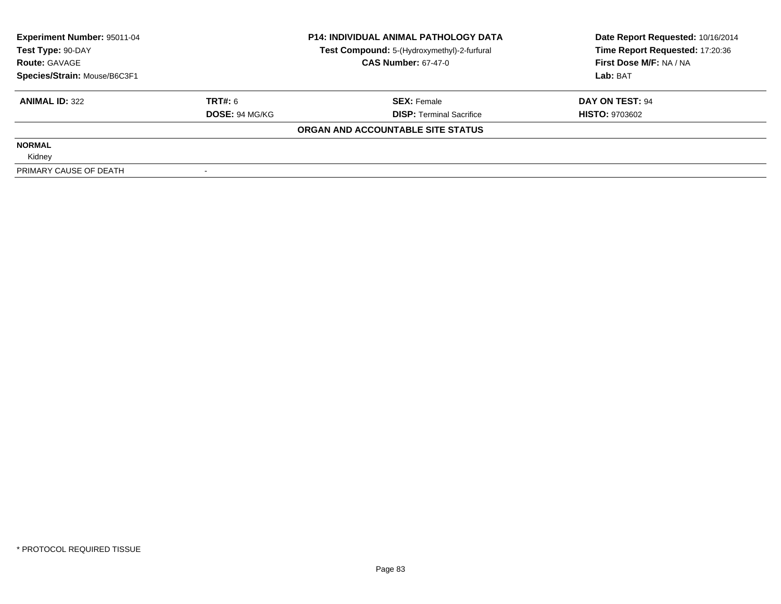| <b>Experiment Number: 95011-04</b> |                       | <b>P14: INDIVIDUAL ANIMAL PATHOLOGY DATA</b> | Date Report Requested: 10/16/2014 |
|------------------------------------|-----------------------|----------------------------------------------|-----------------------------------|
| Test Type: 90-DAY                  |                       | Test Compound: 5-(Hydroxymethyl)-2-furfural  | Time Report Requested: 17:20:36   |
| <b>Route: GAVAGE</b>               |                       | <b>CAS Number: 67-47-0</b>                   | First Dose M/F: NA / NA           |
| Species/Strain: Mouse/B6C3F1       |                       |                                              | Lab: BAT                          |
| <b>ANIMAL ID: 322</b>              | <b>TRT#: 6</b>        | <b>SEX: Female</b>                           | DAY ON TEST: 94                   |
|                                    | <b>DOSE: 94 MG/KG</b> | <b>DISP:</b> Terminal Sacrifice              | <b>HISTO: 9703602</b>             |
|                                    |                       | ORGAN AND ACCOUNTABLE SITE STATUS            |                                   |
| <b>NORMAL</b>                      |                       |                                              |                                   |
| Kidney                             |                       |                                              |                                   |
| PRIMARY CAUSE OF DEATH             |                       |                                              |                                   |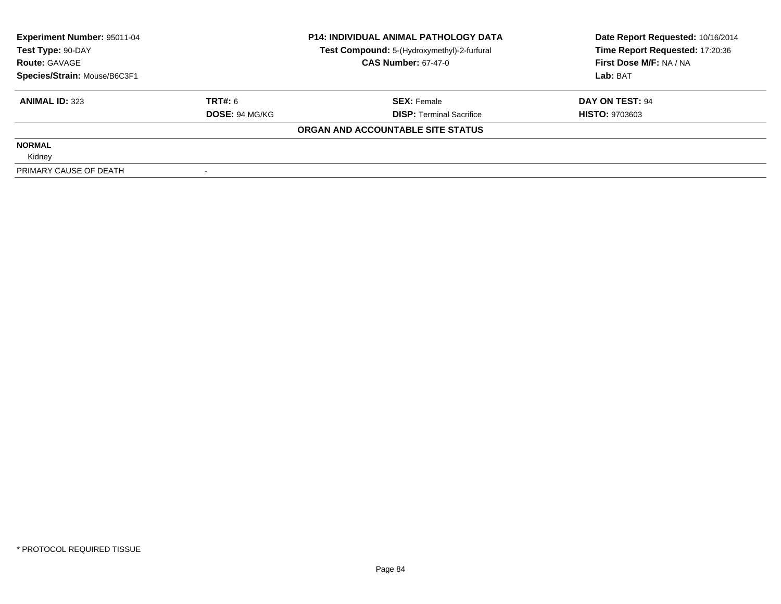| Experiment Number: 95011-04<br>Test Type: 90-DAY |                       | <b>P14: INDIVIDUAL ANIMAL PATHOLOGY DATA</b><br>Test Compound: 5-(Hydroxymethyl)-2-furfural | Date Report Requested: 10/16/2014<br>Time Report Requested: 17:20:36 |
|--------------------------------------------------|-----------------------|---------------------------------------------------------------------------------------------|----------------------------------------------------------------------|
| <b>Route: GAVAGE</b>                             |                       | <b>CAS Number: 67-47-0</b>                                                                  | First Dose M/F: NA / NA                                              |
| Species/Strain: Mouse/B6C3F1                     |                       |                                                                                             | Lab: BAT                                                             |
| <b>ANIMAL ID: 323</b>                            | TRT#: 6               | <b>SEX: Female</b>                                                                          | DAY ON TEST: 94                                                      |
|                                                  | <b>DOSE: 94 MG/KG</b> | <b>DISP:</b> Terminal Sacrifice                                                             | <b>HISTO: 9703603</b>                                                |
|                                                  |                       | ORGAN AND ACCOUNTABLE SITE STATUS                                                           |                                                                      |
| <b>NORMAL</b>                                    |                       |                                                                                             |                                                                      |
| Kidney                                           |                       |                                                                                             |                                                                      |
| PRIMARY CAUSE OF DEATH                           |                       |                                                                                             |                                                                      |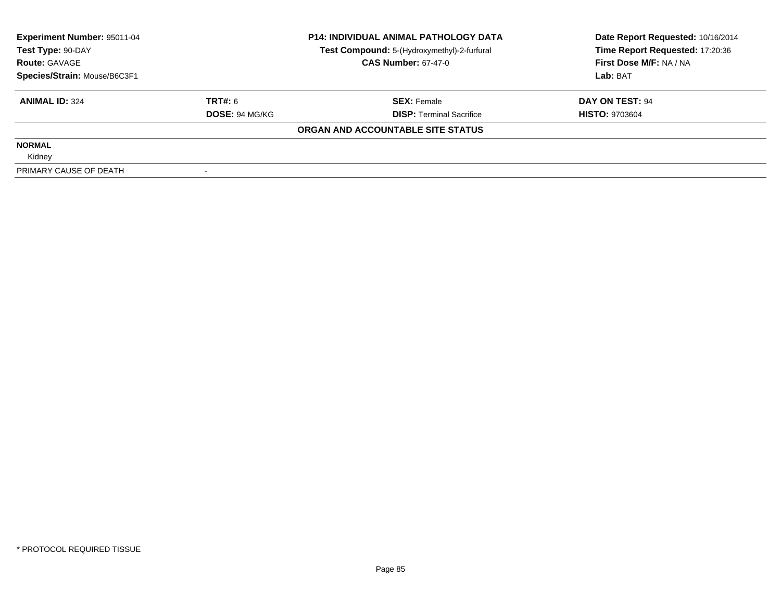| Experiment Number: 95011-04  |                       | <b>P14: INDIVIDUAL ANIMAL PATHOLOGY DATA</b> | Date Report Requested: 10/16/2014 |  |
|------------------------------|-----------------------|----------------------------------------------|-----------------------------------|--|
| Test Type: 90-DAY            |                       | Test Compound: 5-(Hydroxymethyl)-2-furfural  | Time Report Requested: 17:20:36   |  |
| <b>Route: GAVAGE</b>         |                       | <b>CAS Number: 67-47-0</b>                   | First Dose M/F: NA / NA           |  |
| Species/Strain: Mouse/B6C3F1 |                       |                                              | Lab: BAT                          |  |
| <b>ANIMAL ID: 324</b>        | TRT#: 6               | <b>SEX: Female</b>                           | DAY ON TEST: 94                   |  |
|                              | <b>DOSE: 94 MG/KG</b> | <b>DISP:</b> Terminal Sacrifice              | <b>HISTO: 9703604</b>             |  |
|                              |                       | ORGAN AND ACCOUNTABLE SITE STATUS            |                                   |  |
| <b>NORMAL</b>                |                       |                                              |                                   |  |
| Kidney                       |                       |                                              |                                   |  |
| PRIMARY CAUSE OF DEATH       |                       |                                              |                                   |  |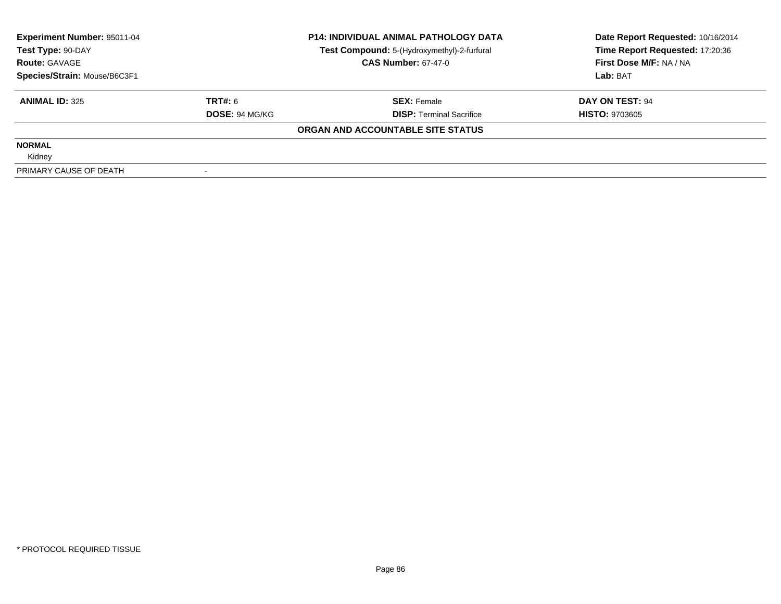| Experiment Number: 95011-04  |                       | <b>P14: INDIVIDUAL ANIMAL PATHOLOGY DATA</b> | Date Report Requested: 10/16/2014 |  |
|------------------------------|-----------------------|----------------------------------------------|-----------------------------------|--|
| Test Type: 90-DAY            |                       | Test Compound: 5-(Hydroxymethyl)-2-furfural  | Time Report Requested: 17:20:36   |  |
| <b>Route: GAVAGE</b>         |                       | <b>CAS Number: 67-47-0</b>                   | First Dose M/F: NA / NA           |  |
| Species/Strain: Mouse/B6C3F1 |                       |                                              | Lab: BAT                          |  |
| <b>ANIMAL ID: 325</b>        | TRT#: 6               | <b>SEX: Female</b>                           | DAY ON TEST: 94                   |  |
|                              | <b>DOSE: 94 MG/KG</b> | <b>DISP:</b> Terminal Sacrifice              | <b>HISTO: 9703605</b>             |  |
|                              |                       | ORGAN AND ACCOUNTABLE SITE STATUS            |                                   |  |
| <b>NORMAL</b>                |                       |                                              |                                   |  |
| Kidney                       |                       |                                              |                                   |  |
| PRIMARY CAUSE OF DEATH       |                       |                                              |                                   |  |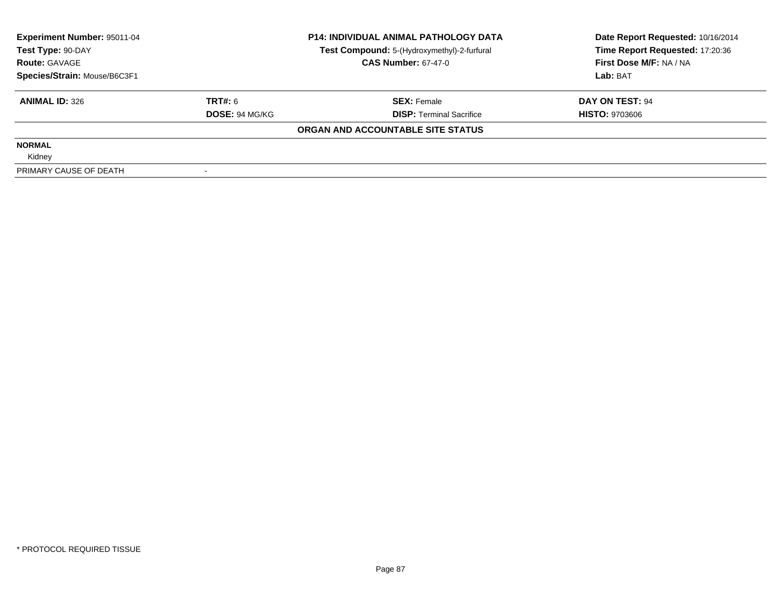| Experiment Number: 95011-04<br>Test Type: 90-DAY<br><b>Route: GAVAGE</b> |                       | <b>P14: INDIVIDUAL ANIMAL PATHOLOGY DATA</b><br>Test Compound: 5-(Hydroxymethyl)-2-furfural | Date Report Requested: 10/16/2014<br>Time Report Requested: 17:20:36 |  |
|--------------------------------------------------------------------------|-----------------------|---------------------------------------------------------------------------------------------|----------------------------------------------------------------------|--|
|                                                                          |                       | <b>CAS Number: 67-47-0</b>                                                                  | First Dose M/F: NA / NA                                              |  |
| Species/Strain: Mouse/B6C3F1                                             |                       |                                                                                             | Lab: BAT                                                             |  |
| <b>ANIMAL ID: 326</b>                                                    | TRT#: 6               | <b>SEX: Female</b>                                                                          | DAY ON TEST: 94                                                      |  |
|                                                                          | <b>DOSE: 94 MG/KG</b> | <b>DISP:</b> Terminal Sacrifice                                                             | <b>HISTO: 9703606</b>                                                |  |
|                                                                          |                       | ORGAN AND ACCOUNTABLE SITE STATUS                                                           |                                                                      |  |
| <b>NORMAL</b>                                                            |                       |                                                                                             |                                                                      |  |
| Kidney                                                                   |                       |                                                                                             |                                                                      |  |
| PRIMARY CAUSE OF DEATH                                                   |                       |                                                                                             |                                                                      |  |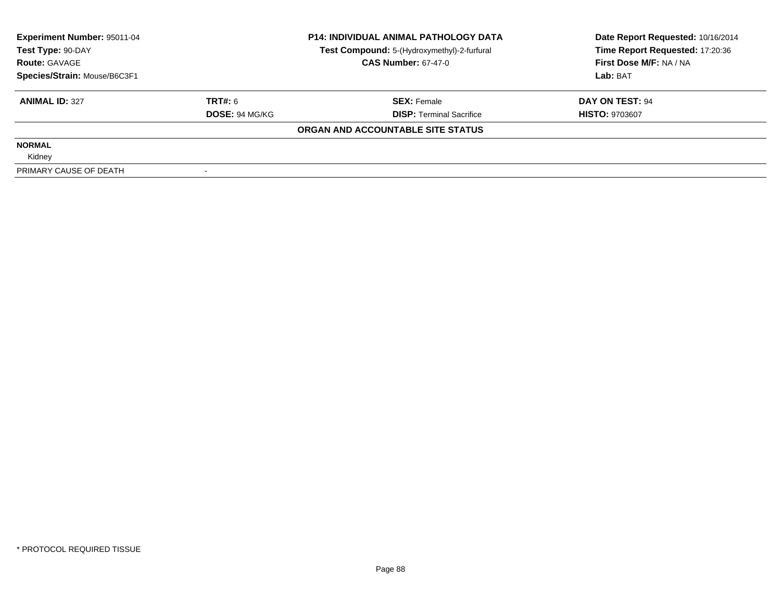| Experiment Number: 95011-04  |                       | <b>P14: INDIVIDUAL ANIMAL PATHOLOGY DATA</b> | Date Report Requested: 10/16/2014 |  |
|------------------------------|-----------------------|----------------------------------------------|-----------------------------------|--|
| Test Type: 90-DAY            |                       | Test Compound: 5-(Hydroxymethyl)-2-furfural  | Time Report Requested: 17:20:36   |  |
| <b>Route: GAVAGE</b>         |                       | <b>CAS Number: 67-47-0</b>                   | First Dose M/F: NA / NA           |  |
| Species/Strain: Mouse/B6C3F1 |                       |                                              | Lab: BAT                          |  |
| <b>ANIMAL ID: 327</b>        | TRT#: 6               | <b>SEX: Female</b>                           | DAY ON TEST: 94                   |  |
|                              | <b>DOSE: 94 MG/KG</b> | <b>DISP:</b> Terminal Sacrifice              | <b>HISTO: 9703607</b>             |  |
|                              |                       | ORGAN AND ACCOUNTABLE SITE STATUS            |                                   |  |
| <b>NORMAL</b>                |                       |                                              |                                   |  |
| Kidney                       |                       |                                              |                                   |  |
| PRIMARY CAUSE OF DEATH       |                       |                                              |                                   |  |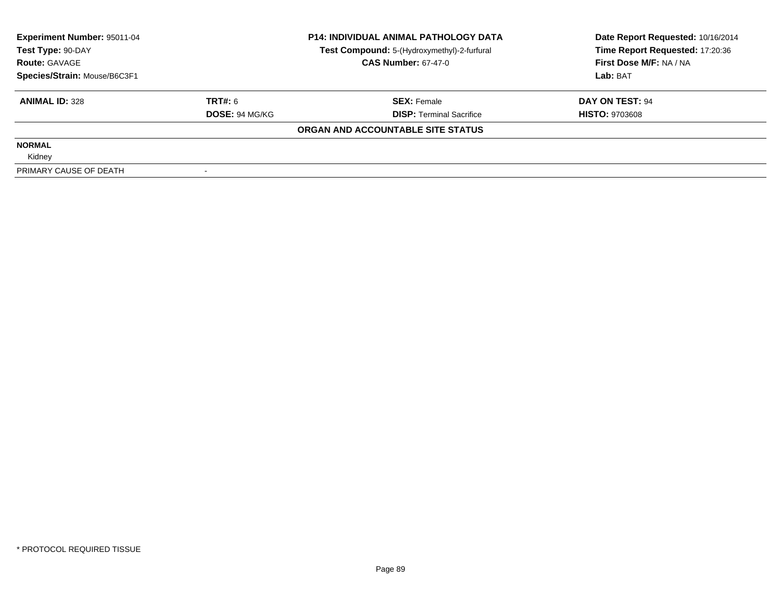| Experiment Number: 95011-04  |                       | <b>P14: INDIVIDUAL ANIMAL PATHOLOGY DATA</b> | Date Report Requested: 10/16/2014 |
|------------------------------|-----------------------|----------------------------------------------|-----------------------------------|
| Test Type: 90-DAY            |                       | Test Compound: 5-(Hydroxymethyl)-2-furfural  | Time Report Requested: 17:20:36   |
| <b>Route: GAVAGE</b>         |                       | <b>CAS Number: 67-47-0</b>                   | First Dose M/F: NA / NA           |
| Species/Strain: Mouse/B6C3F1 |                       |                                              | Lab: BAT                          |
| <b>ANIMAL ID: 328</b>        | TRT#: 6               | <b>SEX: Female</b>                           | DAY ON TEST: 94                   |
|                              | <b>DOSE: 94 MG/KG</b> | <b>DISP:</b> Terminal Sacrifice              | <b>HISTO: 9703608</b>             |
|                              |                       | ORGAN AND ACCOUNTABLE SITE STATUS            |                                   |
| <b>NORMAL</b>                |                       |                                              |                                   |
| Kidney                       |                       |                                              |                                   |
| PRIMARY CAUSE OF DEATH       |                       |                                              |                                   |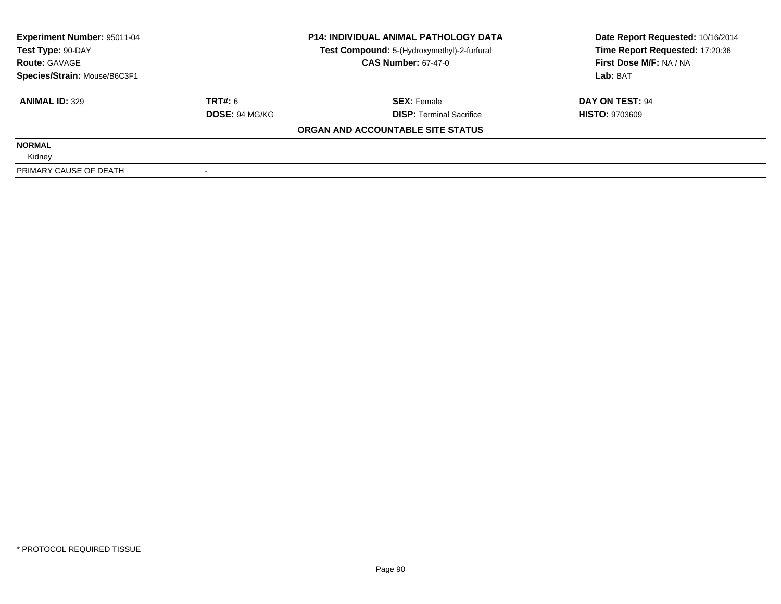| Experiment Number: 95011-04<br>Test Type: 90-DAY<br><b>Route: GAVAGE</b> |                       | <b>P14: INDIVIDUAL ANIMAL PATHOLOGY DATA</b><br>Test Compound: 5-(Hydroxymethyl)-2-furfural | Date Report Requested: 10/16/2014<br>Time Report Requested: 17:20:36 |  |
|--------------------------------------------------------------------------|-----------------------|---------------------------------------------------------------------------------------------|----------------------------------------------------------------------|--|
|                                                                          |                       | <b>CAS Number: 67-47-0</b>                                                                  | First Dose M/F: NA / NA                                              |  |
| Species/Strain: Mouse/B6C3F1                                             |                       |                                                                                             | Lab: BAT                                                             |  |
| <b>ANIMAL ID: 329</b>                                                    | TRT#: 6               | <b>SEX: Female</b>                                                                          | DAY ON TEST: 94                                                      |  |
|                                                                          | <b>DOSE: 94 MG/KG</b> | <b>DISP:</b> Terminal Sacrifice                                                             | <b>HISTO: 9703609</b>                                                |  |
|                                                                          |                       | ORGAN AND ACCOUNTABLE SITE STATUS                                                           |                                                                      |  |
| <b>NORMAL</b>                                                            |                       |                                                                                             |                                                                      |  |
| Kidney                                                                   |                       |                                                                                             |                                                                      |  |
| PRIMARY CAUSE OF DEATH                                                   |                       |                                                                                             |                                                                      |  |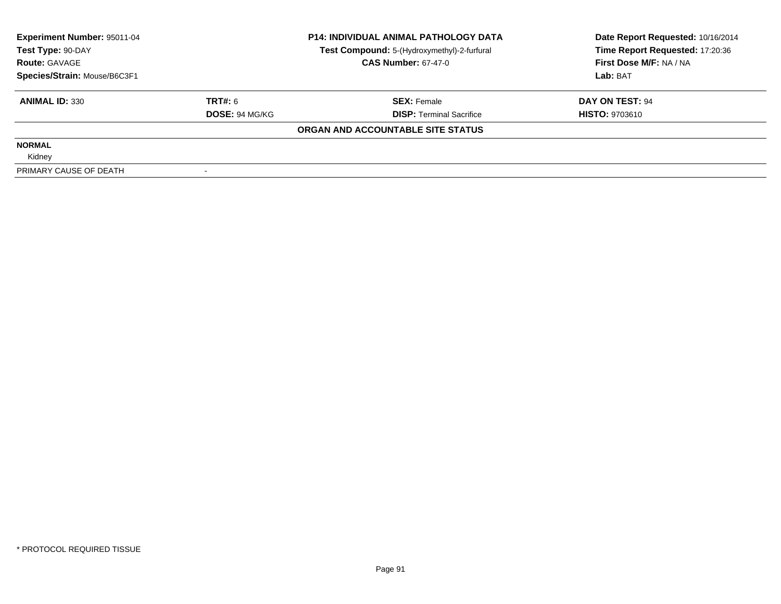| Experiment Number: 95011-04<br>Test Type: 90-DAY<br><b>Route: GAVAGE</b> |                       | <b>P14: INDIVIDUAL ANIMAL PATHOLOGY DATA</b><br>Test Compound: 5-(Hydroxymethyl)-2-furfural | Date Report Requested: 10/16/2014<br>Time Report Requested: 17:20:36 |  |
|--------------------------------------------------------------------------|-----------------------|---------------------------------------------------------------------------------------------|----------------------------------------------------------------------|--|
|                                                                          |                       | <b>CAS Number: 67-47-0</b>                                                                  | First Dose M/F: NA / NA                                              |  |
| Species/Strain: Mouse/B6C3F1                                             |                       |                                                                                             | Lab: BAT                                                             |  |
| <b>ANIMAL ID: 330</b>                                                    | TRT#: 6               | <b>SEX: Female</b>                                                                          | DAY ON TEST: 94                                                      |  |
|                                                                          | <b>DOSE: 94 MG/KG</b> | <b>DISP:</b> Terminal Sacrifice                                                             | <b>HISTO: 9703610</b>                                                |  |
|                                                                          |                       | ORGAN AND ACCOUNTABLE SITE STATUS                                                           |                                                                      |  |
| <b>NORMAL</b>                                                            |                       |                                                                                             |                                                                      |  |
| Kidney                                                                   |                       |                                                                                             |                                                                      |  |
| PRIMARY CAUSE OF DEATH                                                   |                       |                                                                                             |                                                                      |  |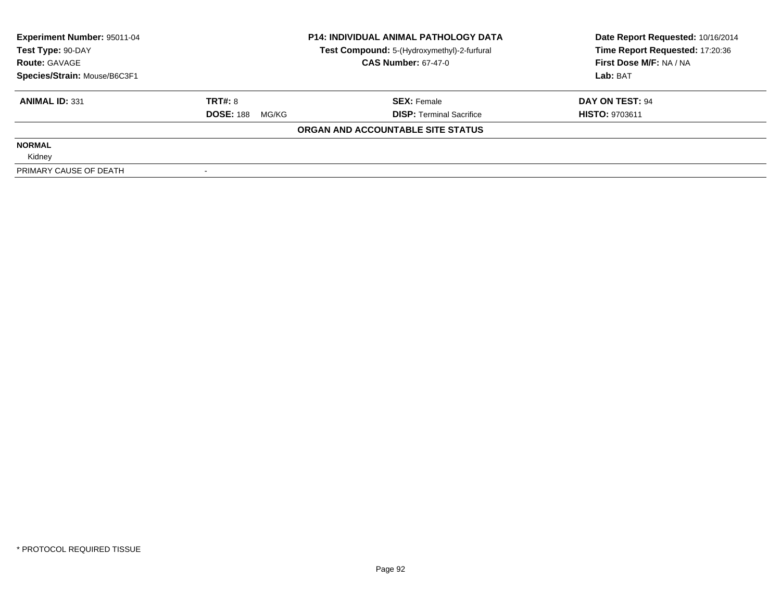| Experiment Number: 95011-04               |                                                                           | <b>P14: INDIVIDUAL ANIMAL PATHOLOGY DATA</b> | Date Report Requested: 10/16/2014                          |  |
|-------------------------------------------|---------------------------------------------------------------------------|----------------------------------------------|------------------------------------------------------------|--|
| Test Type: 90-DAY<br><b>Route: GAVAGE</b> | Test Compound: 5-(Hydroxymethyl)-2-furfural<br><b>CAS Number: 67-47-0</b> |                                              | Time Report Requested: 17:20:36<br>First Dose M/F: NA / NA |  |
| Species/Strain: Mouse/B6C3F1              |                                                                           |                                              | Lab: BAT                                                   |  |
| <b>ANIMAL ID: 331</b>                     | TRT#: 8                                                                   | <b>SEX: Female</b>                           | DAY ON TEST: 94                                            |  |
|                                           | <b>DOSE: 188</b><br>MG/KG                                                 | <b>DISP:</b> Terminal Sacrifice              | <b>HISTO: 9703611</b>                                      |  |
|                                           |                                                                           | ORGAN AND ACCOUNTABLE SITE STATUS            |                                                            |  |
| <b>NORMAL</b>                             |                                                                           |                                              |                                                            |  |
| Kidney                                    |                                                                           |                                              |                                                            |  |
| PRIMARY CAUSE OF DEATH                    |                                                                           |                                              |                                                            |  |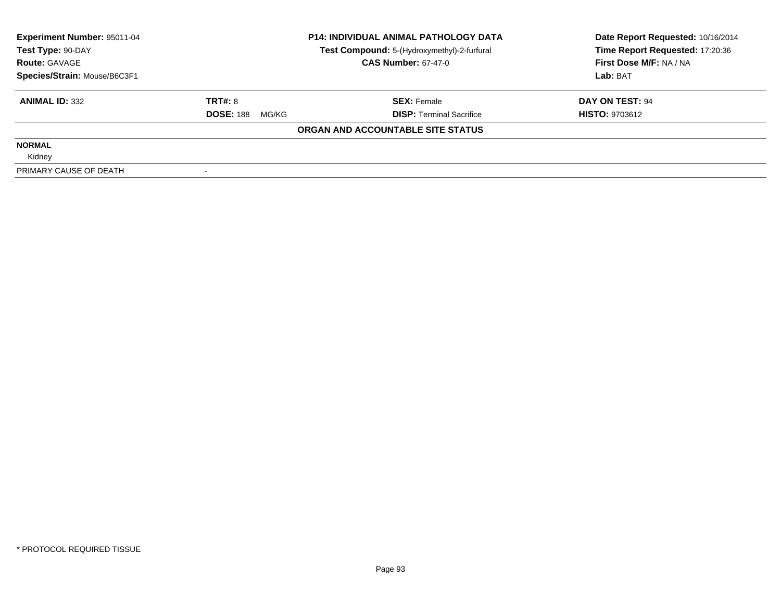| <b>Experiment Number: 95011-04</b> | <b>P14: INDIVIDUAL ANIMAL PATHOLOGY DATA</b> |                                             | Date Report Requested: 10/16/2014 |  |
|------------------------------------|----------------------------------------------|---------------------------------------------|-----------------------------------|--|
| Test Type: 90-DAY                  |                                              | Test Compound: 5-(Hydroxymethyl)-2-furfural | Time Report Requested: 17:20:36   |  |
| <b>Route: GAVAGE</b>               |                                              | <b>CAS Number: 67-47-0</b>                  | First Dose M/F: NA / NA           |  |
| Species/Strain: Mouse/B6C3F1       |                                              |                                             | Lab: BAT                          |  |
| <b>ANIMAL ID: 332</b>              | TRT#: 8                                      | <b>SEX: Female</b>                          | DAY ON TEST: 94                   |  |
|                                    | <b>DOSE: 188</b><br>MG/KG                    | <b>DISP:</b> Terminal Sacrifice             | <b>HISTO: 9703612</b>             |  |
|                                    |                                              | ORGAN AND ACCOUNTABLE SITE STATUS           |                                   |  |
| <b>NORMAL</b>                      |                                              |                                             |                                   |  |
| Kidney                             |                                              |                                             |                                   |  |
| PRIMARY CAUSE OF DEATH             |                                              |                                             |                                   |  |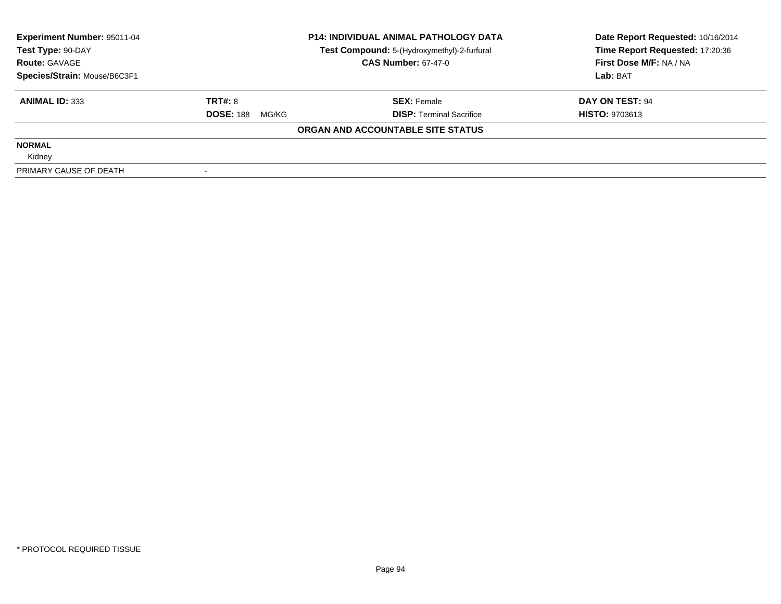| Experiment Number: 95011-04<br>Test Type: 90-DAY | <b>P14: INDIVIDUAL ANIMAL PATHOLOGY DATA</b><br>Test Compound: 5-(Hydroxymethyl)-2-furfural |                                   | Date Report Requested: 10/16/2014<br>Time Report Requested: 17:20:36 |  |
|--------------------------------------------------|---------------------------------------------------------------------------------------------|-----------------------------------|----------------------------------------------------------------------|--|
| <b>Route: GAVAGE</b>                             |                                                                                             | <b>CAS Number: 67-47-0</b>        | First Dose M/F: NA / NA                                              |  |
| Species/Strain: Mouse/B6C3F1                     |                                                                                             |                                   | Lab: BAT                                                             |  |
| <b>ANIMAL ID: 333</b>                            | TRT#: 8                                                                                     | <b>SEX: Female</b>                | DAY ON TEST: 94                                                      |  |
|                                                  | <b>DOSE: 188</b><br>MG/KG                                                                   | <b>DISP:</b> Terminal Sacrifice   | <b>HISTO: 9703613</b>                                                |  |
|                                                  |                                                                                             | ORGAN AND ACCOUNTABLE SITE STATUS |                                                                      |  |
| <b>NORMAL</b>                                    |                                                                                             |                                   |                                                                      |  |
| Kidney                                           |                                                                                             |                                   |                                                                      |  |
| PRIMARY CAUSE OF DEATH                           |                                                                                             |                                   |                                                                      |  |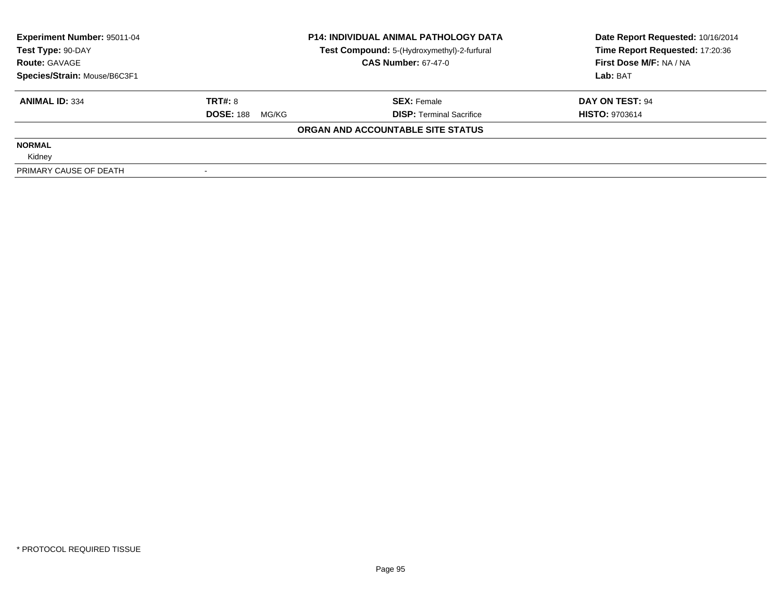| Experiment Number: 95011-04<br>Test Type: 90-DAY | <b>P14: INDIVIDUAL ANIMAL PATHOLOGY DATA</b><br>Test Compound: 5-(Hydroxymethyl)-2-furfural |                                   | Date Report Requested: 10/16/2014<br>Time Report Requested: 17:20:36 |  |
|--------------------------------------------------|---------------------------------------------------------------------------------------------|-----------------------------------|----------------------------------------------------------------------|--|
| <b>Route: GAVAGE</b>                             |                                                                                             | <b>CAS Number: 67-47-0</b>        | First Dose M/F: NA / NA                                              |  |
| Species/Strain: Mouse/B6C3F1                     |                                                                                             |                                   | Lab: BAT                                                             |  |
| <b>ANIMAL ID: 334</b>                            | TRT#: 8                                                                                     | <b>SEX: Female</b>                | DAY ON TEST: 94                                                      |  |
|                                                  | <b>DOSE: 188</b><br>MG/KG                                                                   | <b>DISP:</b> Terminal Sacrifice   | <b>HISTO: 9703614</b>                                                |  |
|                                                  |                                                                                             | ORGAN AND ACCOUNTABLE SITE STATUS |                                                                      |  |
| <b>NORMAL</b>                                    |                                                                                             |                                   |                                                                      |  |
| Kidney                                           |                                                                                             |                                   |                                                                      |  |
| PRIMARY CAUSE OF DEATH                           |                                                                                             |                                   |                                                                      |  |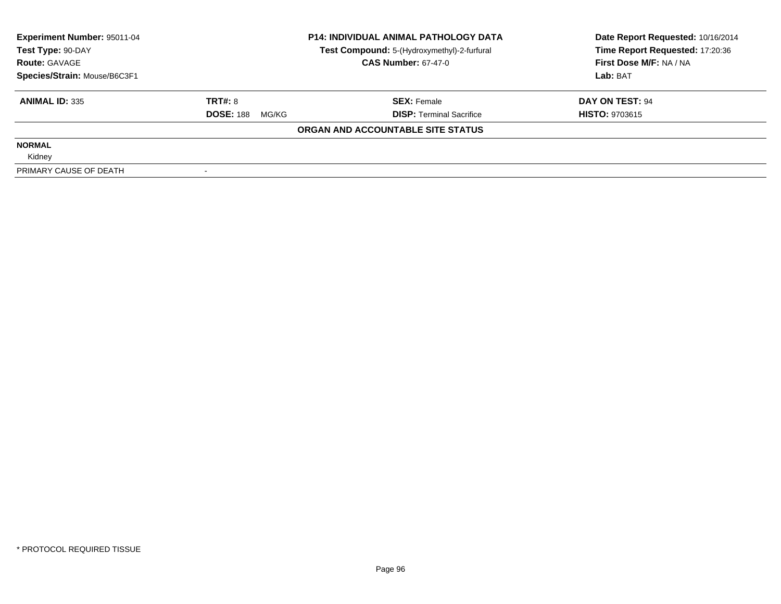| Experiment Number: 95011-04<br>Test Type: 90-DAY | <b>P14: INDIVIDUAL ANIMAL PATHOLOGY DATA</b><br>Test Compound: 5-(Hydroxymethyl)-2-furfural<br><b>CAS Number: 67-47-0</b> |                                   | Date Report Requested: 10/16/2014<br>Time Report Requested: 17:20:36 |  |
|--------------------------------------------------|---------------------------------------------------------------------------------------------------------------------------|-----------------------------------|----------------------------------------------------------------------|--|
| <b>Route: GAVAGE</b>                             |                                                                                                                           |                                   | First Dose M/F: NA / NA                                              |  |
| Species/Strain: Mouse/B6C3F1                     |                                                                                                                           |                                   | Lab: BAT                                                             |  |
| <b>ANIMAL ID: 335</b>                            | TRT#: 8                                                                                                                   | <b>SEX: Female</b>                | DAY ON TEST: 94                                                      |  |
|                                                  | <b>DOSE: 188</b><br>MG/KG                                                                                                 | <b>DISP:</b> Terminal Sacrifice   | <b>HISTO: 9703615</b>                                                |  |
|                                                  |                                                                                                                           | ORGAN AND ACCOUNTABLE SITE STATUS |                                                                      |  |
| <b>NORMAL</b>                                    |                                                                                                                           |                                   |                                                                      |  |
| Kidney                                           |                                                                                                                           |                                   |                                                                      |  |
| PRIMARY CAUSE OF DEATH                           |                                                                                                                           |                                   |                                                                      |  |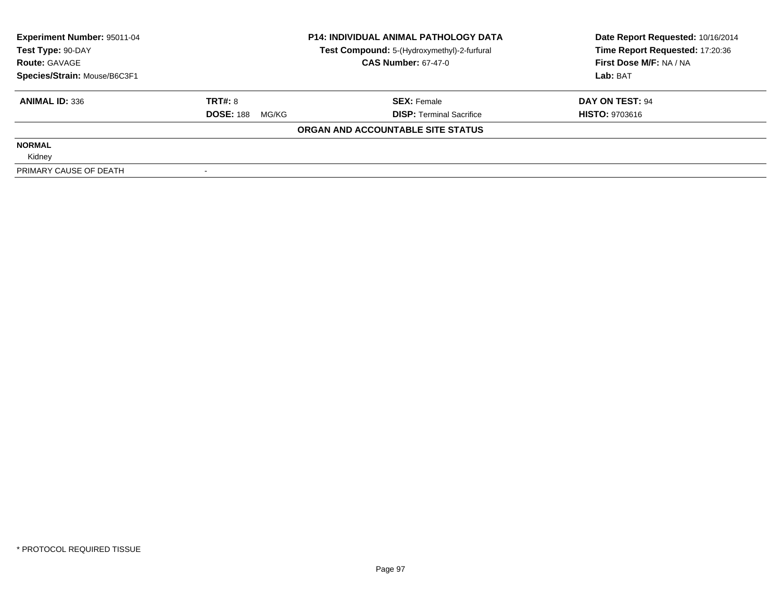| Experiment Number: 95011-04  |                                                                                                | <b>P14: INDIVIDUAL ANIMAL PATHOLOGY DATA</b> | Date Report Requested: 10/16/2014<br>Time Report Requested: 17:20:36 |  |
|------------------------------|------------------------------------------------------------------------------------------------|----------------------------------------------|----------------------------------------------------------------------|--|
| <b>Route: GAVAGE</b>         | Test Compound: 5-(Hydroxymethyl)-2-furfural<br>Test Type: 90-DAY<br><b>CAS Number: 67-47-0</b> |                                              | First Dose M/F: NA / NA                                              |  |
| Species/Strain: Mouse/B6C3F1 |                                                                                                |                                              | Lab: BAT                                                             |  |
| <b>ANIMAL ID: 336</b>        | TRT#: 8                                                                                        | <b>SEX: Female</b>                           | DAY ON TEST: 94                                                      |  |
|                              | <b>DOSE: 188</b><br>MG/KG                                                                      | <b>DISP:</b> Terminal Sacrifice              | <b>HISTO: 9703616</b>                                                |  |
|                              |                                                                                                | ORGAN AND ACCOUNTABLE SITE STATUS            |                                                                      |  |
| <b>NORMAL</b>                |                                                                                                |                                              |                                                                      |  |
| Kidney                       |                                                                                                |                                              |                                                                      |  |
| PRIMARY CAUSE OF DEATH       |                                                                                                |                                              |                                                                      |  |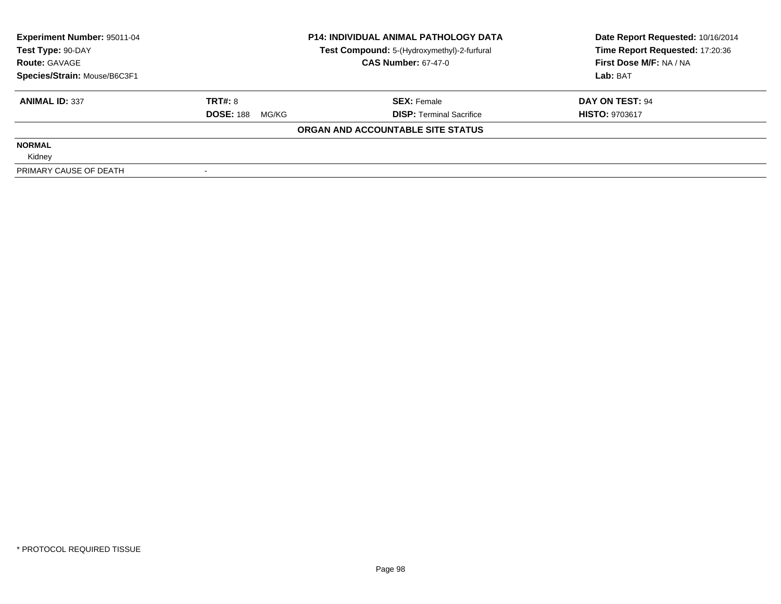| Experiment Number: 95011-04  |                           | <b>P14: INDIVIDUAL ANIMAL PATHOLOGY DATA</b> | Date Report Requested: 10/16/2014 |  |
|------------------------------|---------------------------|----------------------------------------------|-----------------------------------|--|
| Test Type: 90-DAY            |                           | Test Compound: 5-(Hydroxymethyl)-2-furfural  | Time Report Requested: 17:20:36   |  |
| <b>Route: GAVAGE</b>         |                           | <b>CAS Number: 67-47-0</b>                   | First Dose M/F: NA / NA           |  |
| Species/Strain: Mouse/B6C3F1 |                           |                                              | Lab: BAT                          |  |
| <b>ANIMAL ID: 337</b>        | TRT#: 8                   | <b>SEX: Female</b>                           | DAY ON TEST: 94                   |  |
|                              | <b>DOSE: 188</b><br>MG/KG | <b>DISP:</b> Terminal Sacrifice              | <b>HISTO: 9703617</b>             |  |
|                              |                           | ORGAN AND ACCOUNTABLE SITE STATUS            |                                   |  |
| <b>NORMAL</b>                |                           |                                              |                                   |  |
| Kidney                       |                           |                                              |                                   |  |
| PRIMARY CAUSE OF DEATH       |                           |                                              |                                   |  |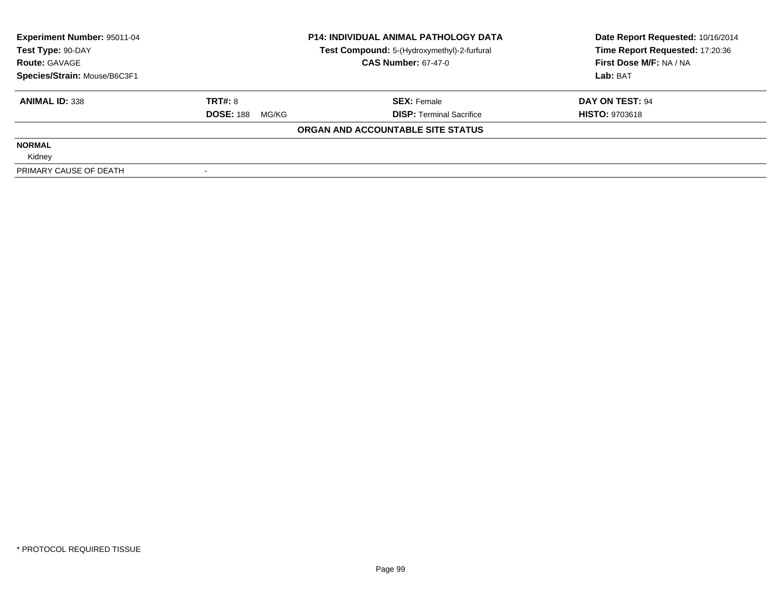| Experiment Number: 95011-04<br>Test Type: 90-DAY<br><b>Route: GAVAGE</b> |                           | <b>P14: INDIVIDUAL ANIMAL PATHOLOGY DATA</b>                              | Date Report Requested: 10/16/2014                          |  |
|--------------------------------------------------------------------------|---------------------------|---------------------------------------------------------------------------|------------------------------------------------------------|--|
|                                                                          |                           | Test Compound: 5-(Hydroxymethyl)-2-furfural<br><b>CAS Number: 67-47-0</b> | Time Report Requested: 17:20:36<br>First Dose M/F: NA / NA |  |
| Species/Strain: Mouse/B6C3F1                                             |                           |                                                                           | Lab: BAT                                                   |  |
| <b>ANIMAL ID: 338</b>                                                    | TRT#: 8                   | <b>SEX: Female</b>                                                        | DAY ON TEST: 94                                            |  |
|                                                                          | <b>DOSE: 188</b><br>MG/KG | <b>DISP:</b> Terminal Sacrifice                                           | <b>HISTO: 9703618</b>                                      |  |
|                                                                          |                           | ORGAN AND ACCOUNTABLE SITE STATUS                                         |                                                            |  |
| <b>NORMAL</b>                                                            |                           |                                                                           |                                                            |  |
| Kidney                                                                   |                           |                                                                           |                                                            |  |
| PRIMARY CAUSE OF DEATH                                                   |                           |                                                                           |                                                            |  |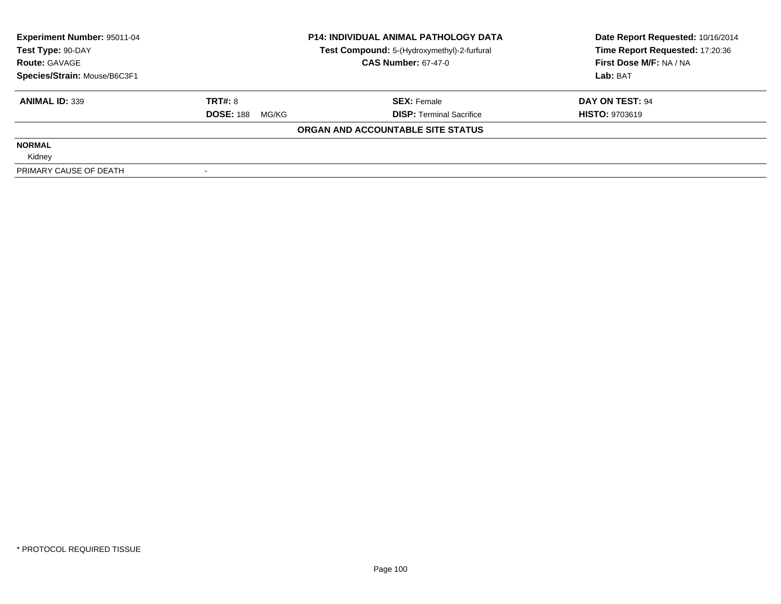| Experiment Number: 95011-04<br>Test Type: 90-DAY |                            | <b>P14: INDIVIDUAL ANIMAL PATHOLOGY DATA</b><br>Test Compound: 5-(Hydroxymethyl)-2-furfural | Date Report Requested: 10/16/2014<br>Time Report Requested: 17:20:36 |  |
|--------------------------------------------------|----------------------------|---------------------------------------------------------------------------------------------|----------------------------------------------------------------------|--|
| <b>Route: GAVAGE</b>                             | <b>CAS Number: 67-47-0</b> |                                                                                             | First Dose M/F: NA / NA                                              |  |
| Species/Strain: Mouse/B6C3F1                     |                            |                                                                                             | Lab: BAT                                                             |  |
| <b>ANIMAL ID: 339</b>                            | TRT#: 8                    | <b>SEX: Female</b>                                                                          | DAY ON TEST: 94                                                      |  |
|                                                  | <b>DOSE: 188</b><br>MG/KG  | <b>DISP:</b> Terminal Sacrifice                                                             | <b>HISTO: 9703619</b>                                                |  |
|                                                  |                            | ORGAN AND ACCOUNTABLE SITE STATUS                                                           |                                                                      |  |
| <b>NORMAL</b>                                    |                            |                                                                                             |                                                                      |  |
| Kidney                                           |                            |                                                                                             |                                                                      |  |
| PRIMARY CAUSE OF DEATH                           |                            |                                                                                             |                                                                      |  |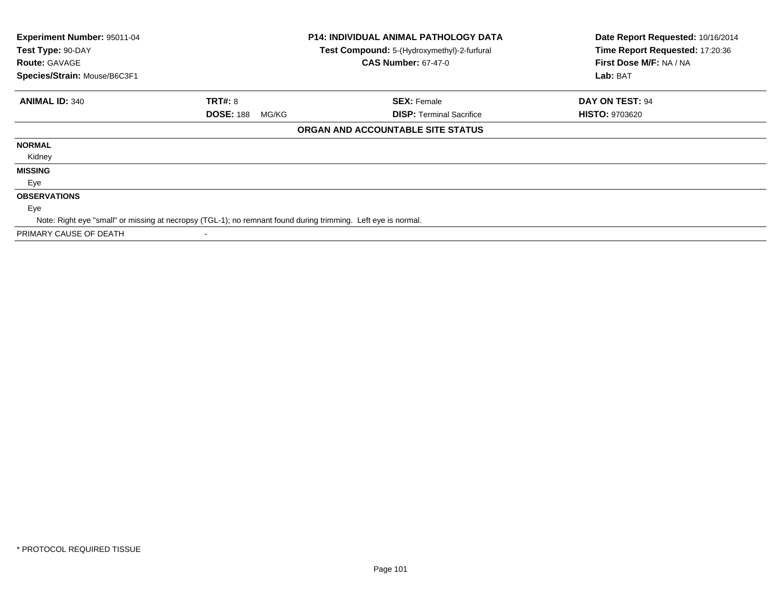| Experiment Number: 95011-04<br>Test Type: 90-DAY<br><b>Route: GAVAGE</b><br>Species/Strain: Mouse/B6C3F1 |                                                                                                               | <b>P14: INDIVIDUAL ANIMAL PATHOLOGY DATA</b><br>Test Compound: 5-(Hydroxymethyl)-2-furfural<br><b>CAS Number: 67-47-0</b> | Date Report Requested: 10/16/2014<br>Time Report Requested: 17:20:36<br>First Dose M/F: NA / NA<br>Lab: BAT |
|----------------------------------------------------------------------------------------------------------|---------------------------------------------------------------------------------------------------------------|---------------------------------------------------------------------------------------------------------------------------|-------------------------------------------------------------------------------------------------------------|
| <b>ANIMAL ID: 340</b>                                                                                    | <b>TRT#: 8</b>                                                                                                | <b>SEX: Female</b>                                                                                                        | DAY ON TEST: 94                                                                                             |
|                                                                                                          | <b>DOSE: 188</b><br>MG/KG                                                                                     | <b>DISP:</b> Terminal Sacrifice                                                                                           | <b>HISTO: 9703620</b>                                                                                       |
|                                                                                                          |                                                                                                               | ORGAN AND ACCOUNTABLE SITE STATUS                                                                                         |                                                                                                             |
| <b>NORMAL</b>                                                                                            |                                                                                                               |                                                                                                                           |                                                                                                             |
| Kidney                                                                                                   |                                                                                                               |                                                                                                                           |                                                                                                             |
| <b>MISSING</b>                                                                                           |                                                                                                               |                                                                                                                           |                                                                                                             |
| Eye                                                                                                      |                                                                                                               |                                                                                                                           |                                                                                                             |
| <b>OBSERVATIONS</b>                                                                                      |                                                                                                               |                                                                                                                           |                                                                                                             |
| Eye                                                                                                      |                                                                                                               |                                                                                                                           |                                                                                                             |
|                                                                                                          | Note: Right eye "small" or missing at necropsy (TGL-1); no remnant found during trimming. Left eye is normal. |                                                                                                                           |                                                                                                             |
| PRIMARY CAUSE OF DEATH                                                                                   |                                                                                                               |                                                                                                                           |                                                                                                             |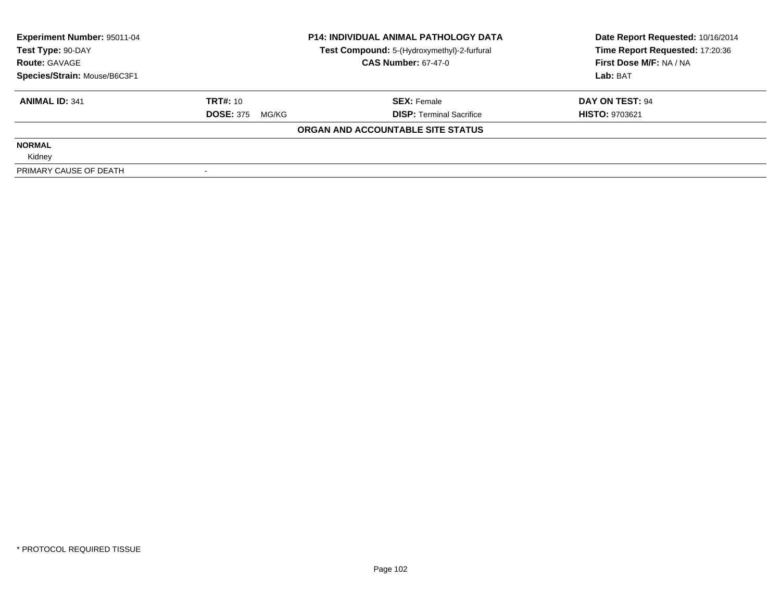| <b>Experiment Number: 95011-04</b> | <b>P14: INDIVIDUAL ANIMAL PATHOLOGY DATA</b> |                                             | Date Report Requested: 10/16/2014 |  |
|------------------------------------|----------------------------------------------|---------------------------------------------|-----------------------------------|--|
| Test Type: 90-DAY                  |                                              | Test Compound: 5-(Hydroxymethyl)-2-furfural | Time Report Requested: 17:20:36   |  |
| <b>Route: GAVAGE</b>               |                                              | <b>CAS Number: 67-47-0</b>                  | First Dose M/F: NA / NA           |  |
| Species/Strain: Mouse/B6C3F1       |                                              |                                             | Lab: BAT                          |  |
| <b>ANIMAL ID: 341</b>              | <b>TRT#: 10</b>                              | <b>SEX: Female</b>                          | DAY ON TEST: 94                   |  |
|                                    | <b>DOSE: 375</b><br>MG/KG                    | <b>DISP:</b> Terminal Sacrifice             | <b>HISTO: 9703621</b>             |  |
|                                    |                                              | ORGAN AND ACCOUNTABLE SITE STATUS           |                                   |  |
| <b>NORMAL</b>                      |                                              |                                             |                                   |  |
| Kidney                             |                                              |                                             |                                   |  |
| PRIMARY CAUSE OF DEATH             |                                              |                                             |                                   |  |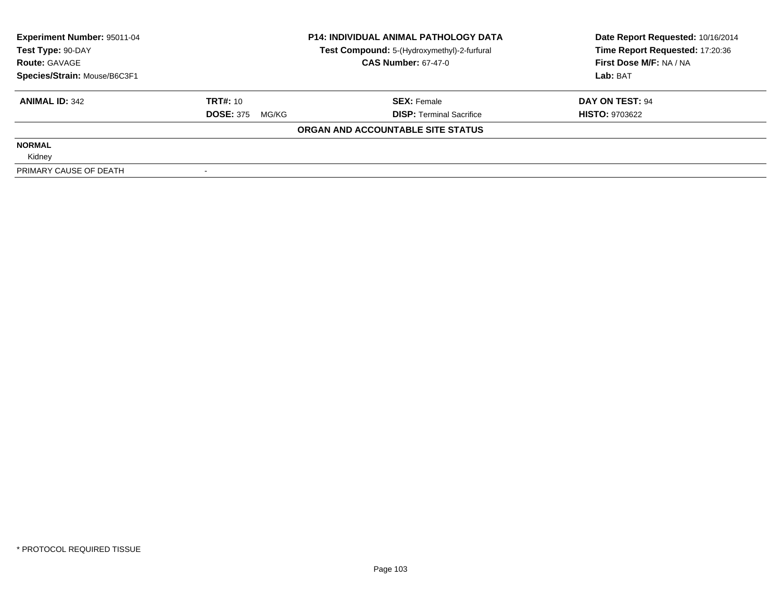| <b>Experiment Number: 95011-04</b> | <b>P14: INDIVIDUAL ANIMAL PATHOLOGY DATA</b> |                                             | Date Report Requested: 10/16/2014 |  |
|------------------------------------|----------------------------------------------|---------------------------------------------|-----------------------------------|--|
| Test Type: 90-DAY                  |                                              | Test Compound: 5-(Hydroxymethyl)-2-furfural | Time Report Requested: 17:20:36   |  |
| <b>Route: GAVAGE</b>               |                                              | <b>CAS Number: 67-47-0</b>                  | First Dose M/F: NA / NA           |  |
| Species/Strain: Mouse/B6C3F1       |                                              |                                             | Lab: BAT                          |  |
| <b>ANIMAL ID: 342</b>              | <b>TRT#: 10</b>                              | <b>SEX: Female</b>                          | DAY ON TEST: 94                   |  |
|                                    | <b>DOSE: 375</b><br>MG/KG                    | <b>DISP:</b> Terminal Sacrifice             | <b>HISTO: 9703622</b>             |  |
|                                    |                                              | ORGAN AND ACCOUNTABLE SITE STATUS           |                                   |  |
| <b>NORMAL</b>                      |                                              |                                             |                                   |  |
| Kidney                             |                                              |                                             |                                   |  |
| PRIMARY CAUSE OF DEATH             |                                              |                                             |                                   |  |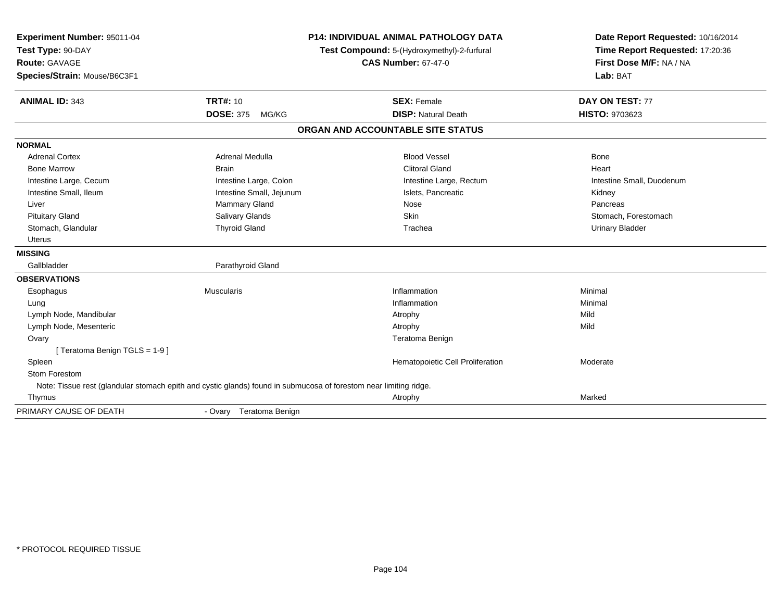| Experiment Number: 95011-04<br>Test Type: 90-DAY                                                                  |                            | P14: INDIVIDUAL ANIMAL PATHOLOGY DATA<br>Test Compound: 5-(Hydroxymethyl)-2-furfural | Date Report Requested: 10/16/2014<br>Time Report Requested: 17:20:36 |
|-------------------------------------------------------------------------------------------------------------------|----------------------------|--------------------------------------------------------------------------------------|----------------------------------------------------------------------|
| <b>Route: GAVAGE</b>                                                                                              | <b>CAS Number: 67-47-0</b> |                                                                                      | First Dose M/F: NA / NA                                              |
| Species/Strain: Mouse/B6C3F1                                                                                      |                            |                                                                                      | Lab: BAT                                                             |
| <b>ANIMAL ID: 343</b>                                                                                             | <b>TRT#: 10</b>            | <b>SEX: Female</b>                                                                   | <b>DAY ON TEST: 77</b>                                               |
|                                                                                                                   | <b>DOSE: 375</b><br>MG/KG  | <b>DISP: Natural Death</b>                                                           | HISTO: 9703623                                                       |
|                                                                                                                   |                            | ORGAN AND ACCOUNTABLE SITE STATUS                                                    |                                                                      |
| <b>NORMAL</b>                                                                                                     |                            |                                                                                      |                                                                      |
| <b>Adrenal Cortex</b>                                                                                             | Adrenal Medulla            | <b>Blood Vessel</b>                                                                  | <b>Bone</b>                                                          |
| <b>Bone Marrow</b>                                                                                                | <b>Brain</b>               | <b>Clitoral Gland</b>                                                                | Heart                                                                |
| Intestine Large, Cecum                                                                                            | Intestine Large, Colon     | Intestine Large, Rectum                                                              | Intestine Small, Duodenum                                            |
| Intestine Small, Ileum                                                                                            | Intestine Small, Jejunum   | Islets, Pancreatic                                                                   | Kidney                                                               |
| Liver                                                                                                             | Mammary Gland              | Nose                                                                                 | Pancreas                                                             |
| <b>Pituitary Gland</b>                                                                                            | Salivary Glands            | Skin                                                                                 | Stomach, Forestomach                                                 |
| Stomach, Glandular                                                                                                | <b>Thyroid Gland</b>       | Trachea                                                                              | <b>Urinary Bladder</b>                                               |
| Uterus                                                                                                            |                            |                                                                                      |                                                                      |
| <b>MISSING</b>                                                                                                    |                            |                                                                                      |                                                                      |
| Gallbladder                                                                                                       | Parathyroid Gland          |                                                                                      |                                                                      |
| <b>OBSERVATIONS</b>                                                                                               |                            |                                                                                      |                                                                      |
| Esophagus                                                                                                         | <b>Muscularis</b>          | Inflammation                                                                         | Minimal                                                              |
| Lung                                                                                                              |                            | Inflammation                                                                         | Minimal                                                              |
| Lymph Node, Mandibular                                                                                            |                            | Atrophy                                                                              | Mild                                                                 |
| Lymph Node, Mesenteric                                                                                            |                            | Atrophy                                                                              | Mild                                                                 |
| Ovary                                                                                                             |                            | Teratoma Benign                                                                      |                                                                      |
| [Teratoma Benign TGLS = 1-9]                                                                                      |                            |                                                                                      |                                                                      |
| Spleen                                                                                                            |                            | Hematopoietic Cell Proliferation                                                     | Moderate                                                             |
| Stom Forestom                                                                                                     |                            |                                                                                      |                                                                      |
| Note: Tissue rest (glandular stomach epith and cystic glands) found in submucosa of forestom near limiting ridge. |                            |                                                                                      |                                                                      |
| Thymus                                                                                                            |                            | Atrophy                                                                              | Marked                                                               |
| PRIMARY CAUSE OF DEATH                                                                                            | - Ovary Teratoma Benign    |                                                                                      |                                                                      |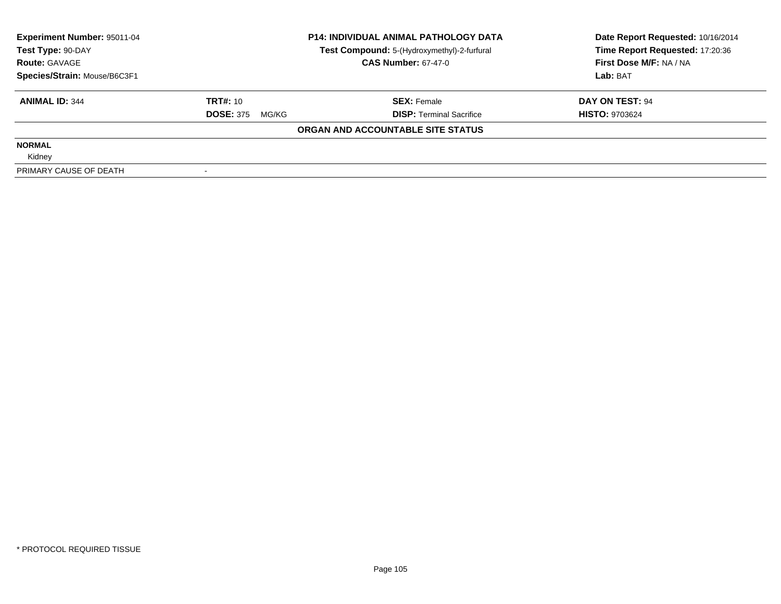| <b>Experiment Number: 95011-04</b> |                           | <b>P14: INDIVIDUAL ANIMAL PATHOLOGY DATA</b> | Date Report Requested: 10/16/2014 |  |
|------------------------------------|---------------------------|----------------------------------------------|-----------------------------------|--|
| Test Type: 90-DAY                  |                           | Test Compound: 5-(Hydroxymethyl)-2-furfural  | Time Report Requested: 17:20:36   |  |
| <b>Route: GAVAGE</b>               |                           | <b>CAS Number: 67-47-0</b>                   | First Dose M/F: NA / NA           |  |
| Species/Strain: Mouse/B6C3F1       |                           |                                              | Lab: BAT                          |  |
| <b>ANIMAL ID: 344</b>              | <b>TRT#: 10</b>           | <b>SEX: Female</b>                           | DAY ON TEST: 94                   |  |
|                                    | <b>DOSE: 375</b><br>MG/KG | <b>DISP:</b> Terminal Sacrifice              | <b>HISTO: 9703624</b>             |  |
|                                    |                           | ORGAN AND ACCOUNTABLE SITE STATUS            |                                   |  |
| <b>NORMAL</b>                      |                           |                                              |                                   |  |
| Kidney                             |                           |                                              |                                   |  |
| PRIMARY CAUSE OF DEATH             |                           |                                              |                                   |  |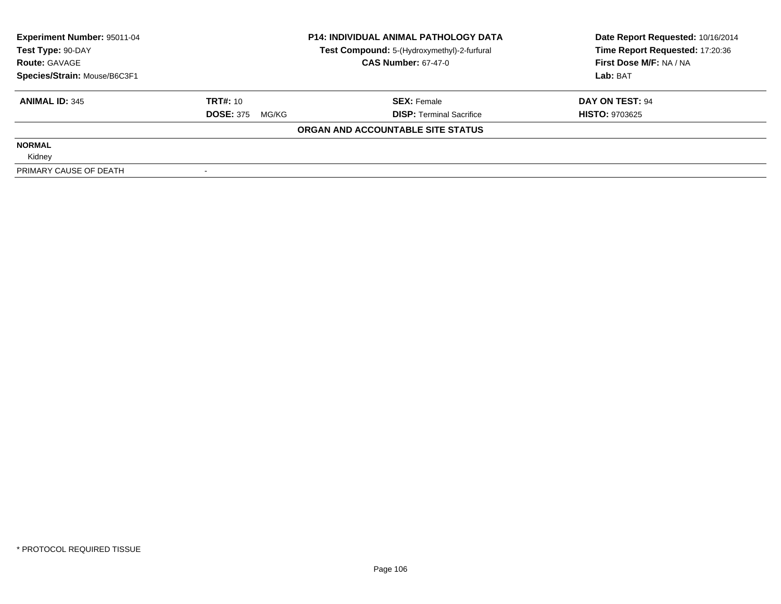| Experiment Number: 95011-04               |                           | <b>P14: INDIVIDUAL ANIMAL PATHOLOGY DATA</b>                              | Date Report Requested: 10/16/2014<br>Time Report Requested: 17:20:36 |  |
|-------------------------------------------|---------------------------|---------------------------------------------------------------------------|----------------------------------------------------------------------|--|
| Test Type: 90-DAY<br><b>Route: GAVAGE</b> |                           | Test Compound: 5-(Hydroxymethyl)-2-furfural<br><b>CAS Number: 67-47-0</b> | First Dose M/F: NA / NA                                              |  |
| Species/Strain: Mouse/B6C3F1              |                           |                                                                           | Lab: BAT                                                             |  |
| <b>ANIMAL ID: 345</b>                     | <b>TRT#:</b> $10$         | <b>SEX: Female</b>                                                        | DAY ON TEST: 94                                                      |  |
|                                           | <b>DOSE: 375</b><br>MG/KG | <b>DISP:</b> Terminal Sacrifice                                           | <b>HISTO: 9703625</b>                                                |  |
|                                           |                           | ORGAN AND ACCOUNTABLE SITE STATUS                                         |                                                                      |  |
| <b>NORMAL</b>                             |                           |                                                                           |                                                                      |  |
| Kidney                                    |                           |                                                                           |                                                                      |  |
| PRIMARY CAUSE OF DEATH                    |                           |                                                                           |                                                                      |  |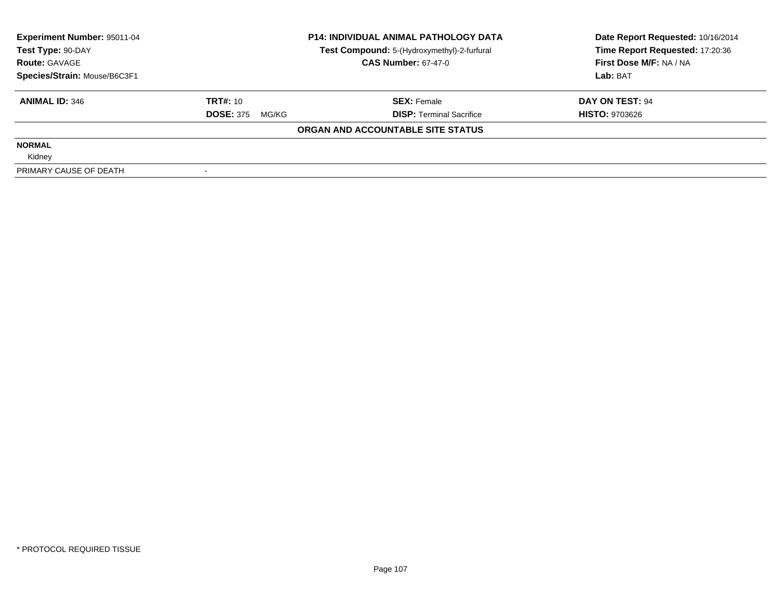| Experiment Number: 95011-04  |                                                                                                | <b>P14: INDIVIDUAL ANIMAL PATHOLOGY DATA</b> | Date Report Requested: 10/16/2014<br>Time Report Requested: 17:20:36 |  |
|------------------------------|------------------------------------------------------------------------------------------------|----------------------------------------------|----------------------------------------------------------------------|--|
| <b>Route: GAVAGE</b>         | Test Compound: 5-(Hydroxymethyl)-2-furfural<br>Test Type: 90-DAY<br><b>CAS Number: 67-47-0</b> |                                              | First Dose M/F: NA / NA                                              |  |
| Species/Strain: Mouse/B6C3F1 |                                                                                                |                                              | Lab: BAT                                                             |  |
| <b>ANIMAL ID: 346</b>        | <b>TRT#:</b> $10$                                                                              | <b>SEX: Female</b>                           | DAY ON TEST: 94                                                      |  |
|                              | <b>DOSE: 375</b><br>MG/KG                                                                      | <b>DISP:</b> Terminal Sacrifice              | <b>HISTO: 9703626</b>                                                |  |
|                              |                                                                                                | ORGAN AND ACCOUNTABLE SITE STATUS            |                                                                      |  |
| <b>NORMAL</b>                |                                                                                                |                                              |                                                                      |  |
| Kidney                       |                                                                                                |                                              |                                                                      |  |
| PRIMARY CAUSE OF DEATH       |                                                                                                |                                              |                                                                      |  |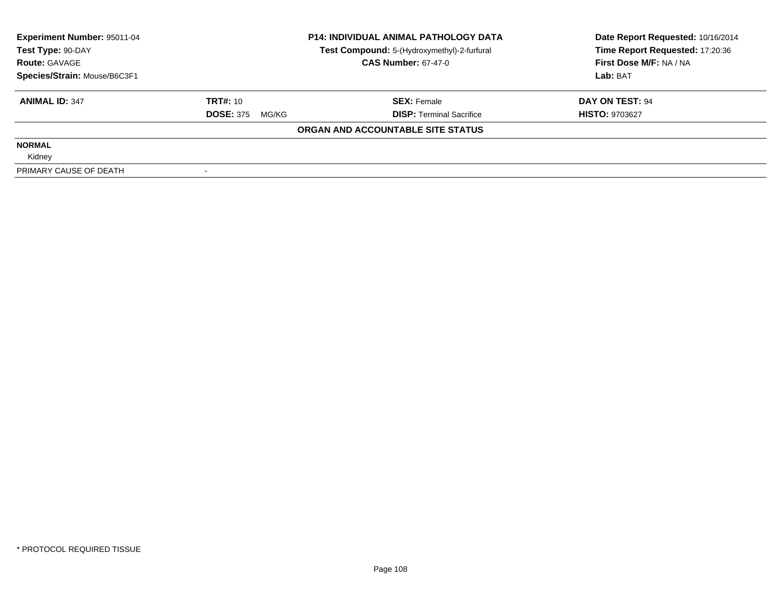| <b>Experiment Number: 95011-04</b> |                           | <b>P14: INDIVIDUAL ANIMAL PATHOLOGY DATA</b> | Date Report Requested: 10/16/2014 |  |
|------------------------------------|---------------------------|----------------------------------------------|-----------------------------------|--|
| Test Type: 90-DAY                  |                           | Test Compound: 5-(Hydroxymethyl)-2-furfural  | Time Report Requested: 17:20:36   |  |
| <b>Route: GAVAGE</b>               |                           | <b>CAS Number: 67-47-0</b>                   | First Dose M/F: NA / NA           |  |
| Species/Strain: Mouse/B6C3F1       |                           |                                              | Lab: BAT                          |  |
| <b>ANIMAL ID: 347</b>              | <b>TRT#: 10</b>           | <b>SEX: Female</b>                           | DAY ON TEST: 94                   |  |
|                                    | <b>DOSE: 375</b><br>MG/KG | <b>DISP:</b> Terminal Sacrifice              | <b>HISTO: 9703627</b>             |  |
|                                    |                           | ORGAN AND ACCOUNTABLE SITE STATUS            |                                   |  |
| <b>NORMAL</b>                      |                           |                                              |                                   |  |
| Kidney                             |                           |                                              |                                   |  |
| PRIMARY CAUSE OF DEATH             |                           |                                              |                                   |  |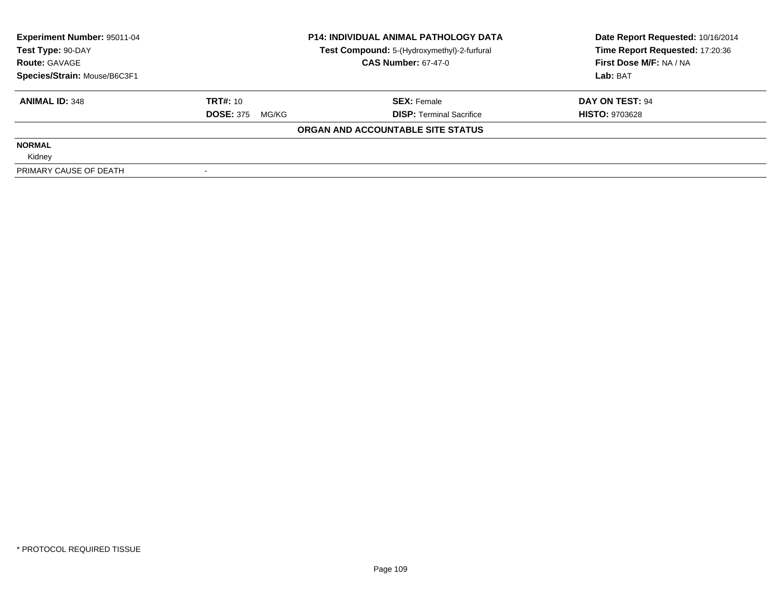| Experiment Number: 95011-04<br>Test Type: 90-DAY | <b>P14: INDIVIDUAL ANIMAL PATHOLOGY DATA</b> |                                                                           | Date Report Requested: 10/16/2014<br>Time Report Requested: 17:20:36 |
|--------------------------------------------------|----------------------------------------------|---------------------------------------------------------------------------|----------------------------------------------------------------------|
| <b>Route: GAVAGE</b>                             |                                              | Test Compound: 5-(Hydroxymethyl)-2-furfural<br><b>CAS Number: 67-47-0</b> | First Dose M/F: NA / NA                                              |
| Species/Strain: Mouse/B6C3F1                     |                                              |                                                                           | Lab: BAT                                                             |
| <b>ANIMAL ID: 348</b>                            | <b>TRT#:</b> $10$                            | <b>SEX: Female</b>                                                        | DAY ON TEST: 94                                                      |
|                                                  | <b>DOSE: 375</b><br>MG/KG                    | <b>DISP:</b> Terminal Sacrifice                                           | <b>HISTO: 9703628</b>                                                |
|                                                  |                                              | ORGAN AND ACCOUNTABLE SITE STATUS                                         |                                                                      |
| <b>NORMAL</b>                                    |                                              |                                                                           |                                                                      |
| Kidney                                           |                                              |                                                                           |                                                                      |
| PRIMARY CAUSE OF DEATH                           |                                              |                                                                           |                                                                      |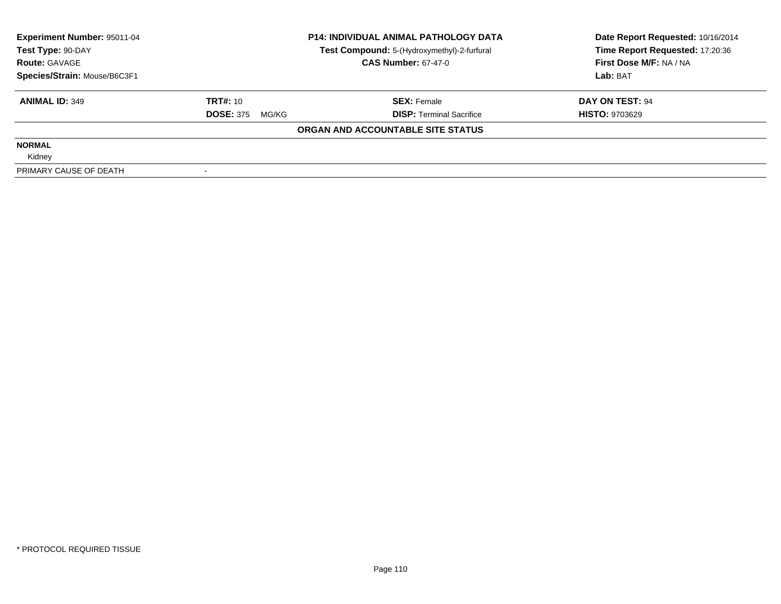| Experiment Number: 95011-04  | <b>P14: INDIVIDUAL ANIMAL PATHOLOGY DATA</b> |                                             | Date Report Requested: 10/16/2014 |  |
|------------------------------|----------------------------------------------|---------------------------------------------|-----------------------------------|--|
| Test Type: 90-DAY            |                                              | Test Compound: 5-(Hydroxymethyl)-2-furfural | Time Report Requested: 17:20:36   |  |
| <b>Route: GAVAGE</b>         |                                              | <b>CAS Number: 67-47-0</b>                  | First Dose M/F: NA / NA           |  |
| Species/Strain: Mouse/B6C3F1 |                                              |                                             | Lab: BAT                          |  |
| <b>ANIMAL ID: 349</b>        | <b>TRT#: 10</b>                              | <b>SEX: Female</b>                          | DAY ON TEST: 94                   |  |
|                              | <b>DOSE: 375</b><br>MG/KG                    | <b>DISP:</b> Terminal Sacrifice             | <b>HISTO: 9703629</b>             |  |
|                              |                                              | ORGAN AND ACCOUNTABLE SITE STATUS           |                                   |  |
| <b>NORMAL</b>                |                                              |                                             |                                   |  |
| Kidney                       |                                              |                                             |                                   |  |
| PRIMARY CAUSE OF DEATH       |                                              |                                             |                                   |  |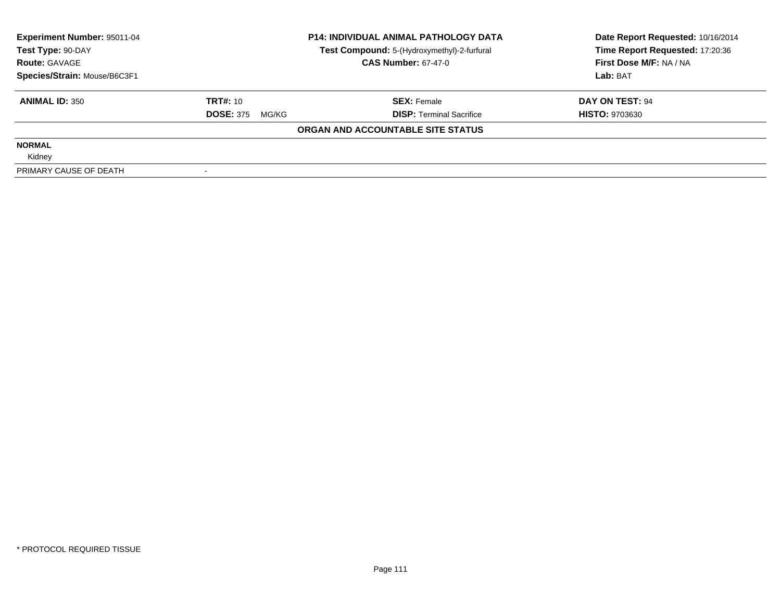| Experiment Number: 95011-04  | <b>P14: INDIVIDUAL ANIMAL PATHOLOGY DATA</b> |                                             | Date Report Requested: 10/16/2014 |  |
|------------------------------|----------------------------------------------|---------------------------------------------|-----------------------------------|--|
| Test Type: 90-DAY            |                                              | Test Compound: 5-(Hydroxymethyl)-2-furfural | Time Report Requested: 17:20:36   |  |
| <b>Route: GAVAGE</b>         |                                              | <b>CAS Number: 67-47-0</b>                  | First Dose M/F: NA / NA           |  |
| Species/Strain: Mouse/B6C3F1 |                                              |                                             | Lab: BAT                          |  |
| <b>ANIMAL ID: 350</b>        | <b>TRT#: 10</b>                              | <b>SEX: Female</b>                          | DAY ON TEST: 94                   |  |
|                              | <b>DOSE: 375</b><br>MG/KG                    | <b>DISP:</b> Terminal Sacrifice             | <b>HISTO: 9703630</b>             |  |
|                              |                                              | ORGAN AND ACCOUNTABLE SITE STATUS           |                                   |  |
| <b>NORMAL</b>                |                                              |                                             |                                   |  |
| Kidney                       |                                              |                                             |                                   |  |
| PRIMARY CAUSE OF DEATH       |                                              |                                             |                                   |  |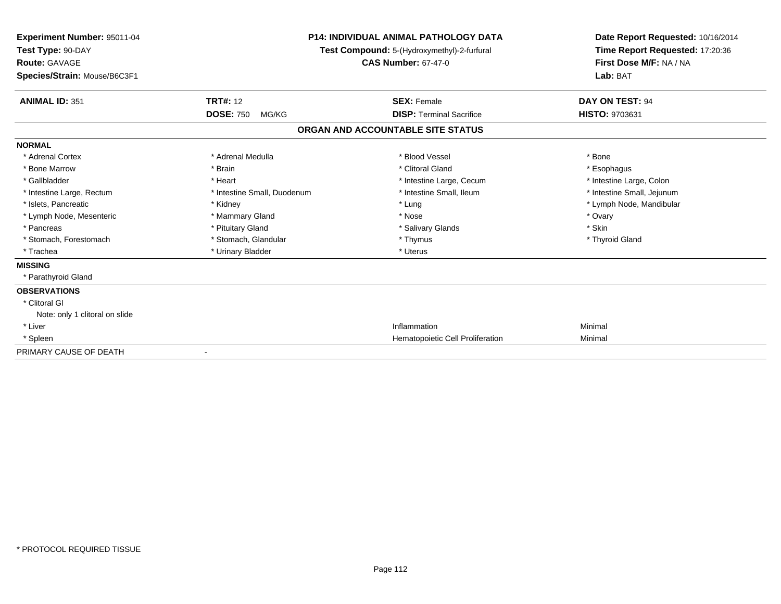| Experiment Number: 95011-04<br>Test Type: 90-DAY<br>Route: GAVAGE<br>Species/Strain: Mouse/B6C3F1 |                             | <b>P14: INDIVIDUAL ANIMAL PATHOLOGY DATA</b><br>Test Compound: 5-(Hydroxymethyl)-2-furfural<br><b>CAS Number: 67-47-0</b> | Date Report Requested: 10/16/2014<br>Time Report Requested: 17:20:36<br>First Dose M/F: NA / NA<br>Lab: BAT |
|---------------------------------------------------------------------------------------------------|-----------------------------|---------------------------------------------------------------------------------------------------------------------------|-------------------------------------------------------------------------------------------------------------|
| <b>ANIMAL ID: 351</b>                                                                             | <b>TRT#: 12</b>             | <b>SEX: Female</b>                                                                                                        | DAY ON TEST: 94                                                                                             |
|                                                                                                   | <b>DOSE: 750</b><br>MG/KG   | <b>DISP: Terminal Sacrifice</b>                                                                                           | HISTO: 9703631                                                                                              |
|                                                                                                   |                             | ORGAN AND ACCOUNTABLE SITE STATUS                                                                                         |                                                                                                             |
| <b>NORMAL</b>                                                                                     |                             |                                                                                                                           |                                                                                                             |
| * Adrenal Cortex                                                                                  | * Adrenal Medulla           | * Blood Vessel                                                                                                            | * Bone                                                                                                      |
| * Bone Marrow                                                                                     | * Brain                     | * Clitoral Gland                                                                                                          | * Esophagus                                                                                                 |
| * Gallbladder                                                                                     | * Heart                     | * Intestine Large, Cecum                                                                                                  | * Intestine Large, Colon                                                                                    |
| * Intestine Large, Rectum                                                                         | * Intestine Small, Duodenum | * Intestine Small, Ileum                                                                                                  | * Intestine Small, Jejunum                                                                                  |
| * Islets, Pancreatic                                                                              | * Kidney                    | * Lung                                                                                                                    | * Lymph Node, Mandibular                                                                                    |
| * Lymph Node, Mesenteric                                                                          | * Mammary Gland             | * Nose                                                                                                                    | * Ovary                                                                                                     |
| * Pancreas                                                                                        | * Pituitary Gland           | * Salivary Glands                                                                                                         | * Skin                                                                                                      |
| * Stomach, Forestomach                                                                            | * Stomach, Glandular        | * Thymus                                                                                                                  | * Thyroid Gland                                                                                             |
| * Trachea                                                                                         | * Urinary Bladder           | * Uterus                                                                                                                  |                                                                                                             |
| <b>MISSING</b>                                                                                    |                             |                                                                                                                           |                                                                                                             |
| * Parathyroid Gland                                                                               |                             |                                                                                                                           |                                                                                                             |
| <b>OBSERVATIONS</b>                                                                               |                             |                                                                                                                           |                                                                                                             |
| * Clitoral GI                                                                                     |                             |                                                                                                                           |                                                                                                             |
| Note: only 1 clitoral on slide                                                                    |                             |                                                                                                                           |                                                                                                             |
| * Liver                                                                                           |                             | Inflammation                                                                                                              | Minimal                                                                                                     |
| * Spleen                                                                                          |                             | Hematopoietic Cell Proliferation                                                                                          | Minimal                                                                                                     |
| PRIMARY CAUSE OF DEATH                                                                            |                             |                                                                                                                           |                                                                                                             |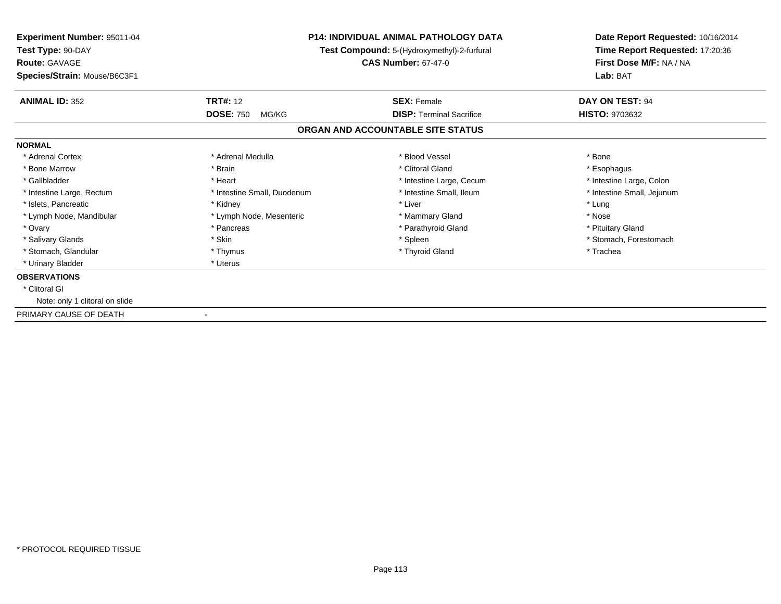| <b>Experiment Number: 95011-04</b><br>Test Type: 90-DAY<br><b>Route: GAVAGE</b><br>Species/Strain: Mouse/B6C3F1 |                             | <b>P14: INDIVIDUAL ANIMAL PATHOLOGY DATA</b><br>Test Compound: 5-(Hydroxymethyl)-2-furfural<br><b>CAS Number: 67-47-0</b> | Date Report Requested: 10/16/2014<br>Time Report Requested: 17:20:36<br>First Dose M/F: NA / NA<br>Lab: BAT |
|-----------------------------------------------------------------------------------------------------------------|-----------------------------|---------------------------------------------------------------------------------------------------------------------------|-------------------------------------------------------------------------------------------------------------|
| <b>ANIMAL ID: 352</b>                                                                                           | <b>TRT#: 12</b>             | <b>SEX: Female</b>                                                                                                        | DAY ON TEST: 94                                                                                             |
|                                                                                                                 | <b>DOSE: 750</b><br>MG/KG   | <b>DISP:</b> Terminal Sacrifice                                                                                           | HISTO: 9703632                                                                                              |
|                                                                                                                 |                             | ORGAN AND ACCOUNTABLE SITE STATUS                                                                                         |                                                                                                             |
| <b>NORMAL</b>                                                                                                   |                             |                                                                                                                           |                                                                                                             |
| * Adrenal Cortex                                                                                                | * Adrenal Medulla           | * Blood Vessel                                                                                                            | * Bone                                                                                                      |
| * Bone Marrow                                                                                                   | * Brain                     | * Clitoral Gland                                                                                                          | * Esophagus                                                                                                 |
| * Gallbladder                                                                                                   | * Heart                     | * Intestine Large, Cecum                                                                                                  | * Intestine Large, Colon                                                                                    |
| * Intestine Large, Rectum                                                                                       | * Intestine Small, Duodenum | * Intestine Small, Ileum                                                                                                  | * Intestine Small, Jejunum                                                                                  |
| * Islets, Pancreatic                                                                                            | * Kidney                    | * Liver                                                                                                                   | * Lung                                                                                                      |
| * Lymph Node, Mandibular                                                                                        | * Lymph Node, Mesenteric    | * Mammary Gland                                                                                                           | * Nose                                                                                                      |
| * Ovary                                                                                                         | * Pancreas                  | * Parathyroid Gland                                                                                                       | * Pituitary Gland                                                                                           |
| * Salivary Glands                                                                                               | * Skin                      | * Spleen                                                                                                                  | * Stomach, Forestomach                                                                                      |
| * Stomach, Glandular                                                                                            | * Thymus                    | * Thyroid Gland                                                                                                           | * Trachea                                                                                                   |
| * Urinary Bladder                                                                                               | * Uterus                    |                                                                                                                           |                                                                                                             |
| <b>OBSERVATIONS</b>                                                                                             |                             |                                                                                                                           |                                                                                                             |
| * Clitoral GI                                                                                                   |                             |                                                                                                                           |                                                                                                             |
| Note: only 1 clitoral on slide                                                                                  |                             |                                                                                                                           |                                                                                                             |
| PRIMARY CAUSE OF DEATH                                                                                          |                             |                                                                                                                           |                                                                                                             |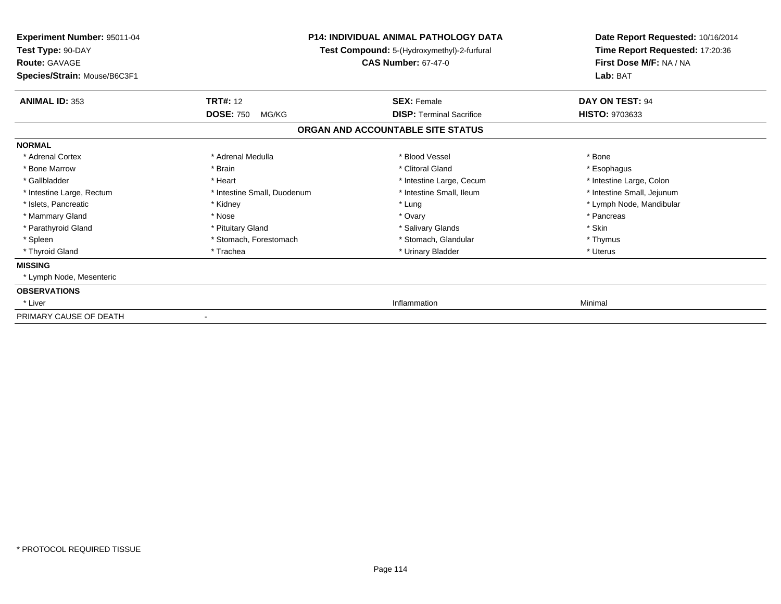| Experiment Number: 95011-04<br>Test Type: 90-DAY<br><b>Route: GAVAGE</b><br>Species/Strain: Mouse/B6C3F1 |                             | P14: INDIVIDUAL ANIMAL PATHOLOGY DATA<br>Test Compound: 5-(Hydroxymethyl)-2-furfural<br><b>CAS Number: 67-47-0</b> | Date Report Requested: 10/16/2014<br>Time Report Requested: 17:20:36<br>First Dose M/F: NA / NA<br>Lab: BAT |
|----------------------------------------------------------------------------------------------------------|-----------------------------|--------------------------------------------------------------------------------------------------------------------|-------------------------------------------------------------------------------------------------------------|
| <b>ANIMAL ID: 353</b>                                                                                    | <b>TRT#: 12</b>             | <b>SEX: Female</b>                                                                                                 | DAY ON TEST: 94                                                                                             |
|                                                                                                          | <b>DOSE: 750</b><br>MG/KG   | <b>DISP:</b> Terminal Sacrifice                                                                                    | <b>HISTO: 9703633</b>                                                                                       |
|                                                                                                          |                             | ORGAN AND ACCOUNTABLE SITE STATUS                                                                                  |                                                                                                             |
| <b>NORMAL</b>                                                                                            |                             |                                                                                                                    |                                                                                                             |
| * Adrenal Cortex                                                                                         | * Adrenal Medulla           | * Blood Vessel                                                                                                     | * Bone                                                                                                      |
| * Bone Marrow                                                                                            | * Brain                     | * Clitoral Gland                                                                                                   | * Esophagus                                                                                                 |
| * Gallbladder                                                                                            | * Heart                     | * Intestine Large, Cecum                                                                                           | * Intestine Large, Colon                                                                                    |
| * Intestine Large, Rectum                                                                                | * Intestine Small, Duodenum | * Intestine Small. Ileum                                                                                           | * Intestine Small, Jejunum                                                                                  |
| * Islets, Pancreatic                                                                                     | * Kidney                    | * Lung                                                                                                             | * Lymph Node, Mandibular                                                                                    |
| * Mammary Gland                                                                                          | * Nose                      | * Ovary                                                                                                            | * Pancreas                                                                                                  |
| * Parathyroid Gland                                                                                      | * Pituitary Gland           | * Salivary Glands                                                                                                  | * Skin                                                                                                      |
| * Spleen                                                                                                 | * Stomach, Forestomach      | * Stomach, Glandular                                                                                               | * Thymus                                                                                                    |
| * Thyroid Gland                                                                                          | * Trachea                   | * Urinary Bladder                                                                                                  | * Uterus                                                                                                    |
| <b>MISSING</b>                                                                                           |                             |                                                                                                                    |                                                                                                             |
| * Lymph Node, Mesenteric                                                                                 |                             |                                                                                                                    |                                                                                                             |
| <b>OBSERVATIONS</b>                                                                                      |                             |                                                                                                                    |                                                                                                             |
| * Liver                                                                                                  |                             | Inflammation                                                                                                       | Minimal                                                                                                     |
| PRIMARY CAUSE OF DEATH                                                                                   |                             |                                                                                                                    |                                                                                                             |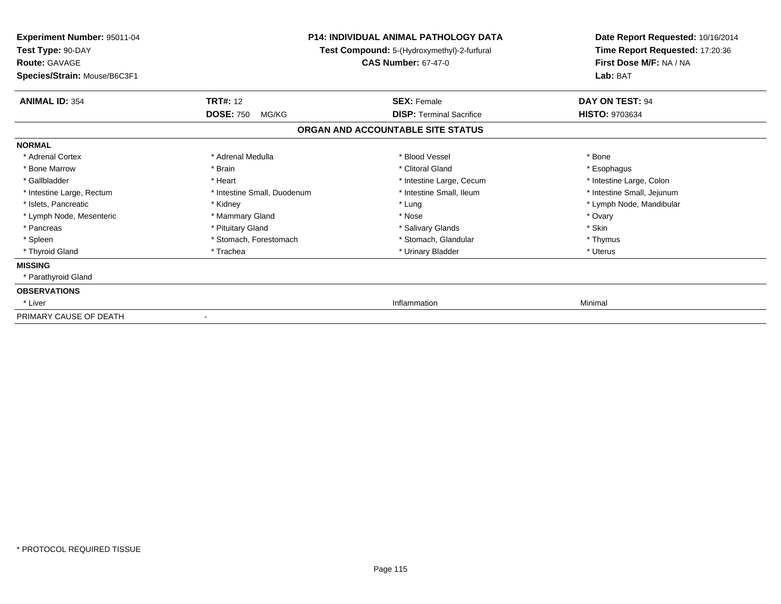| Experiment Number: 95011-04<br>Test Type: 90-DAY<br><b>Route: GAVAGE</b><br>Species/Strain: Mouse/B6C3F1 |                             | <b>P14: INDIVIDUAL ANIMAL PATHOLOGY DATA</b><br>Test Compound: 5-(Hydroxymethyl)-2-furfural<br><b>CAS Number: 67-47-0</b> | Date Report Requested: 10/16/2014<br>Time Report Requested: 17:20:36<br>First Dose M/F: NA / NA<br>Lab: BAT |
|----------------------------------------------------------------------------------------------------------|-----------------------------|---------------------------------------------------------------------------------------------------------------------------|-------------------------------------------------------------------------------------------------------------|
| <b>ANIMAL ID: 354</b>                                                                                    | <b>TRT#: 12</b>             | <b>SEX: Female</b>                                                                                                        | DAY ON TEST: 94                                                                                             |
|                                                                                                          | <b>DOSE: 750</b><br>MG/KG   | <b>DISP:</b> Terminal Sacrifice                                                                                           | HISTO: 9703634                                                                                              |
|                                                                                                          |                             | ORGAN AND ACCOUNTABLE SITE STATUS                                                                                         |                                                                                                             |
| <b>NORMAL</b>                                                                                            |                             |                                                                                                                           |                                                                                                             |
| * Adrenal Cortex                                                                                         | * Adrenal Medulla           | * Blood Vessel                                                                                                            | * Bone                                                                                                      |
| * Bone Marrow                                                                                            | * Brain                     | * Clitoral Gland                                                                                                          | * Esophagus                                                                                                 |
| * Gallbladder                                                                                            | * Heart                     | * Intestine Large, Cecum                                                                                                  | * Intestine Large, Colon                                                                                    |
| * Intestine Large, Rectum                                                                                | * Intestine Small, Duodenum | * Intestine Small, Ileum                                                                                                  | * Intestine Small, Jejunum                                                                                  |
| * Islets, Pancreatic                                                                                     | * Kidney                    | * Lung                                                                                                                    | * Lymph Node, Mandibular                                                                                    |
| * Lymph Node, Mesenteric                                                                                 | * Mammary Gland             | * Nose                                                                                                                    | * Ovary                                                                                                     |
| * Pancreas                                                                                               | * Pituitary Gland           | * Salivary Glands                                                                                                         | * Skin                                                                                                      |
| * Spleen                                                                                                 | * Stomach, Forestomach      | * Stomach, Glandular                                                                                                      | * Thymus                                                                                                    |
| * Thyroid Gland                                                                                          | * Trachea                   | * Urinary Bladder                                                                                                         | * Uterus                                                                                                    |
| <b>MISSING</b>                                                                                           |                             |                                                                                                                           |                                                                                                             |
| * Parathyroid Gland                                                                                      |                             |                                                                                                                           |                                                                                                             |
| <b>OBSERVATIONS</b>                                                                                      |                             |                                                                                                                           |                                                                                                             |
| * Liver                                                                                                  |                             | Inflammation                                                                                                              | Minimal                                                                                                     |
| PRIMARY CAUSE OF DEATH                                                                                   |                             |                                                                                                                           |                                                                                                             |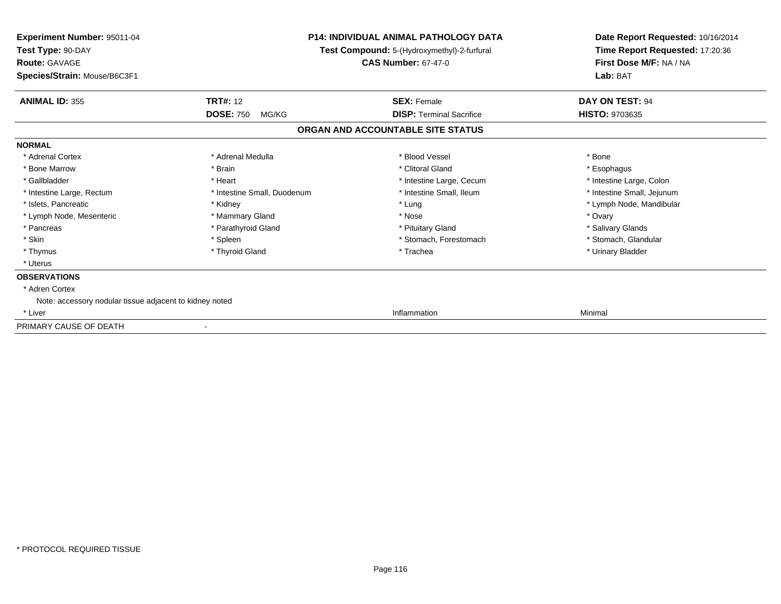| <b>Experiment Number: 95011-04</b><br>Test Type: 90-DAY<br><b>Route: GAVAGE</b><br>Species/Strain: Mouse/B6C3F1 | <b>P14: INDIVIDUAL ANIMAL PATHOLOGY DATA</b><br>Test Compound: 5-(Hydroxymethyl)-2-furfural<br><b>CAS Number: 67-47-0</b> |                                   | Date Report Requested: 10/16/2014<br>Time Report Requested: 17:20:36<br>First Dose M/F: NA / NA<br>Lab: BAT |
|-----------------------------------------------------------------------------------------------------------------|---------------------------------------------------------------------------------------------------------------------------|-----------------------------------|-------------------------------------------------------------------------------------------------------------|
| <b>ANIMAL ID: 355</b>                                                                                           | <b>TRT#: 12</b>                                                                                                           | <b>SEX: Female</b>                | DAY ON TEST: 94                                                                                             |
|                                                                                                                 | <b>DOSE: 750</b><br>MG/KG                                                                                                 | <b>DISP: Terminal Sacrifice</b>   | <b>HISTO: 9703635</b>                                                                                       |
|                                                                                                                 |                                                                                                                           | ORGAN AND ACCOUNTABLE SITE STATUS |                                                                                                             |
| <b>NORMAL</b>                                                                                                   |                                                                                                                           |                                   |                                                                                                             |
| * Adrenal Cortex                                                                                                | * Adrenal Medulla                                                                                                         | * Blood Vessel                    | * Bone                                                                                                      |
| * Bone Marrow                                                                                                   | * Brain                                                                                                                   | * Clitoral Gland                  | * Esophagus                                                                                                 |
| * Gallbladder                                                                                                   | * Heart                                                                                                                   | * Intestine Large, Cecum          | * Intestine Large, Colon                                                                                    |
| * Intestine Large, Rectum                                                                                       | * Intestine Small, Duodenum                                                                                               | * Intestine Small, Ileum          | * Intestine Small, Jejunum                                                                                  |
| * Islets, Pancreatic                                                                                            | * Kidney                                                                                                                  | * Lung                            | * Lymph Node, Mandibular                                                                                    |
| * Lymph Node, Mesenteric                                                                                        | * Mammary Gland                                                                                                           | * Nose                            | * Ovary                                                                                                     |
| * Pancreas                                                                                                      | * Parathyroid Gland                                                                                                       | * Pituitary Gland                 | * Salivary Glands                                                                                           |
| * Skin                                                                                                          | * Spleen                                                                                                                  | * Stomach, Forestomach            | * Stomach, Glandular                                                                                        |
| * Thymus                                                                                                        | * Thyroid Gland                                                                                                           | * Trachea                         | * Urinary Bladder                                                                                           |
| * Uterus                                                                                                        |                                                                                                                           |                                   |                                                                                                             |
| <b>OBSERVATIONS</b>                                                                                             |                                                                                                                           |                                   |                                                                                                             |
| * Adren Cortex                                                                                                  |                                                                                                                           |                                   |                                                                                                             |
| Note: accessory nodular tissue adjacent to kidney noted                                                         |                                                                                                                           |                                   |                                                                                                             |
| * Liver                                                                                                         |                                                                                                                           | Inflammation                      | Minimal                                                                                                     |
| PRIMARY CAUSE OF DEATH                                                                                          |                                                                                                                           |                                   |                                                                                                             |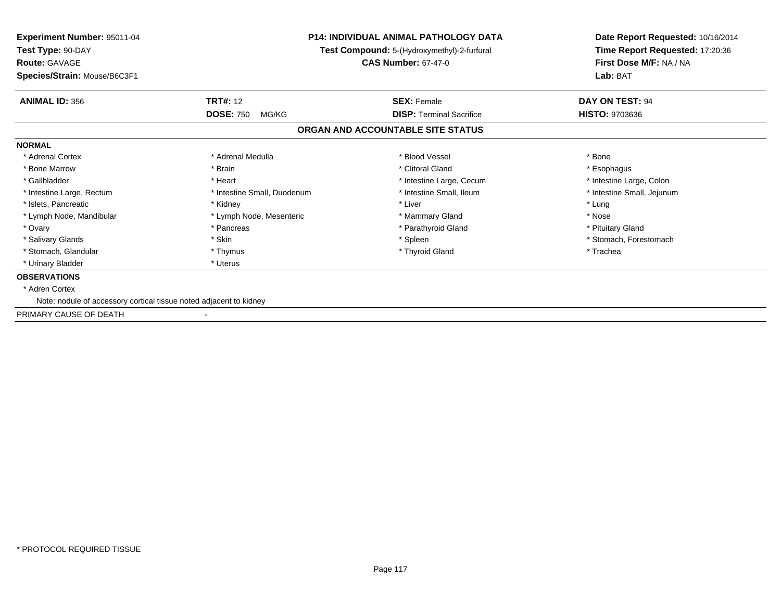| <b>Experiment Number: 95011-04</b><br>Test Type: 90-DAY<br><b>Route: GAVAGE</b><br>Species/Strain: Mouse/B6C3F1 | <b>P14: INDIVIDUAL ANIMAL PATHOLOGY DATA</b><br>Test Compound: 5-(Hydroxymethyl)-2-furfural<br><b>CAS Number: 67-47-0</b> |                                                       | Date Report Requested: 10/16/2014<br>Time Report Requested: 17:20:36<br>First Dose M/F: NA / NA<br>Lab: BAT |
|-----------------------------------------------------------------------------------------------------------------|---------------------------------------------------------------------------------------------------------------------------|-------------------------------------------------------|-------------------------------------------------------------------------------------------------------------|
|                                                                                                                 |                                                                                                                           |                                                       |                                                                                                             |
| <b>ANIMAL ID: 356</b>                                                                                           | <b>TRT#: 12</b><br><b>DOSE: 750</b><br>MG/KG                                                                              | <b>SEX: Female</b><br><b>DISP: Terminal Sacrifice</b> | DAY ON TEST: 94<br><b>HISTO: 9703636</b>                                                                    |
|                                                                                                                 |                                                                                                                           | ORGAN AND ACCOUNTABLE SITE STATUS                     |                                                                                                             |
| <b>NORMAL</b>                                                                                                   |                                                                                                                           |                                                       |                                                                                                             |
| * Adrenal Cortex                                                                                                | * Adrenal Medulla                                                                                                         | * Blood Vessel                                        | * Bone                                                                                                      |
| * Bone Marrow                                                                                                   | * Brain                                                                                                                   | * Clitoral Gland                                      | * Esophagus                                                                                                 |
| * Gallbladder                                                                                                   | * Heart                                                                                                                   | * Intestine Large, Cecum                              | * Intestine Large, Colon                                                                                    |
| * Intestine Large, Rectum                                                                                       | * Intestine Small, Duodenum                                                                                               | * Intestine Small. Ileum                              | * Intestine Small, Jejunum                                                                                  |
| * Islets, Pancreatic                                                                                            | * Kidney                                                                                                                  | * Liver                                               | * Lung                                                                                                      |
| * Lymph Node, Mandibular                                                                                        | * Lymph Node, Mesenteric                                                                                                  | * Mammary Gland                                       | * Nose                                                                                                      |
| * Ovary                                                                                                         | * Pancreas                                                                                                                | * Parathyroid Gland                                   | * Pituitary Gland                                                                                           |
| * Salivary Glands                                                                                               | * Skin                                                                                                                    | * Spleen                                              | * Stomach, Forestomach                                                                                      |
| * Stomach, Glandular                                                                                            | * Thymus                                                                                                                  | * Thyroid Gland                                       | * Trachea                                                                                                   |
| * Urinary Bladder                                                                                               | * Uterus                                                                                                                  |                                                       |                                                                                                             |
| <b>OBSERVATIONS</b>                                                                                             |                                                                                                                           |                                                       |                                                                                                             |
| * Adren Cortex                                                                                                  |                                                                                                                           |                                                       |                                                                                                             |
| Note: nodule of accessory cortical tissue noted adjacent to kidney                                              |                                                                                                                           |                                                       |                                                                                                             |
| PRIMARY CAUSE OF DEATH                                                                                          |                                                                                                                           |                                                       |                                                                                                             |
|                                                                                                                 |                                                                                                                           |                                                       |                                                                                                             |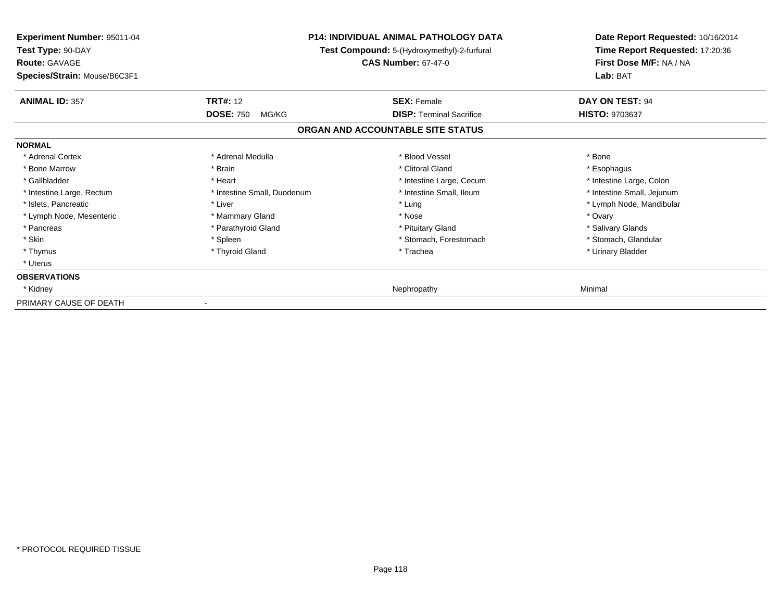| Experiment Number: 95011-04<br>Test Type: 90-DAY<br><b>Route: GAVAGE</b> |                             | <b>P14: INDIVIDUAL ANIMAL PATHOLOGY DATA</b><br>Test Compound: 5-(Hydroxymethyl)-2-furfural<br><b>CAS Number: 67-47-0</b> | Date Report Requested: 10/16/2014<br>Time Report Requested: 17:20:36<br>First Dose M/F: NA / NA<br>Lab: BAT |
|--------------------------------------------------------------------------|-----------------------------|---------------------------------------------------------------------------------------------------------------------------|-------------------------------------------------------------------------------------------------------------|
| Species/Strain: Mouse/B6C3F1                                             |                             |                                                                                                                           |                                                                                                             |
| <b>ANIMAL ID: 357</b>                                                    | <b>TRT#: 12</b>             | <b>SEX: Female</b>                                                                                                        | DAY ON TEST: 94                                                                                             |
|                                                                          | <b>DOSE: 750</b><br>MG/KG   | <b>DISP: Terminal Sacrifice</b>                                                                                           | <b>HISTO: 9703637</b>                                                                                       |
|                                                                          |                             | ORGAN AND ACCOUNTABLE SITE STATUS                                                                                         |                                                                                                             |
| <b>NORMAL</b>                                                            |                             |                                                                                                                           |                                                                                                             |
| * Adrenal Cortex                                                         | * Adrenal Medulla           | * Blood Vessel                                                                                                            | * Bone                                                                                                      |
| * Bone Marrow                                                            | * Brain                     | * Clitoral Gland                                                                                                          | * Esophagus                                                                                                 |
| * Gallbladder                                                            | * Heart                     | * Intestine Large, Cecum                                                                                                  | * Intestine Large, Colon                                                                                    |
| * Intestine Large, Rectum                                                | * Intestine Small, Duodenum | * Intestine Small, Ileum                                                                                                  | * Intestine Small, Jejunum                                                                                  |
| * Islets, Pancreatic                                                     | * Liver                     | * Lung                                                                                                                    | * Lymph Node, Mandibular                                                                                    |
| * Lymph Node, Mesenteric                                                 | * Mammary Gland             | * Nose                                                                                                                    | * Ovary                                                                                                     |
| * Pancreas                                                               | * Parathyroid Gland         | * Pituitary Gland                                                                                                         | * Salivary Glands                                                                                           |
| * Skin                                                                   | * Spleen                    | * Stomach, Forestomach                                                                                                    | * Stomach, Glandular                                                                                        |
| * Thymus                                                                 | * Thyroid Gland             | * Trachea                                                                                                                 | * Urinary Bladder                                                                                           |
| * Uterus                                                                 |                             |                                                                                                                           |                                                                                                             |
| <b>OBSERVATIONS</b>                                                      |                             |                                                                                                                           |                                                                                                             |
| * Kidney                                                                 |                             | Nephropathy                                                                                                               | Minimal                                                                                                     |
| PRIMARY CAUSE OF DEATH                                                   |                             |                                                                                                                           |                                                                                                             |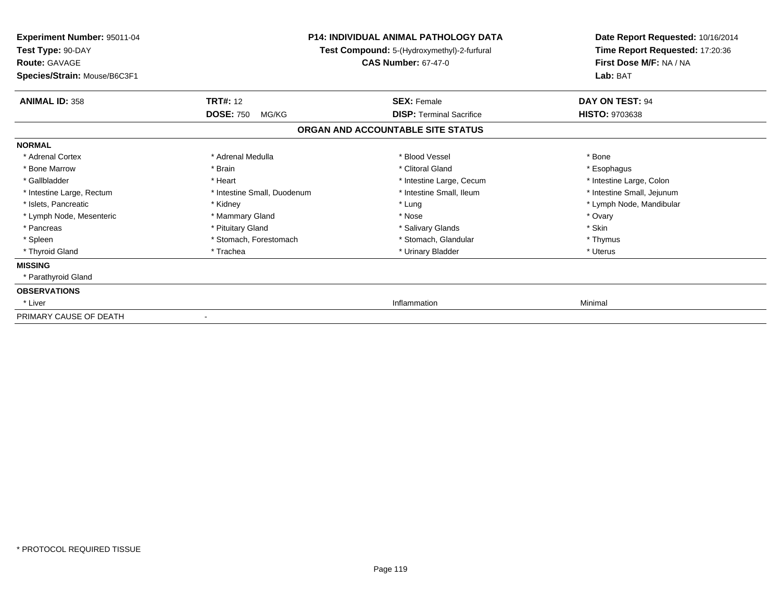| <b>Experiment Number: 95011-04</b><br>Test Type: 90-DAY<br><b>Route: GAVAGE</b> |                             | P14: INDIVIDUAL ANIMAL PATHOLOGY DATA<br>Test Compound: 5-(Hydroxymethyl)-2-furfural<br><b>CAS Number: 67-47-0</b> | Date Report Requested: 10/16/2014<br>Time Report Requested: 17:20:36<br>First Dose M/F: NA / NA |  |
|---------------------------------------------------------------------------------|-----------------------------|--------------------------------------------------------------------------------------------------------------------|-------------------------------------------------------------------------------------------------|--|
| Species/Strain: Mouse/B6C3F1                                                    |                             |                                                                                                                    | Lab: BAT                                                                                        |  |
| <b>ANIMAL ID: 358</b>                                                           | <b>TRT#: 12</b>             | <b>SEX: Female</b>                                                                                                 | DAY ON TEST: 94                                                                                 |  |
|                                                                                 | <b>DOSE: 750</b><br>MG/KG   | <b>DISP:</b> Terminal Sacrifice                                                                                    | <b>HISTO: 9703638</b>                                                                           |  |
|                                                                                 |                             | ORGAN AND ACCOUNTABLE SITE STATUS                                                                                  |                                                                                                 |  |
| <b>NORMAL</b>                                                                   |                             |                                                                                                                    |                                                                                                 |  |
| * Adrenal Cortex                                                                | * Adrenal Medulla           | * Blood Vessel                                                                                                     | * Bone                                                                                          |  |
| * Bone Marrow                                                                   | * Brain                     | * Clitoral Gland                                                                                                   | * Esophagus                                                                                     |  |
| * Gallbladder                                                                   | * Heart                     | * Intestine Large, Cecum                                                                                           | * Intestine Large, Colon                                                                        |  |
| * Intestine Large, Rectum                                                       | * Intestine Small, Duodenum | * Intestine Small. Ileum                                                                                           | * Intestine Small, Jejunum                                                                      |  |
| * Islets, Pancreatic                                                            | * Kidney                    | * Lung                                                                                                             | * Lymph Node, Mandibular                                                                        |  |
| * Lymph Node, Mesenteric                                                        | * Mammary Gland             | * Nose                                                                                                             | * Ovary                                                                                         |  |
| * Pancreas                                                                      | * Pituitary Gland           | * Salivary Glands                                                                                                  | * Skin                                                                                          |  |
| * Spleen                                                                        | * Stomach, Forestomach      | * Stomach, Glandular                                                                                               | * Thymus                                                                                        |  |
| * Thyroid Gland                                                                 | * Trachea                   | * Urinary Bladder                                                                                                  | * Uterus                                                                                        |  |
| <b>MISSING</b>                                                                  |                             |                                                                                                                    |                                                                                                 |  |
| * Parathyroid Gland                                                             |                             |                                                                                                                    |                                                                                                 |  |
| <b>OBSERVATIONS</b>                                                             |                             |                                                                                                                    |                                                                                                 |  |
| * Liver                                                                         |                             | Inflammation                                                                                                       | Minimal                                                                                         |  |
| PRIMARY CAUSE OF DEATH                                                          |                             |                                                                                                                    |                                                                                                 |  |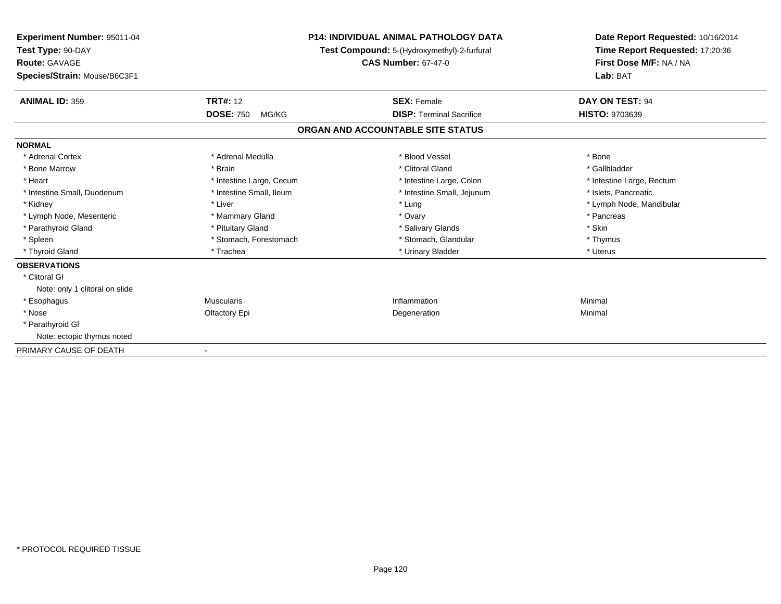| Experiment Number: 95011-04<br>Test Type: 90-DAY     |                           | <b>P14: INDIVIDUAL ANIMAL PATHOLOGY DATA</b><br>Test Compound: 5-(Hydroxymethyl)-2-furfural | Date Report Requested: 10/16/2014<br>Time Report Requested: 17:20:36 |
|------------------------------------------------------|---------------------------|---------------------------------------------------------------------------------------------|----------------------------------------------------------------------|
| <b>Route: GAVAGE</b><br>Species/Strain: Mouse/B6C3F1 |                           | <b>CAS Number: 67-47-0</b>                                                                  | First Dose M/F: NA / NA<br>Lab: BAT                                  |
| <b>ANIMAL ID: 359</b>                                | <b>TRT#: 12</b>           | <b>SEX: Female</b>                                                                          | DAY ON TEST: 94                                                      |
|                                                      | <b>DOSE: 750</b><br>MG/KG | <b>DISP: Terminal Sacrifice</b>                                                             | HISTO: 9703639                                                       |
|                                                      |                           | ORGAN AND ACCOUNTABLE SITE STATUS                                                           |                                                                      |
| <b>NORMAL</b>                                        |                           |                                                                                             |                                                                      |
| * Adrenal Cortex                                     | * Adrenal Medulla         | * Blood Vessel                                                                              | * Bone                                                               |
| * Bone Marrow                                        | * Brain                   | * Clitoral Gland                                                                            | * Gallbladder                                                        |
| * Heart                                              | * Intestine Large, Cecum  | * Intestine Large, Colon                                                                    | * Intestine Large, Rectum                                            |
| * Intestine Small, Duodenum                          | * Intestine Small, Ileum  | * Intestine Small, Jejunum                                                                  | * Islets, Pancreatic                                                 |
| * Kidney                                             | * Liver                   | * Lung                                                                                      | * Lymph Node, Mandibular                                             |
| * Lymph Node, Mesenteric                             | * Mammary Gland           | * Ovary                                                                                     | * Pancreas                                                           |
| * Parathyroid Gland                                  | * Pituitary Gland         | * Salivary Glands                                                                           | * Skin                                                               |
| * Spleen                                             | * Stomach, Forestomach    | * Stomach, Glandular                                                                        | * Thymus                                                             |
| * Thyroid Gland                                      | * Trachea                 | * Urinary Bladder                                                                           | * Uterus                                                             |
| <b>OBSERVATIONS</b>                                  |                           |                                                                                             |                                                                      |
| * Clitoral GI                                        |                           |                                                                                             |                                                                      |
| Note: only 1 clitoral on slide                       |                           |                                                                                             |                                                                      |
| * Esophagus                                          | <b>Muscularis</b>         | Inflammation                                                                                | Minimal                                                              |
| * Nose                                               | Olfactory Epi             | Degeneration                                                                                | Minimal                                                              |
| * Parathyroid Gl                                     |                           |                                                                                             |                                                                      |
| Note: ectopic thymus noted                           |                           |                                                                                             |                                                                      |
| PRIMARY CAUSE OF DEATH                               |                           |                                                                                             |                                                                      |